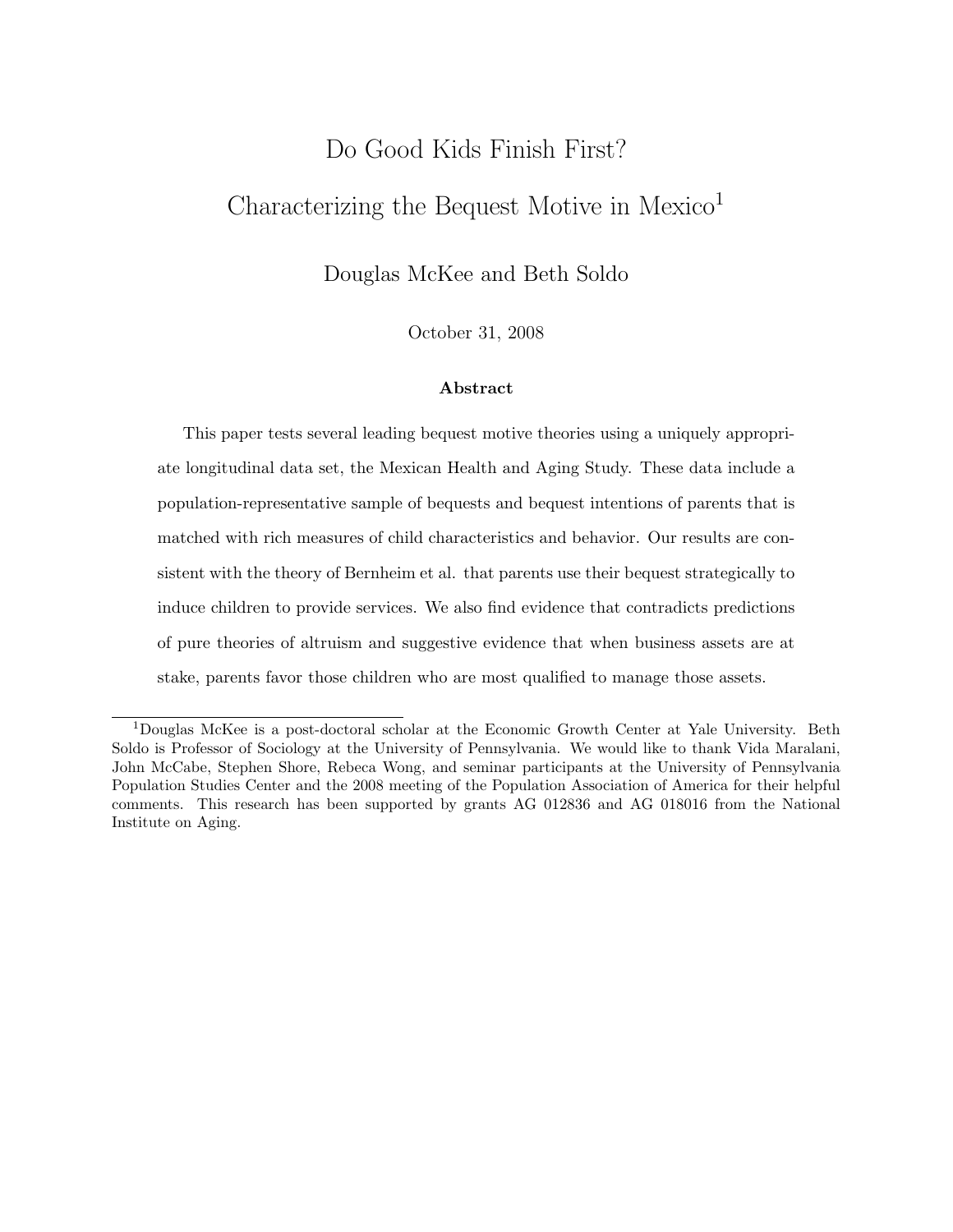# Do Good Kids Finish First? Characterizing the Bequest Motive in Mexico<sup>1</sup>

Douglas McKee and Beth Soldo

October 31, 2008

#### Abstract

This paper tests several leading bequest motive theories using a uniquely appropriate longitudinal data set, the Mexican Health and Aging Study. These data include a population-representative sample of bequests and bequest intentions of parents that is matched with rich measures of child characteristics and behavior. Our results are consistent with the theory of Bernheim et al. that parents use their bequest strategically to induce children to provide services. We also find evidence that contradicts predictions of pure theories of altruism and suggestive evidence that when business assets are at stake, parents favor those children who are most qualified to manage those assets.

<sup>1</sup>Douglas McKee is a post-doctoral scholar at the Economic Growth Center at Yale University. Beth Soldo is Professor of Sociology at the University of Pennsylvania. We would like to thank Vida Maralani, John McCabe, Stephen Shore, Rebeca Wong, and seminar participants at the University of Pennsylvania Population Studies Center and the 2008 meeting of the Population Association of America for their helpful comments. This research has been supported by grants AG 012836 and AG 018016 from the National Institute on Aging.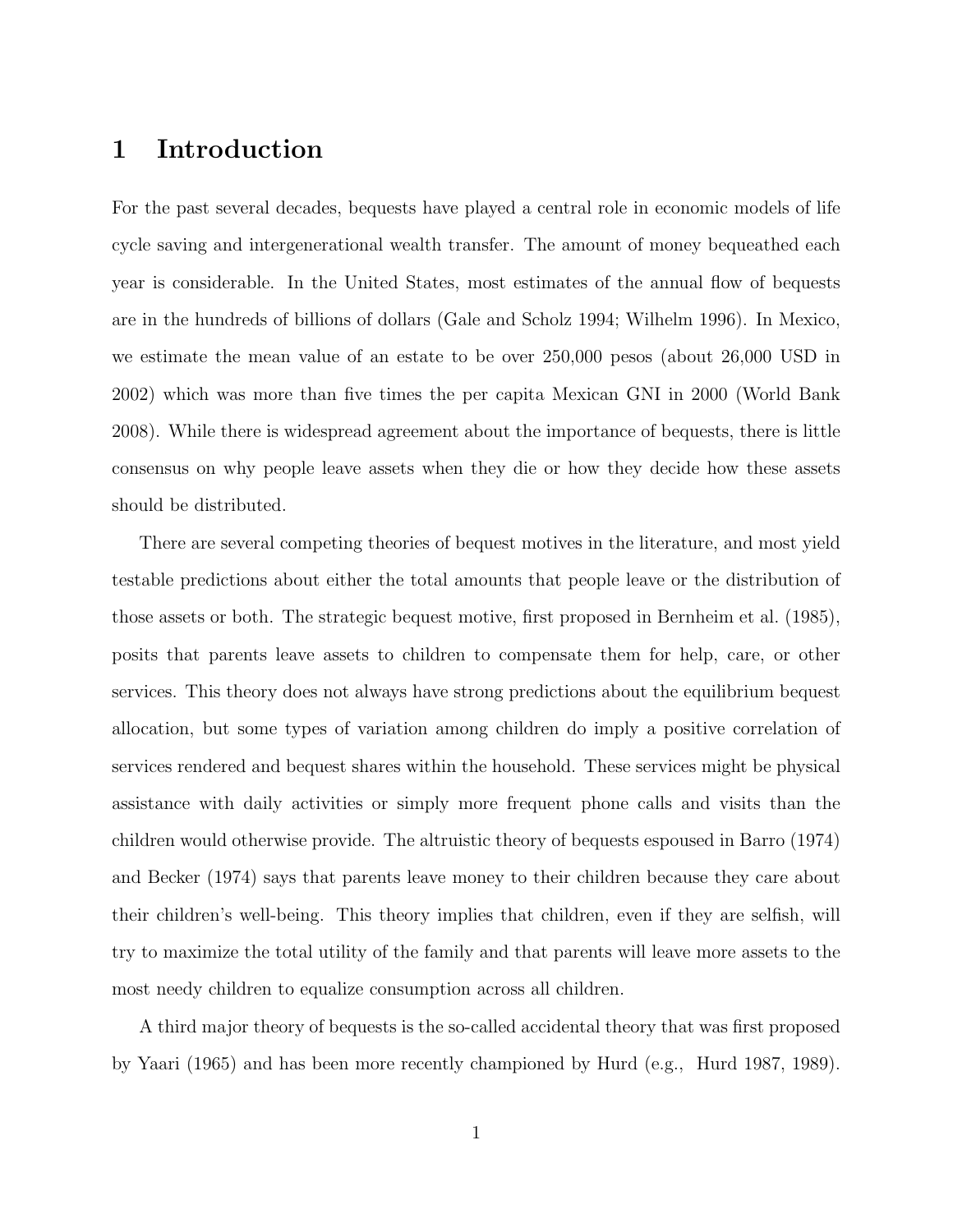# 1 Introduction

For the past several decades, bequests have played a central role in economic models of life cycle saving and intergenerational wealth transfer. The amount of money bequeathed each year is considerable. In the United States, most estimates of the annual flow of bequests are in the hundreds of billions of dollars (Gale and Scholz 1994; Wilhelm 1996). In Mexico, we estimate the mean value of an estate to be over 250,000 pesos (about 26,000 USD in 2002) which was more than five times the per capita Mexican GNI in 2000 (World Bank 2008). While there is widespread agreement about the importance of bequests, there is little consensus on why people leave assets when they die or how they decide how these assets should be distributed.

There are several competing theories of bequest motives in the literature, and most yield testable predictions about either the total amounts that people leave or the distribution of those assets or both. The strategic bequest motive, first proposed in Bernheim et al. (1985), posits that parents leave assets to children to compensate them for help, care, or other services. This theory does not always have strong predictions about the equilibrium bequest allocation, but some types of variation among children do imply a positive correlation of services rendered and bequest shares within the household. These services might be physical assistance with daily activities or simply more frequent phone calls and visits than the children would otherwise provide. The altruistic theory of bequests espoused in Barro (1974) and Becker (1974) says that parents leave money to their children because they care about their children's well-being. This theory implies that children, even if they are selfish, will try to maximize the total utility of the family and that parents will leave more assets to the most needy children to equalize consumption across all children.

A third major theory of bequests is the so-called accidental theory that was first proposed by Yaari (1965) and has been more recently championed by Hurd (e.g., Hurd 1987, 1989).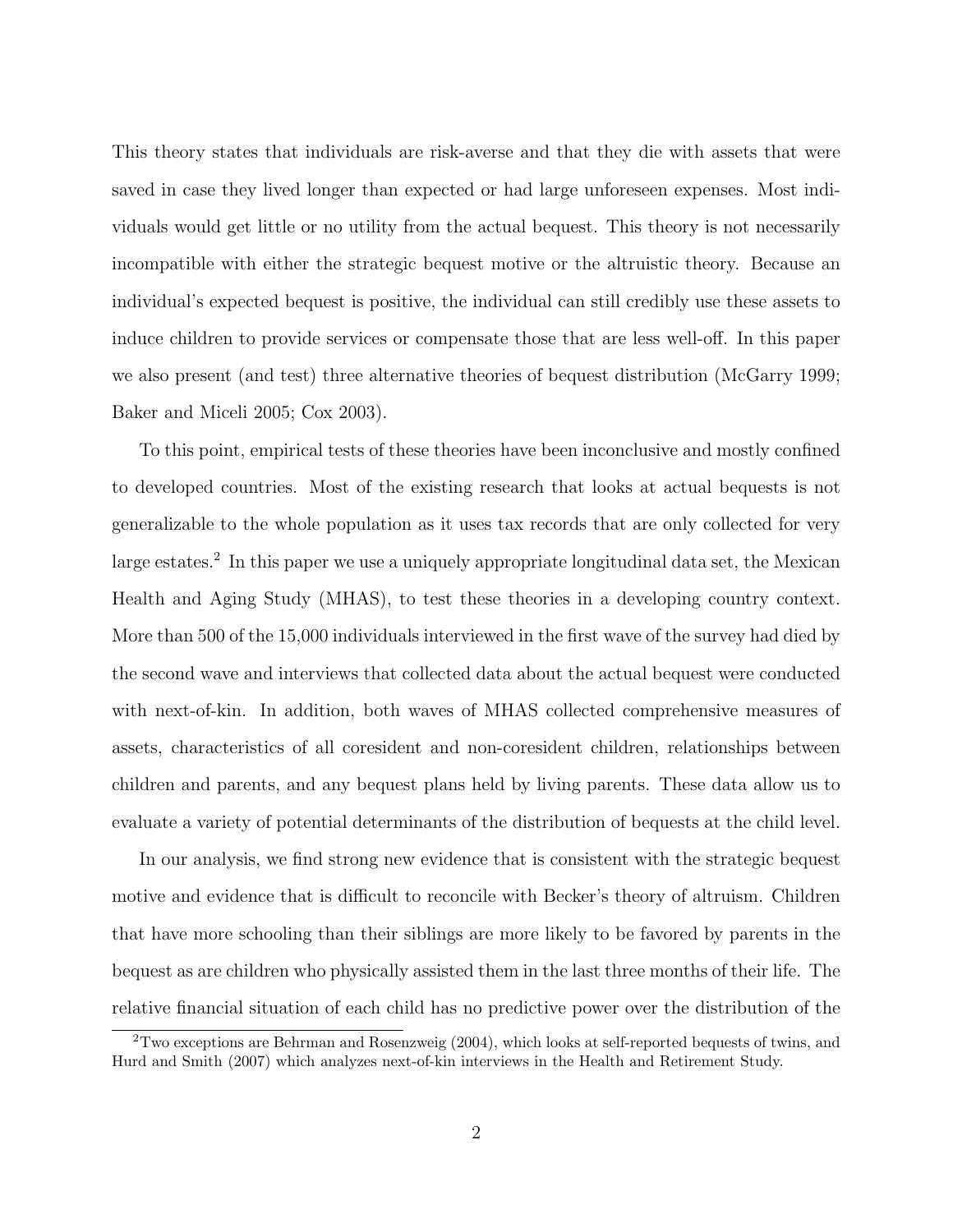This theory states that individuals are risk-averse and that they die with assets that were saved in case they lived longer than expected or had large unforeseen expenses. Most individuals would get little or no utility from the actual bequest. This theory is not necessarily incompatible with either the strategic bequest motive or the altruistic theory. Because an individual's expected bequest is positive, the individual can still credibly use these assets to induce children to provide services or compensate those that are less well-off. In this paper we also present (and test) three alternative theories of bequest distribution (McGarry 1999; Baker and Miceli 2005; Cox 2003).

To this point, empirical tests of these theories have been inconclusive and mostly confined to developed countries. Most of the existing research that looks at actual bequests is not generalizable to the whole population as it uses tax records that are only collected for very large estates.<sup>2</sup> In this paper we use a uniquely appropriate longitudinal data set, the Mexican Health and Aging Study (MHAS), to test these theories in a developing country context. More than 500 of the 15,000 individuals interviewed in the first wave of the survey had died by the second wave and interviews that collected data about the actual bequest were conducted with next-of-kin. In addition, both waves of MHAS collected comprehensive measures of assets, characteristics of all coresident and non-coresident children, relationships between children and parents, and any bequest plans held by living parents. These data allow us to evaluate a variety of potential determinants of the distribution of bequests at the child level.

In our analysis, we find strong new evidence that is consistent with the strategic bequest motive and evidence that is difficult to reconcile with Becker's theory of altruism. Children that have more schooling than their siblings are more likely to be favored by parents in the bequest as are children who physically assisted them in the last three months of their life. The relative financial situation of each child has no predictive power over the distribution of the

 $2$ Two exceptions are Behrman and Rosenzweig (2004), which looks at self-reported bequests of twins, and Hurd and Smith (2007) which analyzes next-of-kin interviews in the Health and Retirement Study.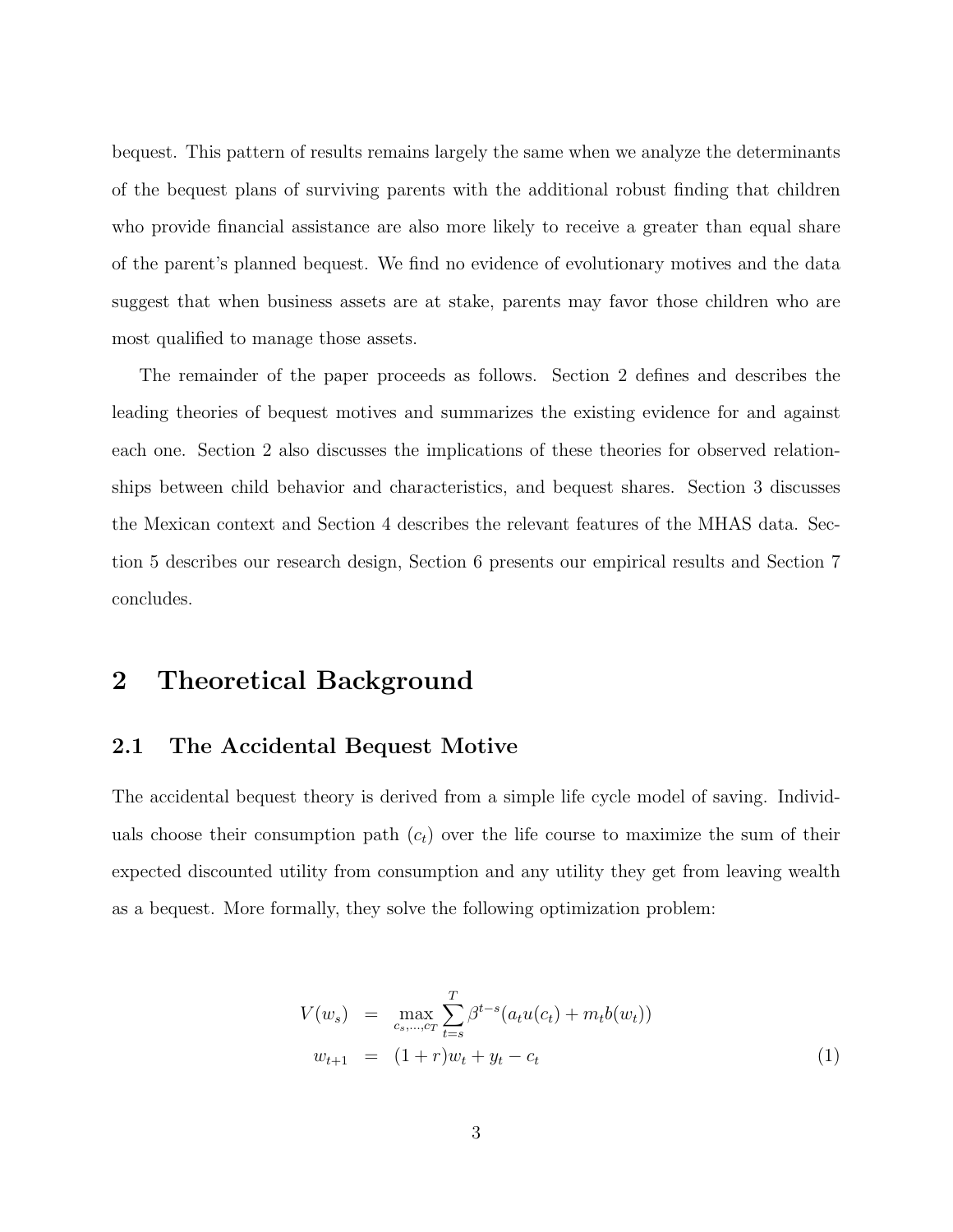bequest. This pattern of results remains largely the same when we analyze the determinants of the bequest plans of surviving parents with the additional robust finding that children who provide financial assistance are also more likely to receive a greater than equal share of the parent's planned bequest. We find no evidence of evolutionary motives and the data suggest that when business assets are at stake, parents may favor those children who are most qualified to manage those assets.

The remainder of the paper proceeds as follows. Section 2 defines and describes the leading theories of bequest motives and summarizes the existing evidence for and against each one. Section 2 also discusses the implications of these theories for observed relationships between child behavior and characteristics, and bequest shares. Section 3 discusses the Mexican context and Section 4 describes the relevant features of the MHAS data. Section 5 describes our research design, Section 6 presents our empirical results and Section 7 concludes.

# 2 Theoretical Background

#### 2.1 The Accidental Bequest Motive

The accidental bequest theory is derived from a simple life cycle model of saving. Individuals choose their consumption path  $(c_t)$  over the life course to maximize the sum of their expected discounted utility from consumption and any utility they get from leaving wealth as a bequest. More formally, they solve the following optimization problem:

$$
V(w_s) = \max_{c_s, ..., c_T} \sum_{t=s}^{T} \beta^{t-s} (a_t u(c_t) + m_t b(w_t))
$$
  

$$
w_{t+1} = (1+r)w_t + y_t - c_t
$$
 (1)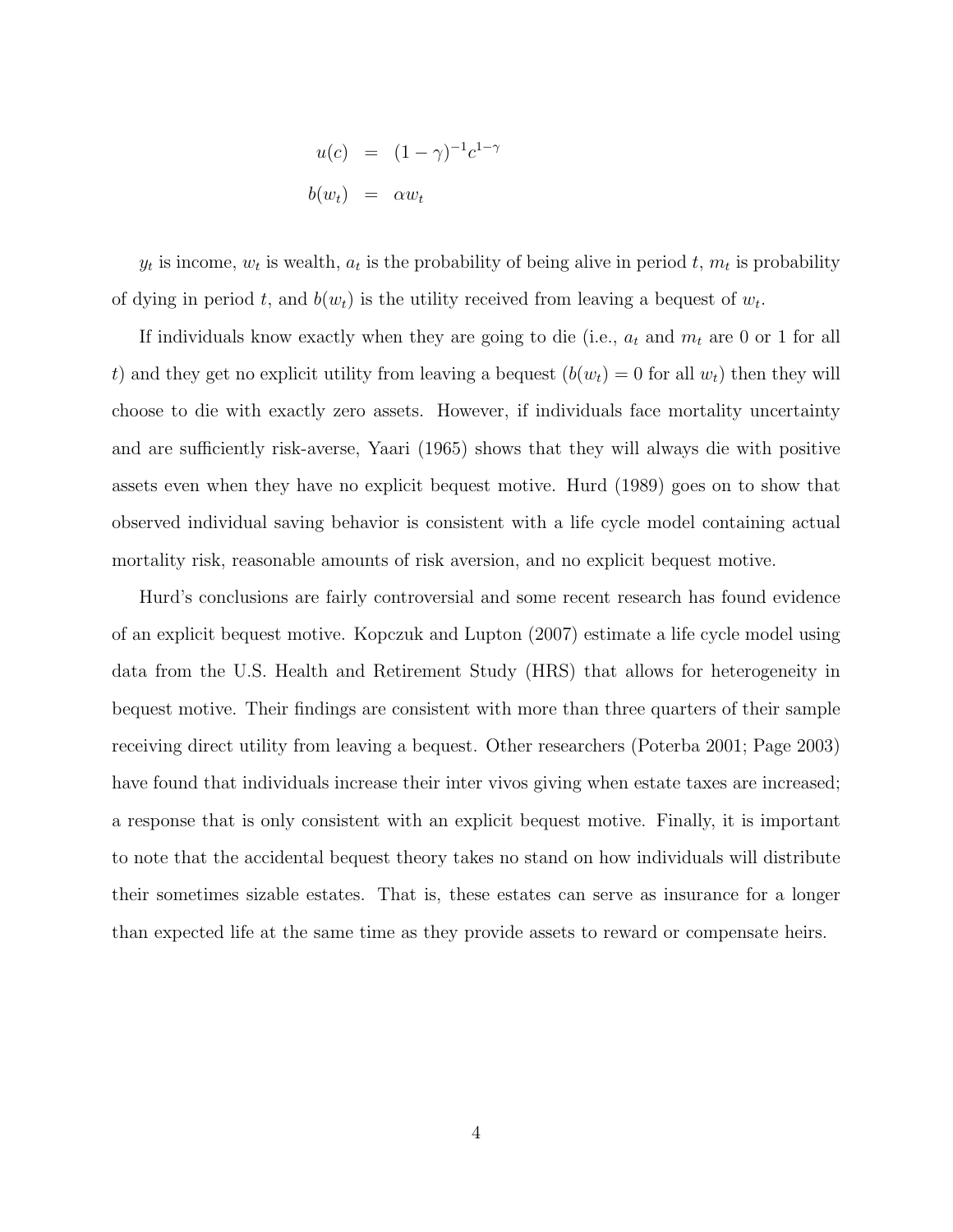$$
u(c) = (1 - \gamma)^{-1} c^{1 - \gamma}
$$

$$
b(w_t) = \alpha w_t
$$

 $y_t$  is income,  $w_t$  is wealth,  $a_t$  is the probability of being alive in period  $t, m_t$  is probability of dying in period t, and  $b(w_t)$  is the utility received from leaving a bequest of  $w_t$ .

If individuals know exactly when they are going to die (i.e.,  $a_t$  and  $m_t$  are 0 or 1 for all t) and they get no explicit utility from leaving a bequest  $(b(w_t) = 0$  for all  $w_t$ ) then they will choose to die with exactly zero assets. However, if individuals face mortality uncertainty and are sufficiently risk-averse, Yaari (1965) shows that they will always die with positive assets even when they have no explicit bequest motive. Hurd (1989) goes on to show that observed individual saving behavior is consistent with a life cycle model containing actual mortality risk, reasonable amounts of risk aversion, and no explicit bequest motive.

Hurd's conclusions are fairly controversial and some recent research has found evidence of an explicit bequest motive. Kopczuk and Lupton (2007) estimate a life cycle model using data from the U.S. Health and Retirement Study (HRS) that allows for heterogeneity in bequest motive. Their findings are consistent with more than three quarters of their sample receiving direct utility from leaving a bequest. Other researchers (Poterba 2001; Page 2003) have found that individuals increase their inter vivos giving when estate taxes are increased; a response that is only consistent with an explicit bequest motive. Finally, it is important to note that the accidental bequest theory takes no stand on how individuals will distribute their sometimes sizable estates. That is, these estates can serve as insurance for a longer than expected life at the same time as they provide assets to reward or compensate heirs.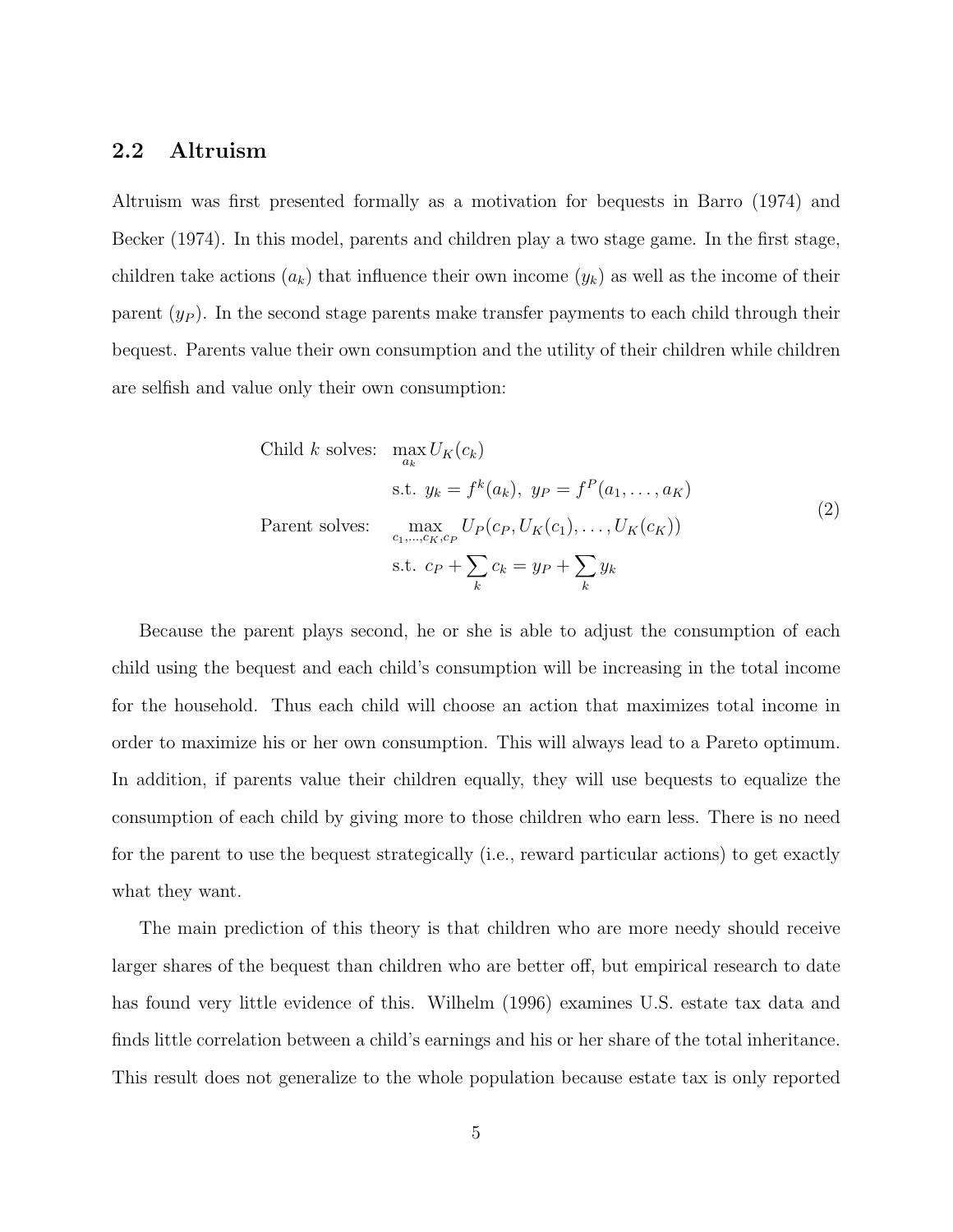### 2.2 Altruism

Altruism was first presented formally as a motivation for bequests in Barro (1974) and Becker (1974). In this model, parents and children play a two stage game. In the first stage, children take actions  $(a_k)$  that influence their own income  $(y_k)$  as well as the income of their parent  $(y_P)$ . In the second stage parents make transfer payments to each child through their bequest. Parents value their own consumption and the utility of their children while children are selfish and value only their own consumption:

Child k solves: 
$$
\max_{a_k} U_K(c_k)
$$
  
s.t.  $y_k = f^k(a_k), y_P = f^P(a_1, ..., a_K)$   
Parent solves: 
$$
\max_{c_1, ..., c_K, c_P} U_P(c_P, U_K(c_1), ..., U_K(c_K))
$$
  
s.t.  $c_P + \sum_k c_k = y_P + \sum_k y_k$  (2)

Because the parent plays second, he or she is able to adjust the consumption of each child using the bequest and each child's consumption will be increasing in the total income for the household. Thus each child will choose an action that maximizes total income in order to maximize his or her own consumption. This will always lead to a Pareto optimum. In addition, if parents value their children equally, they will use bequests to equalize the consumption of each child by giving more to those children who earn less. There is no need for the parent to use the bequest strategically (i.e., reward particular actions) to get exactly what they want.

The main prediction of this theory is that children who are more needy should receive larger shares of the bequest than children who are better off, but empirical research to date has found very little evidence of this. Wilhelm (1996) examines U.S. estate tax data and finds little correlation between a child's earnings and his or her share of the total inheritance. This result does not generalize to the whole population because estate tax is only reported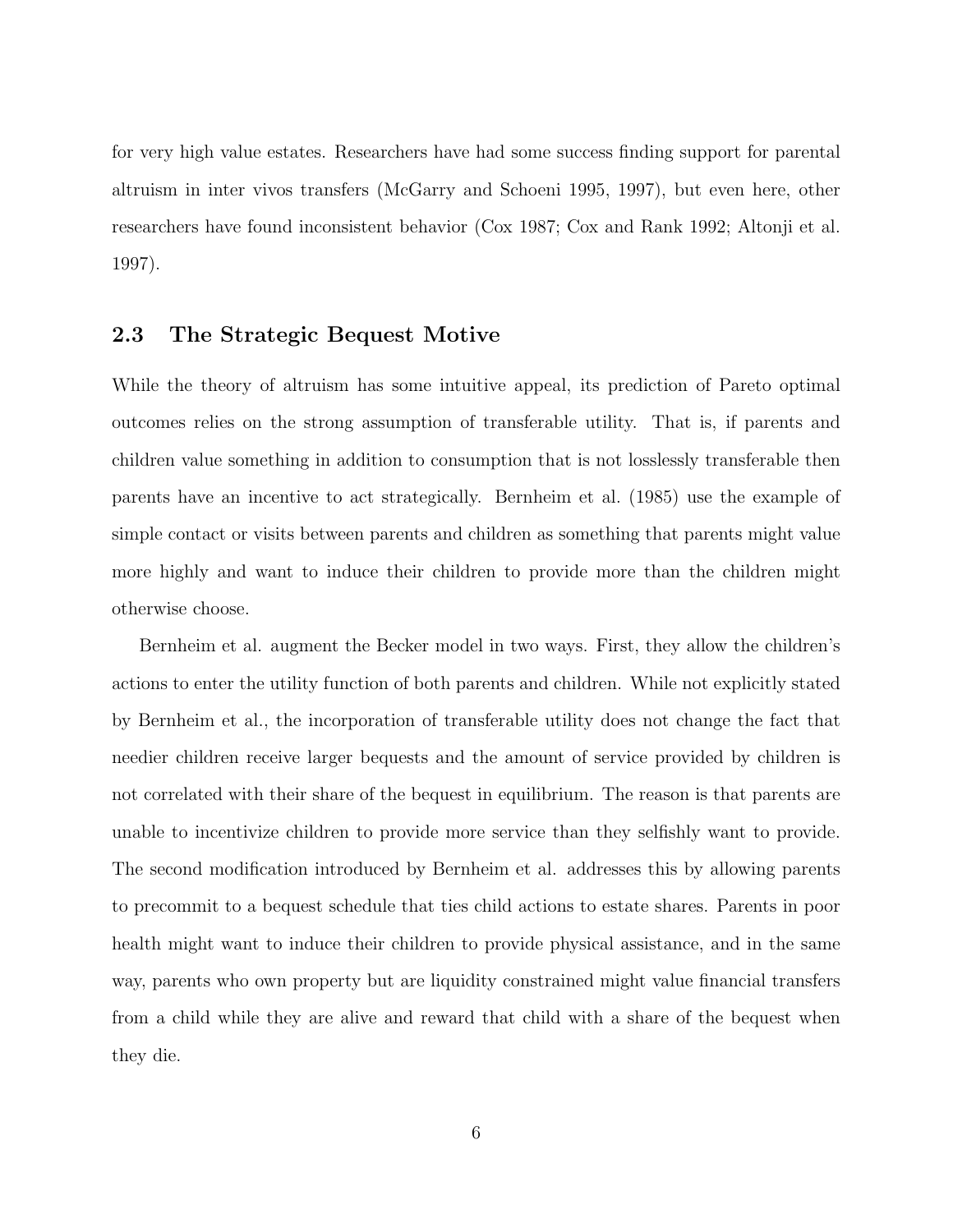for very high value estates. Researchers have had some success finding support for parental altruism in inter vivos transfers (McGarry and Schoeni 1995, 1997), but even here, other researchers have found inconsistent behavior (Cox 1987; Cox and Rank 1992; Altonji et al. 1997).

### 2.3 The Strategic Bequest Motive

While the theory of altruism has some intuitive appeal, its prediction of Pareto optimal outcomes relies on the strong assumption of transferable utility. That is, if parents and children value something in addition to consumption that is not losslessly transferable then parents have an incentive to act strategically. Bernheim et al. (1985) use the example of simple contact or visits between parents and children as something that parents might value more highly and want to induce their children to provide more than the children might otherwise choose.

Bernheim et al. augment the Becker model in two ways. First, they allow the children's actions to enter the utility function of both parents and children. While not explicitly stated by Bernheim et al., the incorporation of transferable utility does not change the fact that needier children receive larger bequests and the amount of service provided by children is not correlated with their share of the bequest in equilibrium. The reason is that parents are unable to incentivize children to provide more service than they selfishly want to provide. The second modification introduced by Bernheim et al. addresses this by allowing parents to precommit to a bequest schedule that ties child actions to estate shares. Parents in poor health might want to induce their children to provide physical assistance, and in the same way, parents who own property but are liquidity constrained might value financial transfers from a child while they are alive and reward that child with a share of the bequest when they die.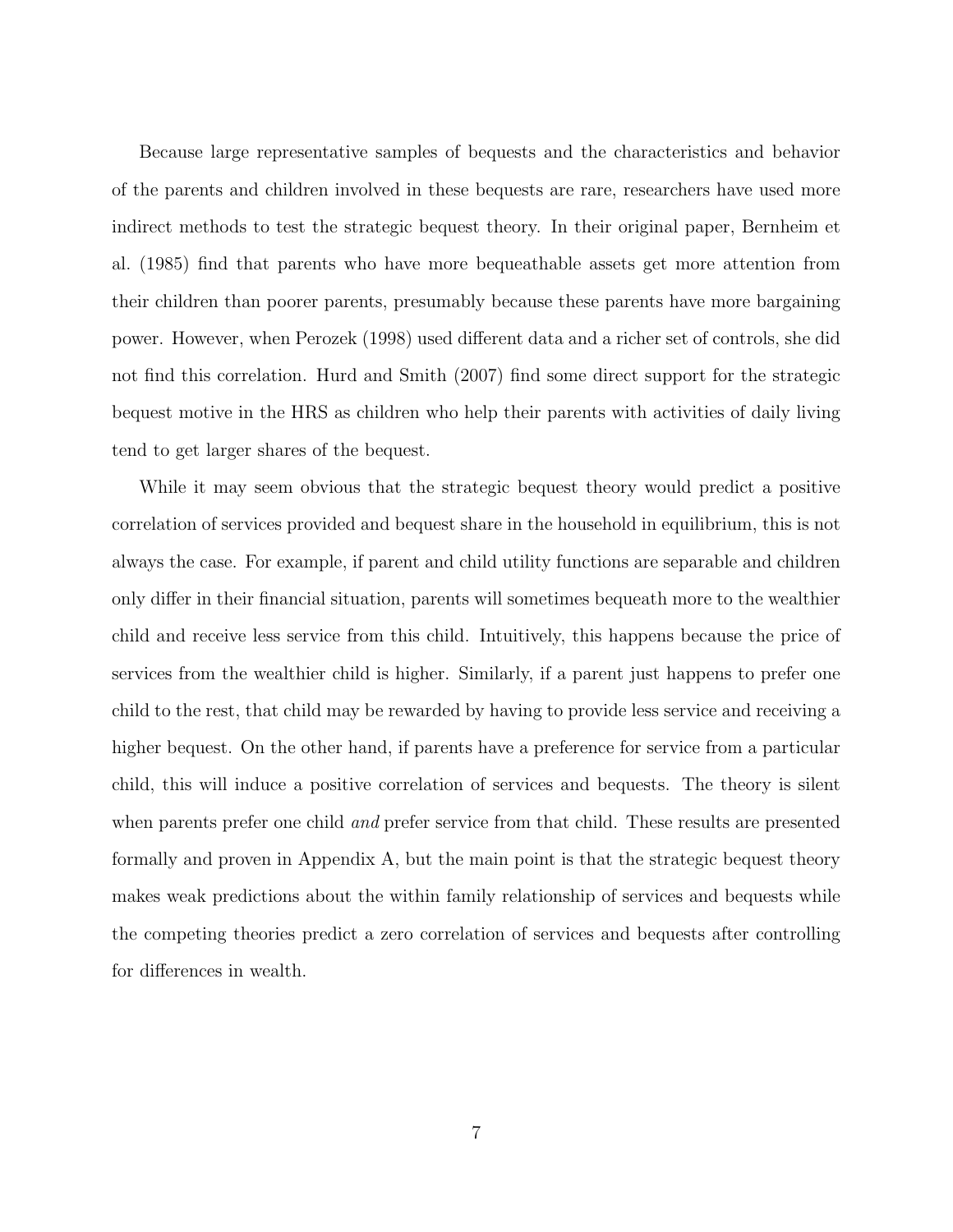Because large representative samples of bequests and the characteristics and behavior of the parents and children involved in these bequests are rare, researchers have used more indirect methods to test the strategic bequest theory. In their original paper, Bernheim et al. (1985) find that parents who have more bequeathable assets get more attention from their children than poorer parents, presumably because these parents have more bargaining power. However, when Perozek (1998) used different data and a richer set of controls, she did not find this correlation. Hurd and Smith (2007) find some direct support for the strategic bequest motive in the HRS as children who help their parents with activities of daily living tend to get larger shares of the bequest.

While it may seem obvious that the strategic bequest theory would predict a positive correlation of services provided and bequest share in the household in equilibrium, this is not always the case. For example, if parent and child utility functions are separable and children only differ in their financial situation, parents will sometimes bequeath more to the wealthier child and receive less service from this child. Intuitively, this happens because the price of services from the wealthier child is higher. Similarly, if a parent just happens to prefer one child to the rest, that child may be rewarded by having to provide less service and receiving a higher bequest. On the other hand, if parents have a preference for service from a particular child, this will induce a positive correlation of services and bequests. The theory is silent when parents prefer one child *and* prefer service from that child. These results are presented formally and proven in Appendix A, but the main point is that the strategic bequest theory makes weak predictions about the within family relationship of services and bequests while the competing theories predict a zero correlation of services and bequests after controlling for differences in wealth.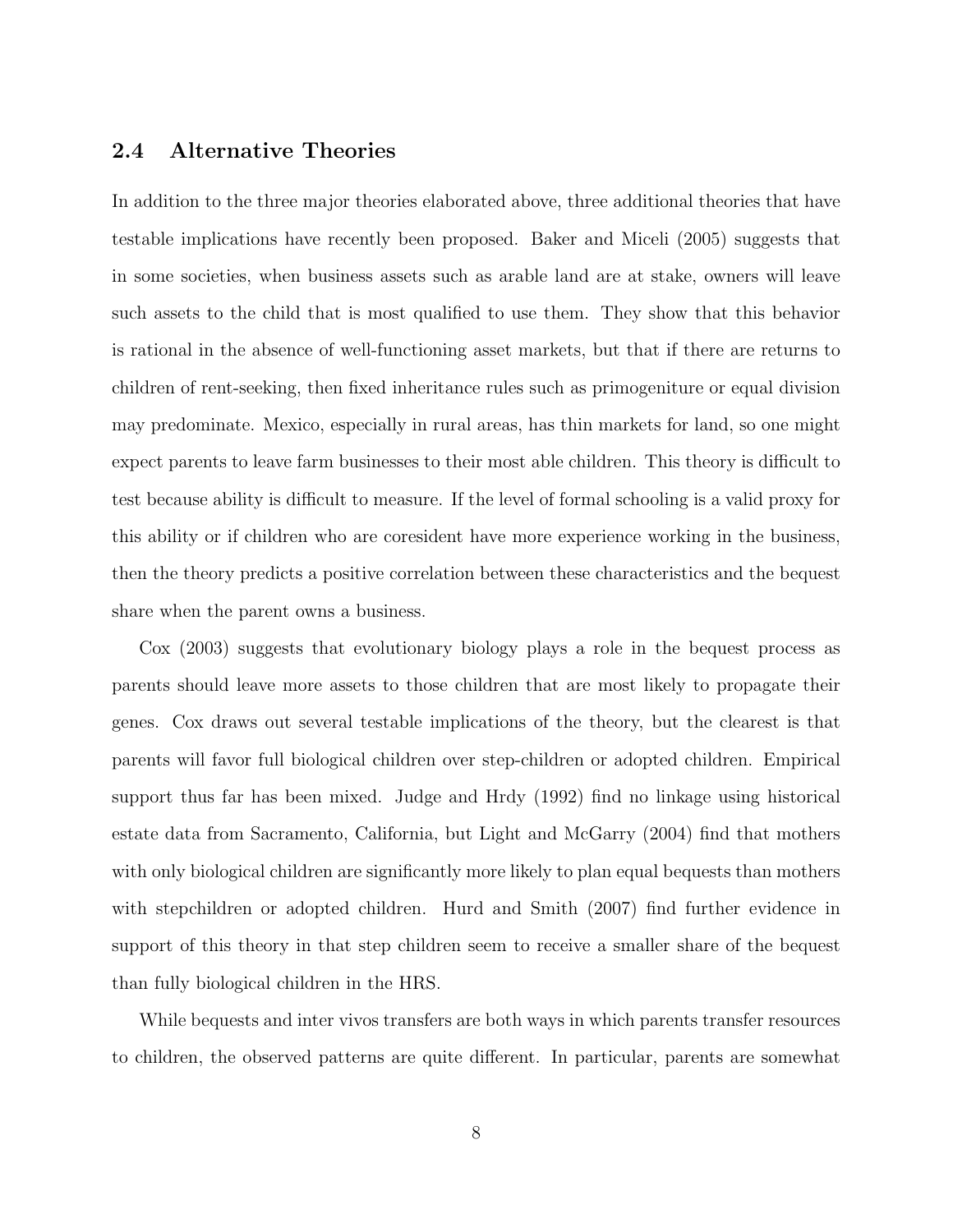### 2.4 Alternative Theories

In addition to the three major theories elaborated above, three additional theories that have testable implications have recently been proposed. Baker and Miceli (2005) suggests that in some societies, when business assets such as arable land are at stake, owners will leave such assets to the child that is most qualified to use them. They show that this behavior is rational in the absence of well-functioning asset markets, but that if there are returns to children of rent-seeking, then fixed inheritance rules such as primogeniture or equal division may predominate. Mexico, especially in rural areas, has thin markets for land, so one might expect parents to leave farm businesses to their most able children. This theory is difficult to test because ability is difficult to measure. If the level of formal schooling is a valid proxy for this ability or if children who are coresident have more experience working in the business, then the theory predicts a positive correlation between these characteristics and the bequest share when the parent owns a business.

Cox (2003) suggests that evolutionary biology plays a role in the bequest process as parents should leave more assets to those children that are most likely to propagate their genes. Cox draws out several testable implications of the theory, but the clearest is that parents will favor full biological children over step-children or adopted children. Empirical support thus far has been mixed. Judge and Hrdy (1992) find no linkage using historical estate data from Sacramento, California, but Light and McGarry (2004) find that mothers with only biological children are significantly more likely to plan equal bequests than mothers with stepchildren or adopted children. Hurd and Smith (2007) find further evidence in support of this theory in that step children seem to receive a smaller share of the bequest than fully biological children in the HRS.

While bequests and inter vivos transfers are both ways in which parents transfer resources to children, the observed patterns are quite different. In particular, parents are somewhat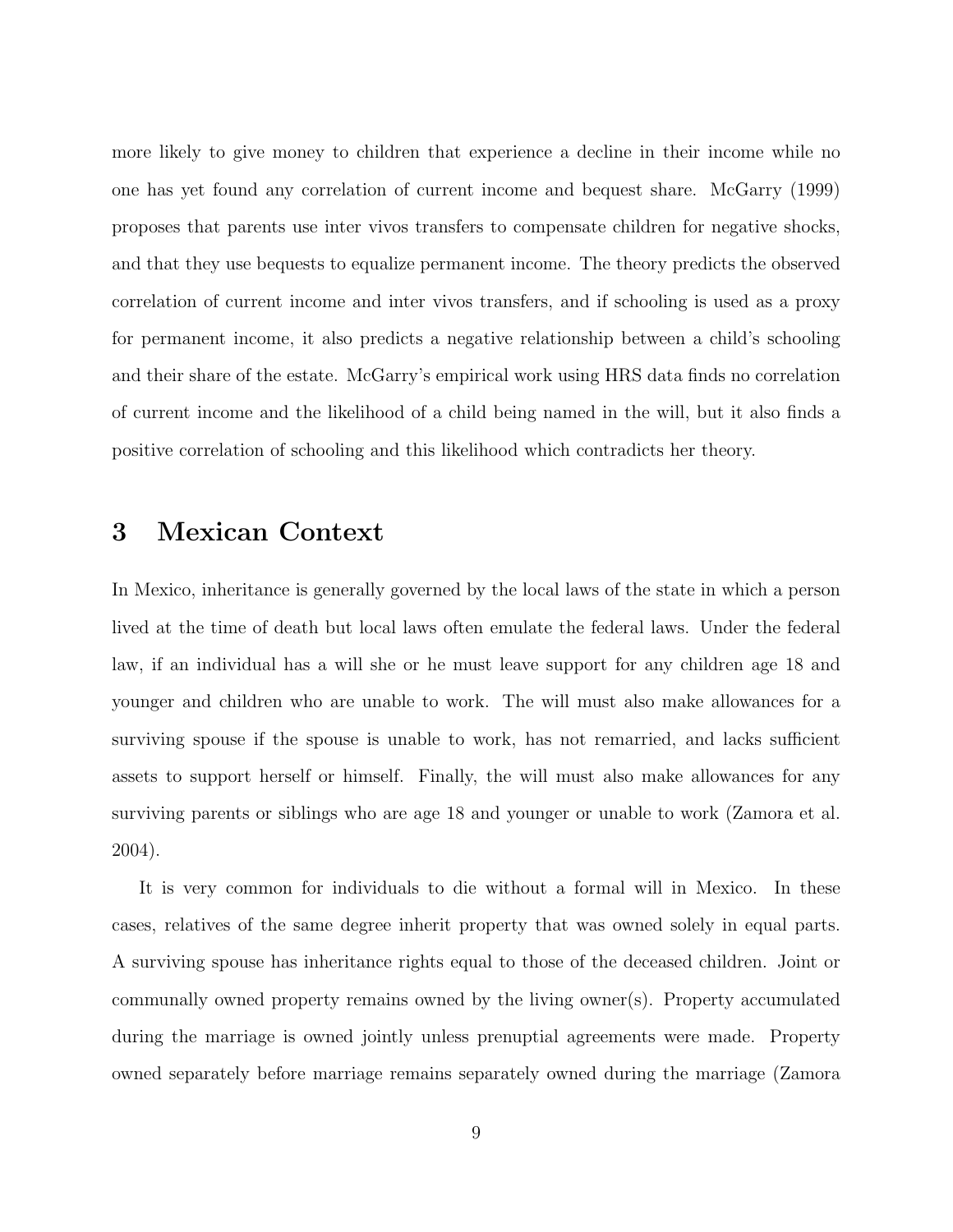more likely to give money to children that experience a decline in their income while no one has yet found any correlation of current income and bequest share. McGarry (1999) proposes that parents use inter vivos transfers to compensate children for negative shocks, and that they use bequests to equalize permanent income. The theory predicts the observed correlation of current income and inter vivos transfers, and if schooling is used as a proxy for permanent income, it also predicts a negative relationship between a child's schooling and their share of the estate. McGarry's empirical work using HRS data finds no correlation of current income and the likelihood of a child being named in the will, but it also finds a positive correlation of schooling and this likelihood which contradicts her theory.

# 3 Mexican Context

In Mexico, inheritance is generally governed by the local laws of the state in which a person lived at the time of death but local laws often emulate the federal laws. Under the federal law, if an individual has a will she or he must leave support for any children age 18 and younger and children who are unable to work. The will must also make allowances for a surviving spouse if the spouse is unable to work, has not remarried, and lacks sufficient assets to support herself or himself. Finally, the will must also make allowances for any surviving parents or siblings who are age 18 and younger or unable to work (Zamora et al. 2004).

It is very common for individuals to die without a formal will in Mexico. In these cases, relatives of the same degree inherit property that was owned solely in equal parts. A surviving spouse has inheritance rights equal to those of the deceased children. Joint or communally owned property remains owned by the living owner(s). Property accumulated during the marriage is owned jointly unless prenuptial agreements were made. Property owned separately before marriage remains separately owned during the marriage (Zamora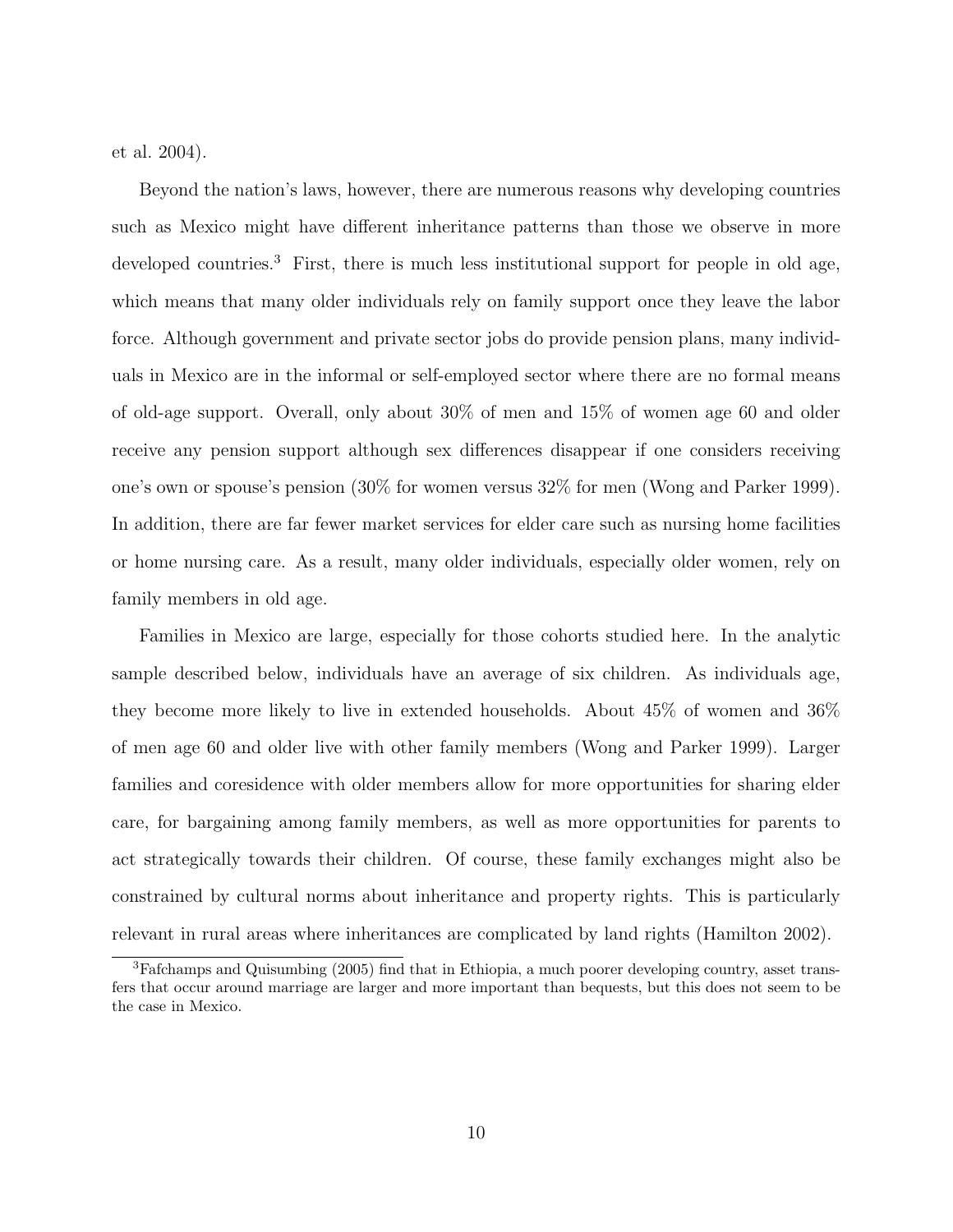et al. 2004).

Beyond the nation's laws, however, there are numerous reasons why developing countries such as Mexico might have different inheritance patterns than those we observe in more developed countries.<sup>3</sup> First, there is much less institutional support for people in old age, which means that many older individuals rely on family support once they leave the labor force. Although government and private sector jobs do provide pension plans, many individuals in Mexico are in the informal or self-employed sector where there are no formal means of old-age support. Overall, only about 30% of men and 15% of women age 60 and older receive any pension support although sex differences disappear if one considers receiving one's own or spouse's pension (30% for women versus 32% for men (Wong and Parker 1999). In addition, there are far fewer market services for elder care such as nursing home facilities or home nursing care. As a result, many older individuals, especially older women, rely on family members in old age.

Families in Mexico are large, especially for those cohorts studied here. In the analytic sample described below, individuals have an average of six children. As individuals age, they become more likely to live in extended households. About 45% of women and 36% of men age 60 and older live with other family members (Wong and Parker 1999). Larger families and coresidence with older members allow for more opportunities for sharing elder care, for bargaining among family members, as well as more opportunities for parents to act strategically towards their children. Of course, these family exchanges might also be constrained by cultural norms about inheritance and property rights. This is particularly relevant in rural areas where inheritances are complicated by land rights (Hamilton 2002).

<sup>3</sup>Fafchamps and Quisumbing (2005) find that in Ethiopia, a much poorer developing country, asset transfers that occur around marriage are larger and more important than bequests, but this does not seem to be the case in Mexico.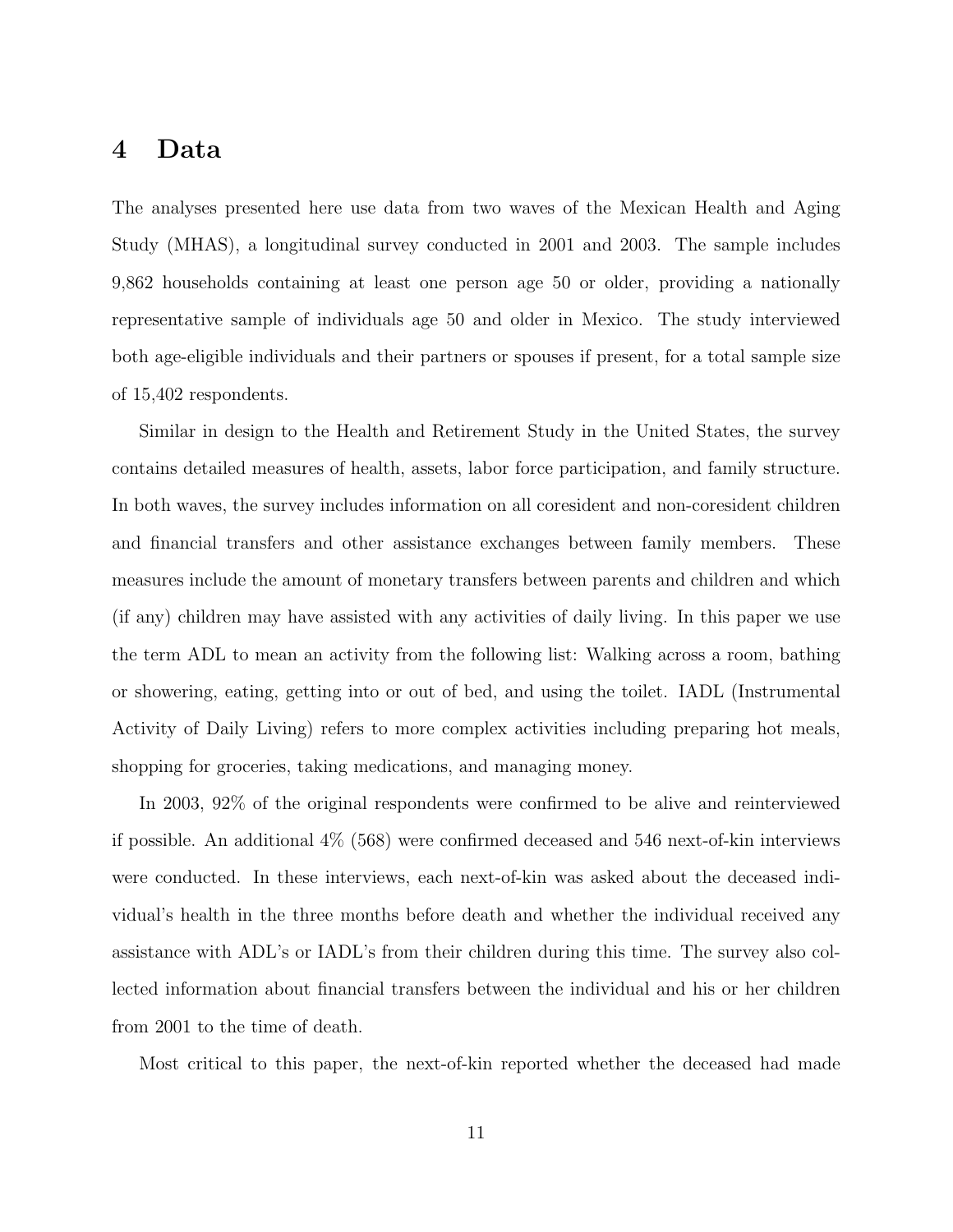## 4 Data

The analyses presented here use data from two waves of the Mexican Health and Aging Study (MHAS), a longitudinal survey conducted in 2001 and 2003. The sample includes 9,862 households containing at least one person age 50 or older, providing a nationally representative sample of individuals age 50 and older in Mexico. The study interviewed both age-eligible individuals and their partners or spouses if present, for a total sample size of 15,402 respondents.

Similar in design to the Health and Retirement Study in the United States, the survey contains detailed measures of health, assets, labor force participation, and family structure. In both waves, the survey includes information on all coresident and non-coresident children and financial transfers and other assistance exchanges between family members. These measures include the amount of monetary transfers between parents and children and which (if any) children may have assisted with any activities of daily living. In this paper we use the term ADL to mean an activity from the following list: Walking across a room, bathing or showering, eating, getting into or out of bed, and using the toilet. IADL (Instrumental Activity of Daily Living) refers to more complex activities including preparing hot meals, shopping for groceries, taking medications, and managing money.

In 2003, 92% of the original respondents were confirmed to be alive and reinterviewed if possible. An additional 4% (568) were confirmed deceased and 546 next-of-kin interviews were conducted. In these interviews, each next-of-kin was asked about the deceased individual's health in the three months before death and whether the individual received any assistance with ADL's or IADL's from their children during this time. The survey also collected information about financial transfers between the individual and his or her children from 2001 to the time of death.

Most critical to this paper, the next-of-kin reported whether the deceased had made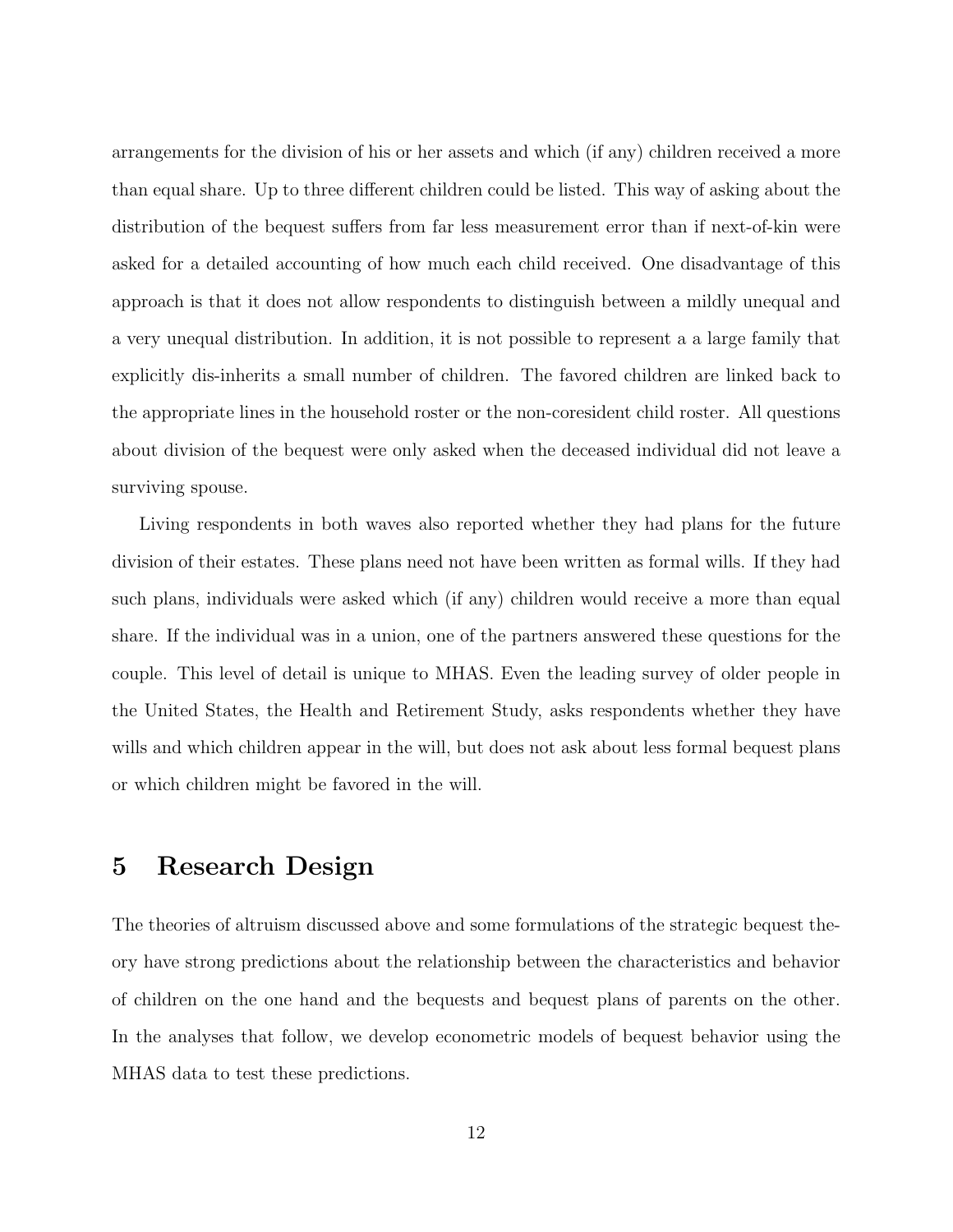arrangements for the division of his or her assets and which (if any) children received a more than equal share. Up to three different children could be listed. This way of asking about the distribution of the bequest suffers from far less measurement error than if next-of-kin were asked for a detailed accounting of how much each child received. One disadvantage of this approach is that it does not allow respondents to distinguish between a mildly unequal and a very unequal distribution. In addition, it is not possible to represent a a large family that explicitly dis-inherits a small number of children. The favored children are linked back to the appropriate lines in the household roster or the non-coresident child roster. All questions about division of the bequest were only asked when the deceased individual did not leave a surviving spouse.

Living respondents in both waves also reported whether they had plans for the future division of their estates. These plans need not have been written as formal wills. If they had such plans, individuals were asked which (if any) children would receive a more than equal share. If the individual was in a union, one of the partners answered these questions for the couple. This level of detail is unique to MHAS. Even the leading survey of older people in the United States, the Health and Retirement Study, asks respondents whether they have wills and which children appear in the will, but does not ask about less formal bequest plans or which children might be favored in the will.

# 5 Research Design

The theories of altruism discussed above and some formulations of the strategic bequest theory have strong predictions about the relationship between the characteristics and behavior of children on the one hand and the bequests and bequest plans of parents on the other. In the analyses that follow, we develop econometric models of bequest behavior using the MHAS data to test these predictions.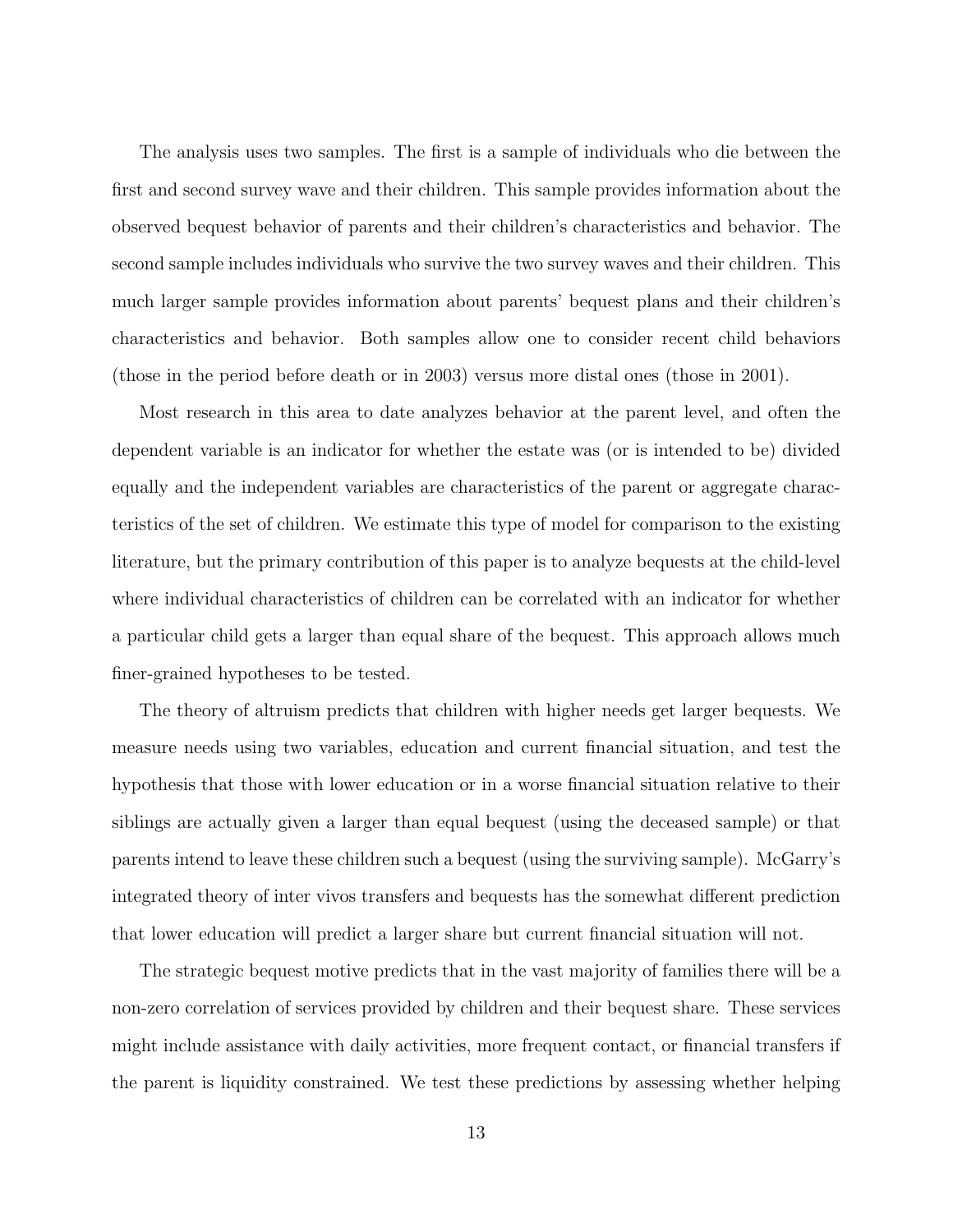The analysis uses two samples. The first is a sample of individuals who die between the first and second survey wave and their children. This sample provides information about the observed bequest behavior of parents and their children's characteristics and behavior. The second sample includes individuals who survive the two survey waves and their children. This much larger sample provides information about parents' bequest plans and their children's characteristics and behavior. Both samples allow one to consider recent child behaviors (those in the period before death or in 2003) versus more distal ones (those in 2001).

Most research in this area to date analyzes behavior at the parent level, and often the dependent variable is an indicator for whether the estate was (or is intended to be) divided equally and the independent variables are characteristics of the parent or aggregate characteristics of the set of children. We estimate this type of model for comparison to the existing literature, but the primary contribution of this paper is to analyze bequests at the child-level where individual characteristics of children can be correlated with an indicator for whether a particular child gets a larger than equal share of the bequest. This approach allows much finer-grained hypotheses to be tested.

The theory of altruism predicts that children with higher needs get larger bequests. We measure needs using two variables, education and current financial situation, and test the hypothesis that those with lower education or in a worse financial situation relative to their siblings are actually given a larger than equal bequest (using the deceased sample) or that parents intend to leave these children such a bequest (using the surviving sample). McGarry's integrated theory of inter vivos transfers and bequests has the somewhat different prediction that lower education will predict a larger share but current financial situation will not.

The strategic bequest motive predicts that in the vast majority of families there will be a non-zero correlation of services provided by children and their bequest share. These services might include assistance with daily activities, more frequent contact, or financial transfers if the parent is liquidity constrained. We test these predictions by assessing whether helping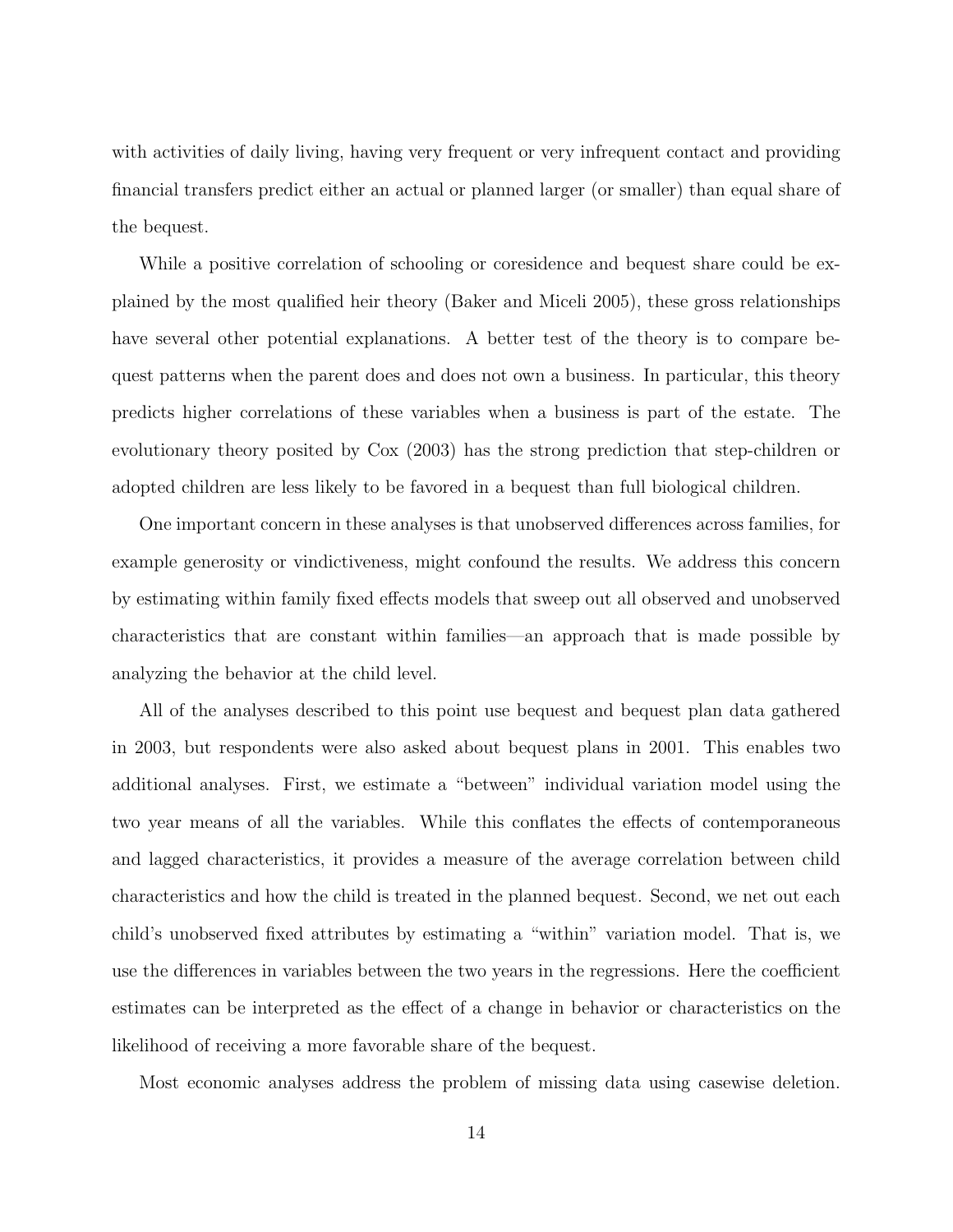with activities of daily living, having very frequent or very infrequent contact and providing financial transfers predict either an actual or planned larger (or smaller) than equal share of the bequest.

While a positive correlation of schooling or coresidence and bequest share could be explained by the most qualified heir theory (Baker and Miceli 2005), these gross relationships have several other potential explanations. A better test of the theory is to compare bequest patterns when the parent does and does not own a business. In particular, this theory predicts higher correlations of these variables when a business is part of the estate. The evolutionary theory posited by Cox (2003) has the strong prediction that step-children or adopted children are less likely to be favored in a bequest than full biological children.

One important concern in these analyses is that unobserved differences across families, for example generosity or vindictiveness, might confound the results. We address this concern by estimating within family fixed effects models that sweep out all observed and unobserved characteristics that are constant within families—an approach that is made possible by analyzing the behavior at the child level.

All of the analyses described to this point use bequest and bequest plan data gathered in 2003, but respondents were also asked about bequest plans in 2001. This enables two additional analyses. First, we estimate a "between" individual variation model using the two year means of all the variables. While this conflates the effects of contemporaneous and lagged characteristics, it provides a measure of the average correlation between child characteristics and how the child is treated in the planned bequest. Second, we net out each child's unobserved fixed attributes by estimating a "within" variation model. That is, we use the differences in variables between the two years in the regressions. Here the coefficient estimates can be interpreted as the effect of a change in behavior or characteristics on the likelihood of receiving a more favorable share of the bequest.

Most economic analyses address the problem of missing data using casewise deletion.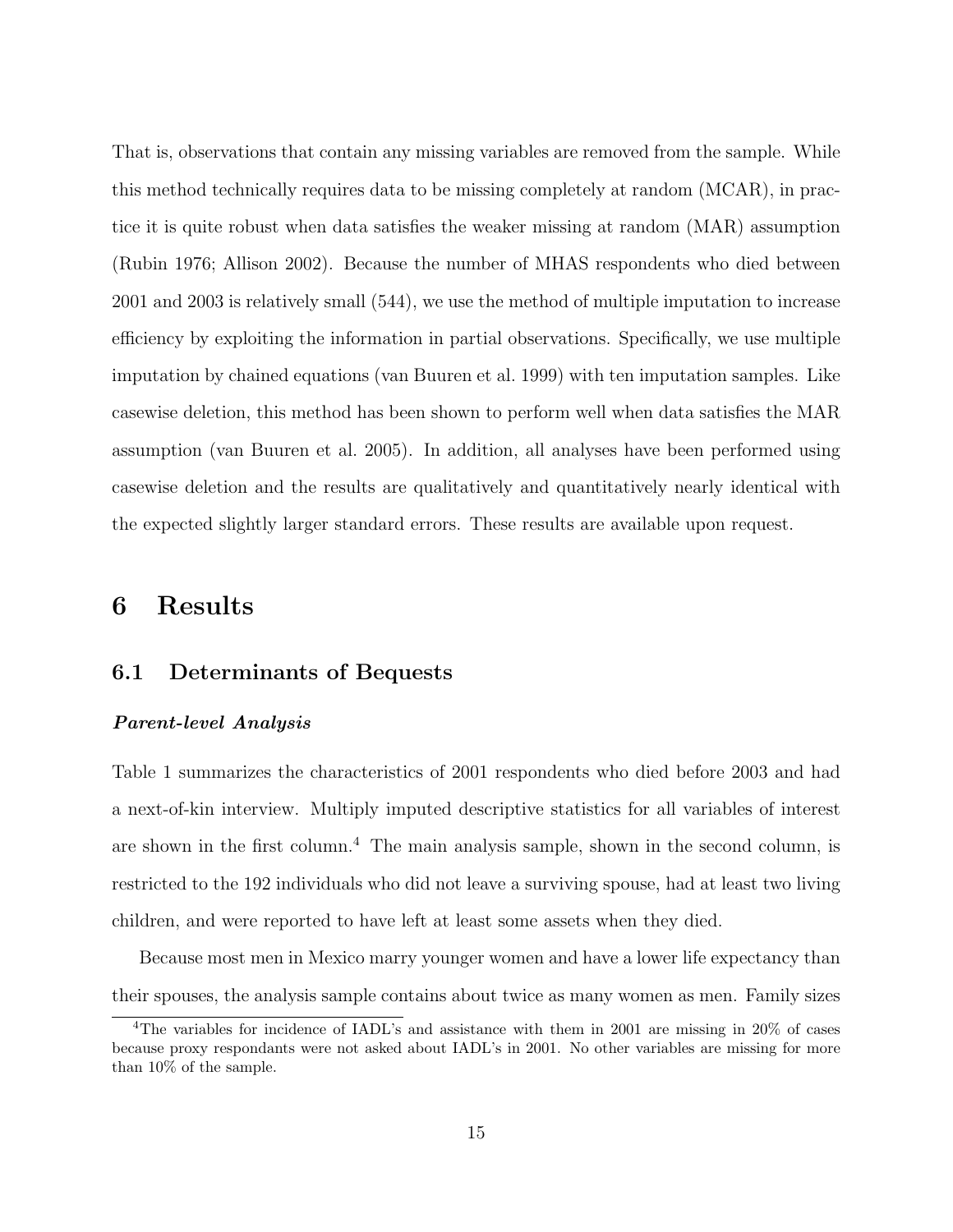That is, observations that contain any missing variables are removed from the sample. While this method technically requires data to be missing completely at random (MCAR), in practice it is quite robust when data satisfies the weaker missing at random (MAR) assumption (Rubin 1976; Allison 2002). Because the number of MHAS respondents who died between 2001 and 2003 is relatively small (544), we use the method of multiple imputation to increase efficiency by exploiting the information in partial observations. Specifically, we use multiple imputation by chained equations (van Buuren et al. 1999) with ten imputation samples. Like casewise deletion, this method has been shown to perform well when data satisfies the MAR assumption (van Buuren et al. 2005). In addition, all analyses have been performed using casewise deletion and the results are qualitatively and quantitatively nearly identical with the expected slightly larger standard errors. These results are available upon request.

# 6 Results

### 6.1 Determinants of Bequests

#### Parent-level Analysis

Table 1 summarizes the characteristics of 2001 respondents who died before 2003 and had a next-of-kin interview. Multiply imputed descriptive statistics for all variables of interest are shown in the first column.<sup>4</sup> The main analysis sample, shown in the second column, is restricted to the 192 individuals who did not leave a surviving spouse, had at least two living children, and were reported to have left at least some assets when they died.

Because most men in Mexico marry younger women and have a lower life expectancy than their spouses, the analysis sample contains about twice as many women as men. Family sizes

<sup>&</sup>lt;sup>4</sup>The variables for incidence of IADL's and assistance with them in 2001 are missing in 20% of cases because proxy respondants were not asked about IADL's in 2001. No other variables are missing for more than 10% of the sample.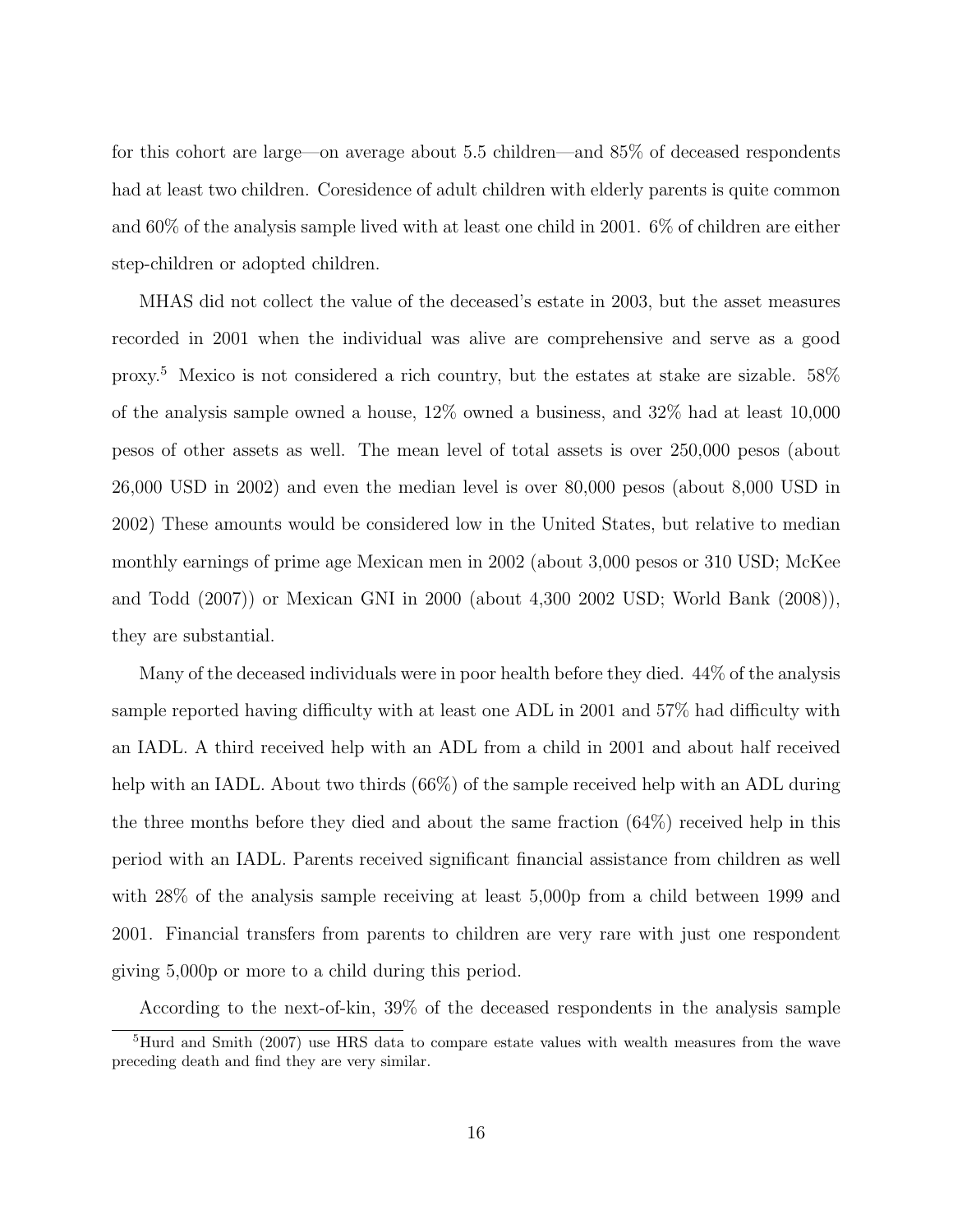for this cohort are large—on average about 5.5 children—and 85% of deceased respondents had at least two children. Coresidence of adult children with elderly parents is quite common and 60% of the analysis sample lived with at least one child in 2001. 6% of children are either step-children or adopted children.

MHAS did not collect the value of the deceased's estate in 2003, but the asset measures recorded in 2001 when the individual was alive are comprehensive and serve as a good proxy.<sup>5</sup> Mexico is not considered a rich country, but the estates at stake are sizable. 58% of the analysis sample owned a house, 12% owned a business, and 32% had at least 10,000 pesos of other assets as well. The mean level of total assets is over 250,000 pesos (about 26,000 USD in 2002) and even the median level is over 80,000 pesos (about 8,000 USD in 2002) These amounts would be considered low in the United States, but relative to median monthly earnings of prime age Mexican men in 2002 (about 3,000 pesos or 310 USD; McKee and Todd (2007)) or Mexican GNI in 2000 (about 4,300 2002 USD; World Bank (2008)), they are substantial.

Many of the deceased individuals were in poor health before they died. 44% of the analysis sample reported having difficulty with at least one ADL in 2001 and 57% had difficulty with an IADL. A third received help with an ADL from a child in 2001 and about half received help with an IADL. About two thirds (66%) of the sample received help with an ADL during the three months before they died and about the same fraction  $(64%)$  received help in this period with an IADL. Parents received significant financial assistance from children as well with  $28\%$  of the analysis sample receiving at least 5,000p from a child between 1999 and 2001. Financial transfers from parents to children are very rare with just one respondent giving 5,000p or more to a child during this period.

According to the next-of-kin, 39% of the deceased respondents in the analysis sample

<sup>5</sup>Hurd and Smith (2007) use HRS data to compare estate values with wealth measures from the wave preceding death and find they are very similar.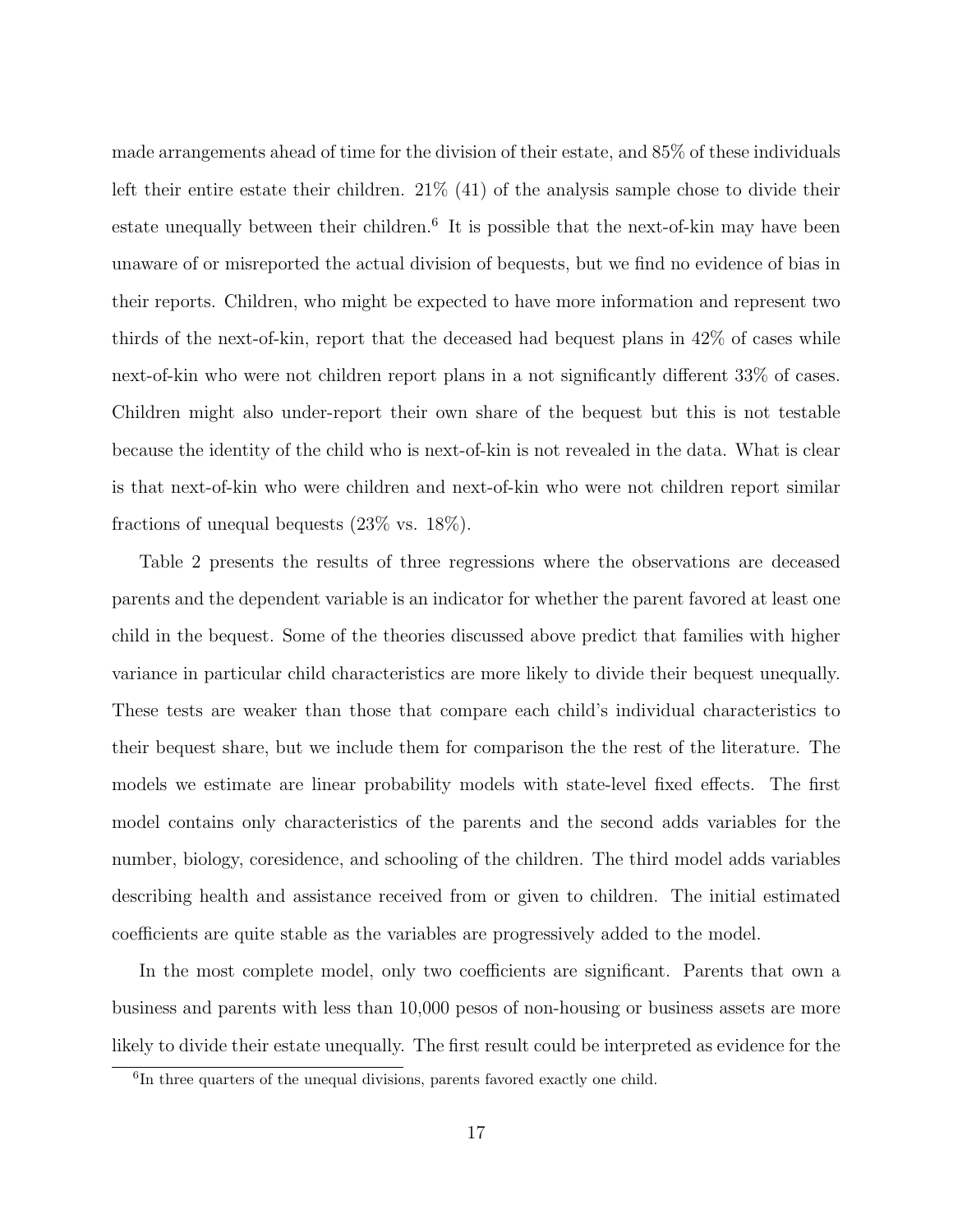made arrangements ahead of time for the division of their estate, and 85% of these individuals left their entire estate their children.  $21\%$  (41) of the analysis sample chose to divide their estate unequally between their children.<sup>6</sup> It is possible that the next-of-kin may have been unaware of or misreported the actual division of bequests, but we find no evidence of bias in their reports. Children, who might be expected to have more information and represent two thirds of the next-of-kin, report that the deceased had bequest plans in 42% of cases while next-of-kin who were not children report plans in a not significantly different 33% of cases. Children might also under-report their own share of the bequest but this is not testable because the identity of the child who is next-of-kin is not revealed in the data. What is clear is that next-of-kin who were children and next-of-kin who were not children report similar fractions of unequal bequests (23% vs. 18%).

Table 2 presents the results of three regressions where the observations are deceased parents and the dependent variable is an indicator for whether the parent favored at least one child in the bequest. Some of the theories discussed above predict that families with higher variance in particular child characteristics are more likely to divide their bequest unequally. These tests are weaker than those that compare each child's individual characteristics to their bequest share, but we include them for comparison the the rest of the literature. The models we estimate are linear probability models with state-level fixed effects. The first model contains only characteristics of the parents and the second adds variables for the number, biology, coresidence, and schooling of the children. The third model adds variables describing health and assistance received from or given to children. The initial estimated coefficients are quite stable as the variables are progressively added to the model.

In the most complete model, only two coefficients are significant. Parents that own a business and parents with less than 10,000 pesos of non-housing or business assets are more likely to divide their estate unequally. The first result could be interpreted as evidence for the

<sup>&</sup>lt;sup>6</sup>In three quarters of the unequal divisions, parents favored exactly one child.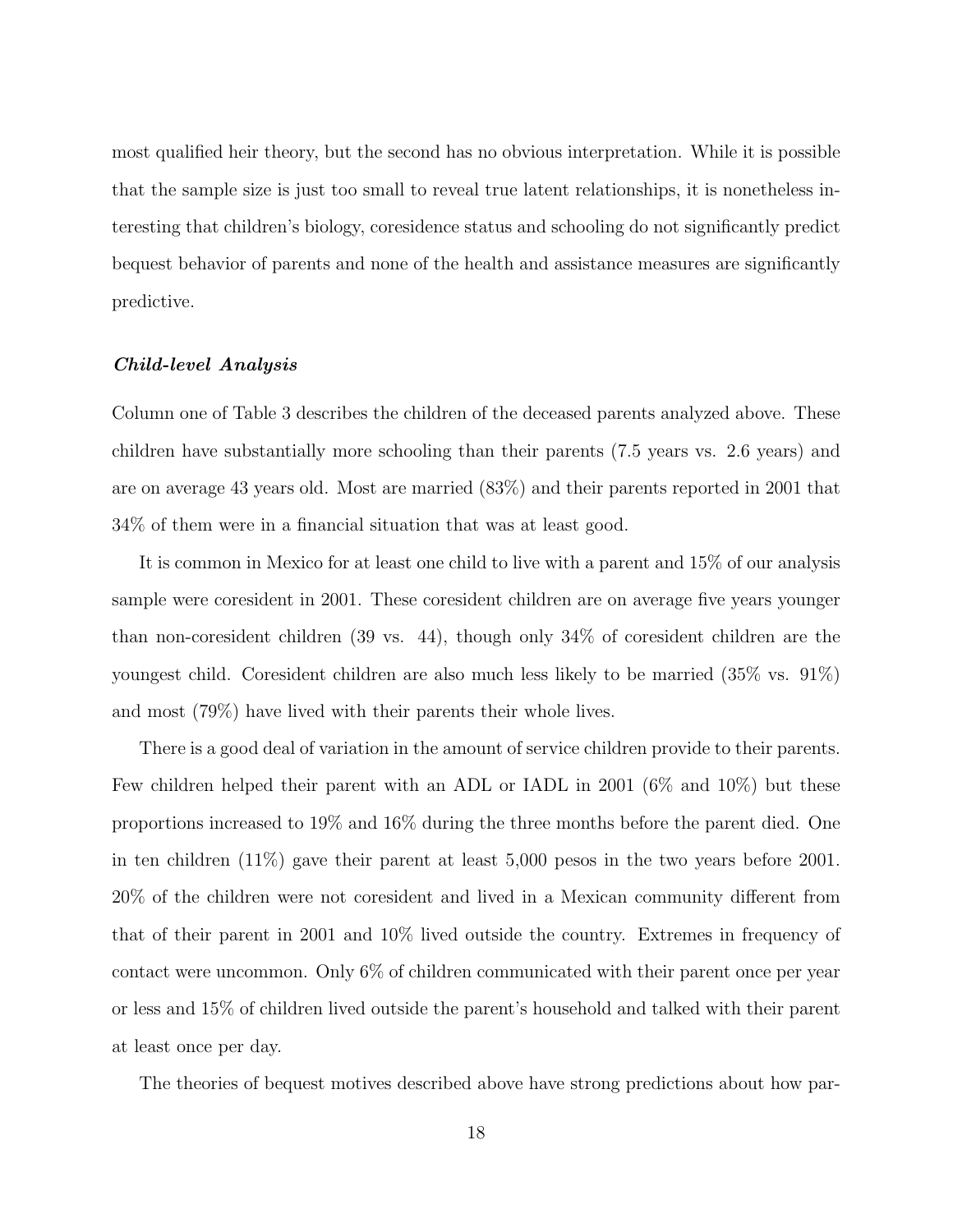most qualified heir theory, but the second has no obvious interpretation. While it is possible that the sample size is just too small to reveal true latent relationships, it is nonetheless interesting that children's biology, coresidence status and schooling do not significantly predict bequest behavior of parents and none of the health and assistance measures are significantly predictive.

#### Child-level Analysis

Column one of Table 3 describes the children of the deceased parents analyzed above. These children have substantially more schooling than their parents (7.5 years vs. 2.6 years) and are on average 43 years old. Most are married (83%) and their parents reported in 2001 that 34% of them were in a financial situation that was at least good.

It is common in Mexico for at least one child to live with a parent and 15% of our analysis sample were coresident in 2001. These coresident children are on average five years younger than non-coresident children (39 vs. 44), though only 34% of coresident children are the youngest child. Coresident children are also much less likely to be married (35% vs. 91%) and most (79%) have lived with their parents their whole lives.

There is a good deal of variation in the amount of service children provide to their parents. Few children helped their parent with an ADL or IADL in 2001 (6% and 10%) but these proportions increased to 19% and 16% during the three months before the parent died. One in ten children (11%) gave their parent at least 5,000 pesos in the two years before 2001. 20% of the children were not coresident and lived in a Mexican community different from that of their parent in 2001 and 10% lived outside the country. Extremes in frequency of contact were uncommon. Only 6% of children communicated with their parent once per year or less and 15% of children lived outside the parent's household and talked with their parent at least once per day.

The theories of bequest motives described above have strong predictions about how par-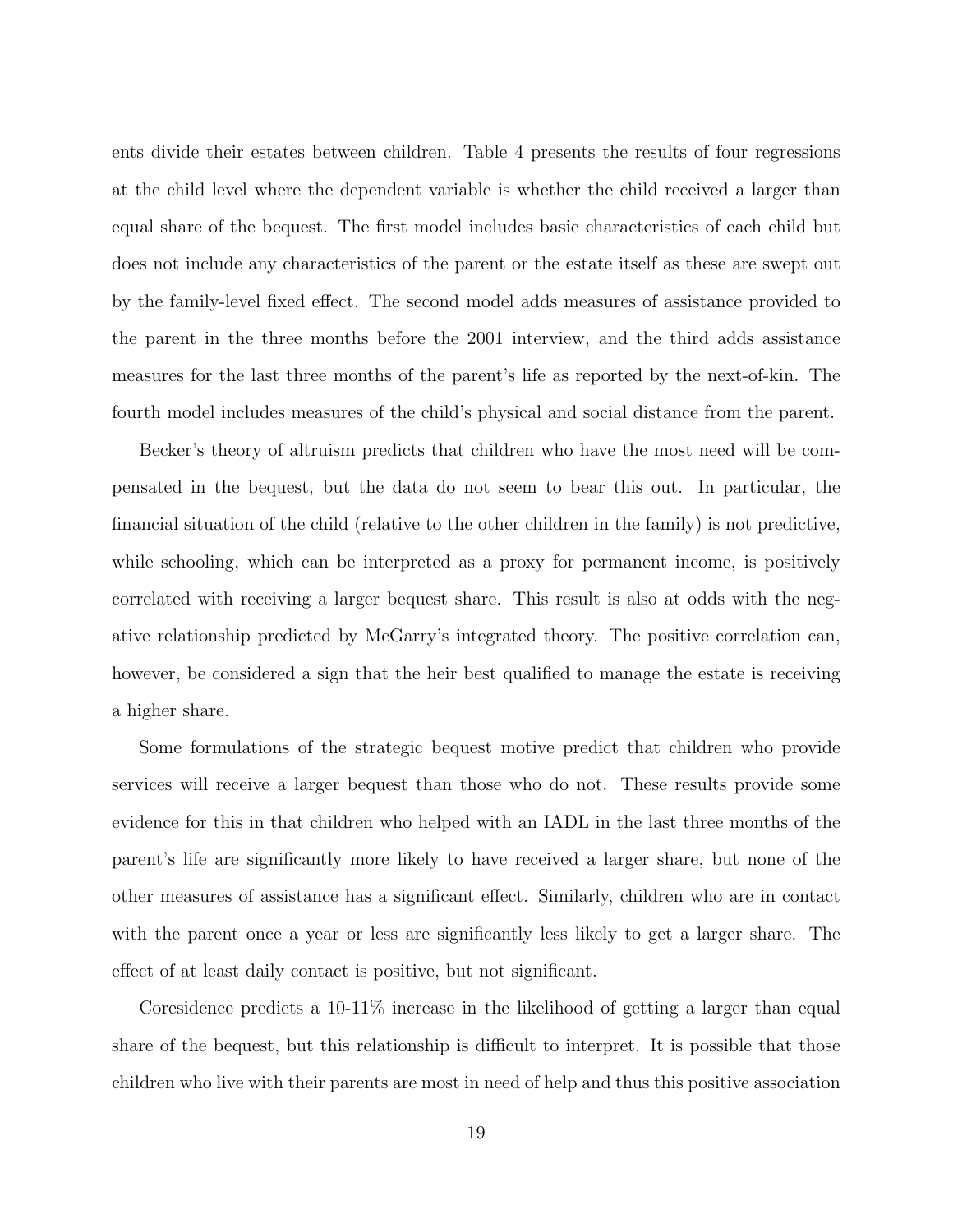ents divide their estates between children. Table 4 presents the results of four regressions at the child level where the dependent variable is whether the child received a larger than equal share of the bequest. The first model includes basic characteristics of each child but does not include any characteristics of the parent or the estate itself as these are swept out by the family-level fixed effect. The second model adds measures of assistance provided to the parent in the three months before the 2001 interview, and the third adds assistance measures for the last three months of the parent's life as reported by the next-of-kin. The fourth model includes measures of the child's physical and social distance from the parent.

Becker's theory of altruism predicts that children who have the most need will be compensated in the bequest, but the data do not seem to bear this out. In particular, the financial situation of the child (relative to the other children in the family) is not predictive, while schooling, which can be interpreted as a proxy for permanent income, is positively correlated with receiving a larger bequest share. This result is also at odds with the negative relationship predicted by McGarry's integrated theory. The positive correlation can, however, be considered a sign that the heir best qualified to manage the estate is receiving a higher share.

Some formulations of the strategic bequest motive predict that children who provide services will receive a larger bequest than those who do not. These results provide some evidence for this in that children who helped with an IADL in the last three months of the parent's life are significantly more likely to have received a larger share, but none of the other measures of assistance has a significant effect. Similarly, children who are in contact with the parent once a year or less are significantly less likely to get a larger share. The effect of at least daily contact is positive, but not significant.

Coresidence predicts a 10-11% increase in the likelihood of getting a larger than equal share of the bequest, but this relationship is difficult to interpret. It is possible that those children who live with their parents are most in need of help and thus this positive association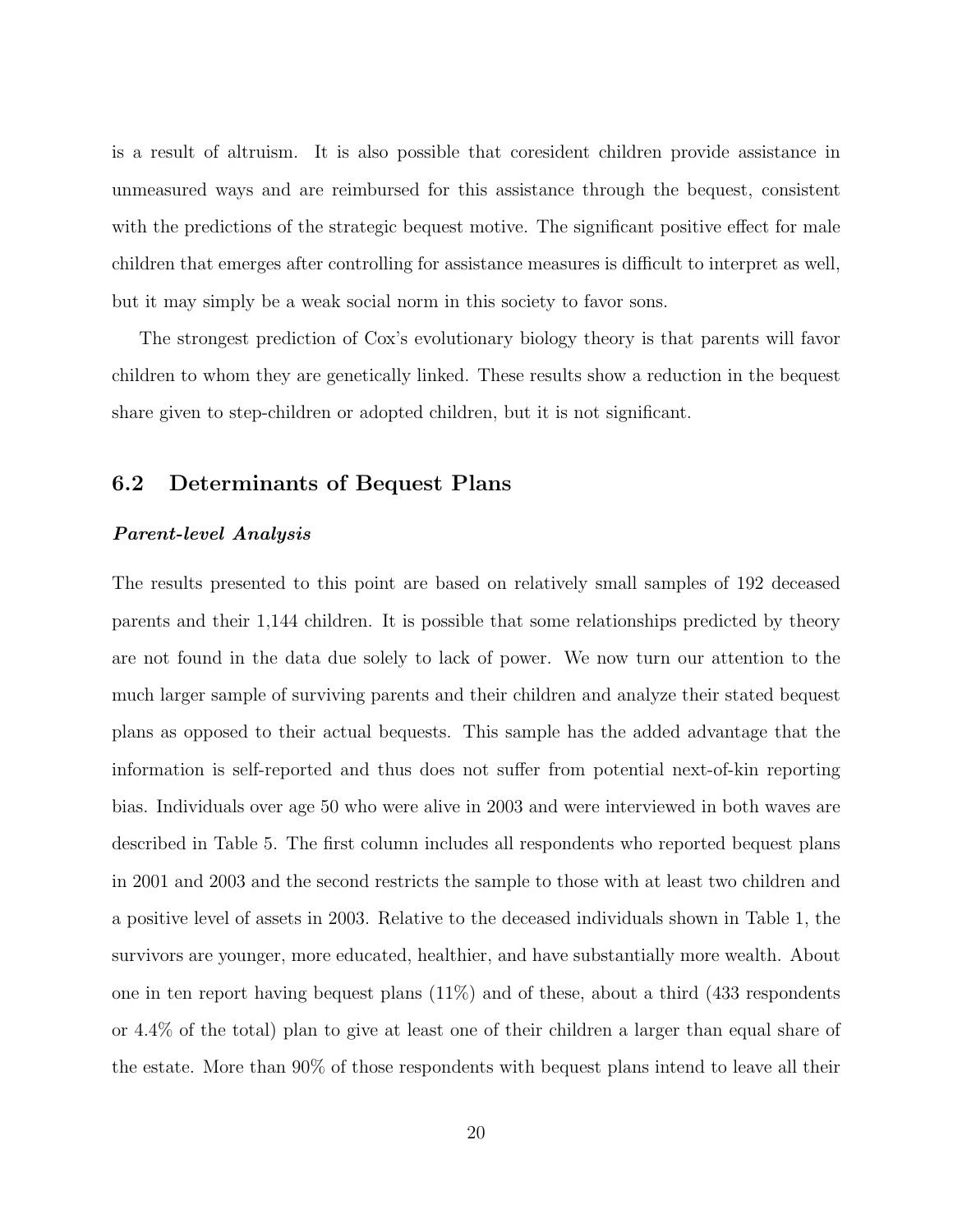is a result of altruism. It is also possible that coresident children provide assistance in unmeasured ways and are reimbursed for this assistance through the bequest, consistent with the predictions of the strategic bequest motive. The significant positive effect for male children that emerges after controlling for assistance measures is difficult to interpret as well, but it may simply be a weak social norm in this society to favor sons.

The strongest prediction of Cox's evolutionary biology theory is that parents will favor children to whom they are genetically linked. These results show a reduction in the bequest share given to step-children or adopted children, but it is not significant.

### 6.2 Determinants of Bequest Plans

#### Parent-level Analysis

The results presented to this point are based on relatively small samples of 192 deceased parents and their 1,144 children. It is possible that some relationships predicted by theory are not found in the data due solely to lack of power. We now turn our attention to the much larger sample of surviving parents and their children and analyze their stated bequest plans as opposed to their actual bequests. This sample has the added advantage that the information is self-reported and thus does not suffer from potential next-of-kin reporting bias. Individuals over age 50 who were alive in 2003 and were interviewed in both waves are described in Table 5. The first column includes all respondents who reported bequest plans in 2001 and 2003 and the second restricts the sample to those with at least two children and a positive level of assets in 2003. Relative to the deceased individuals shown in Table 1, the survivors are younger, more educated, healthier, and have substantially more wealth. About one in ten report having bequest plans (11%) and of these, about a third (433 respondents or 4.4% of the total) plan to give at least one of their children a larger than equal share of the estate. More than 90% of those respondents with bequest plans intend to leave all their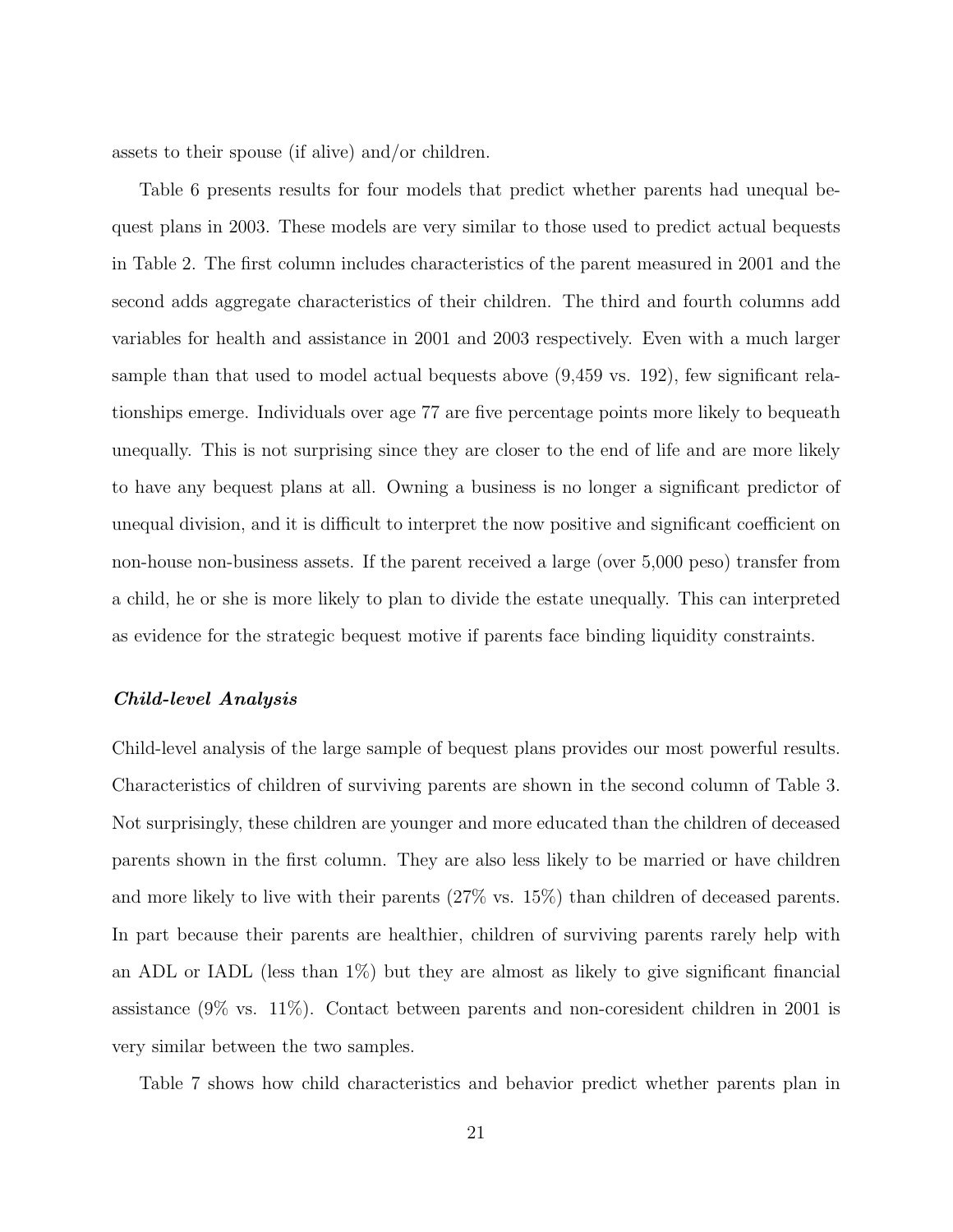assets to their spouse (if alive) and/or children.

Table 6 presents results for four models that predict whether parents had unequal bequest plans in 2003. These models are very similar to those used to predict actual bequests in Table 2. The first column includes characteristics of the parent measured in 2001 and the second adds aggregate characteristics of their children. The third and fourth columns add variables for health and assistance in 2001 and 2003 respectively. Even with a much larger sample than that used to model actual bequests above (9,459 vs. 192), few significant relationships emerge. Individuals over age 77 are five percentage points more likely to bequeath unequally. This is not surprising since they are closer to the end of life and are more likely to have any bequest plans at all. Owning a business is no longer a significant predictor of unequal division, and it is difficult to interpret the now positive and significant coefficient on non-house non-business assets. If the parent received a large (over 5,000 peso) transfer from a child, he or she is more likely to plan to divide the estate unequally. This can interpreted as evidence for the strategic bequest motive if parents face binding liquidity constraints.

#### Child-level Analysis

Child-level analysis of the large sample of bequest plans provides our most powerful results. Characteristics of children of surviving parents are shown in the second column of Table 3. Not surprisingly, these children are younger and more educated than the children of deceased parents shown in the first column. They are also less likely to be married or have children and more likely to live with their parents (27% vs. 15%) than children of deceased parents. In part because their parents are healthier, children of surviving parents rarely help with an ADL or IADL (less than 1%) but they are almost as likely to give significant financial assistance (9% vs. 11%). Contact between parents and non-coresident children in 2001 is very similar between the two samples.

Table 7 shows how child characteristics and behavior predict whether parents plan in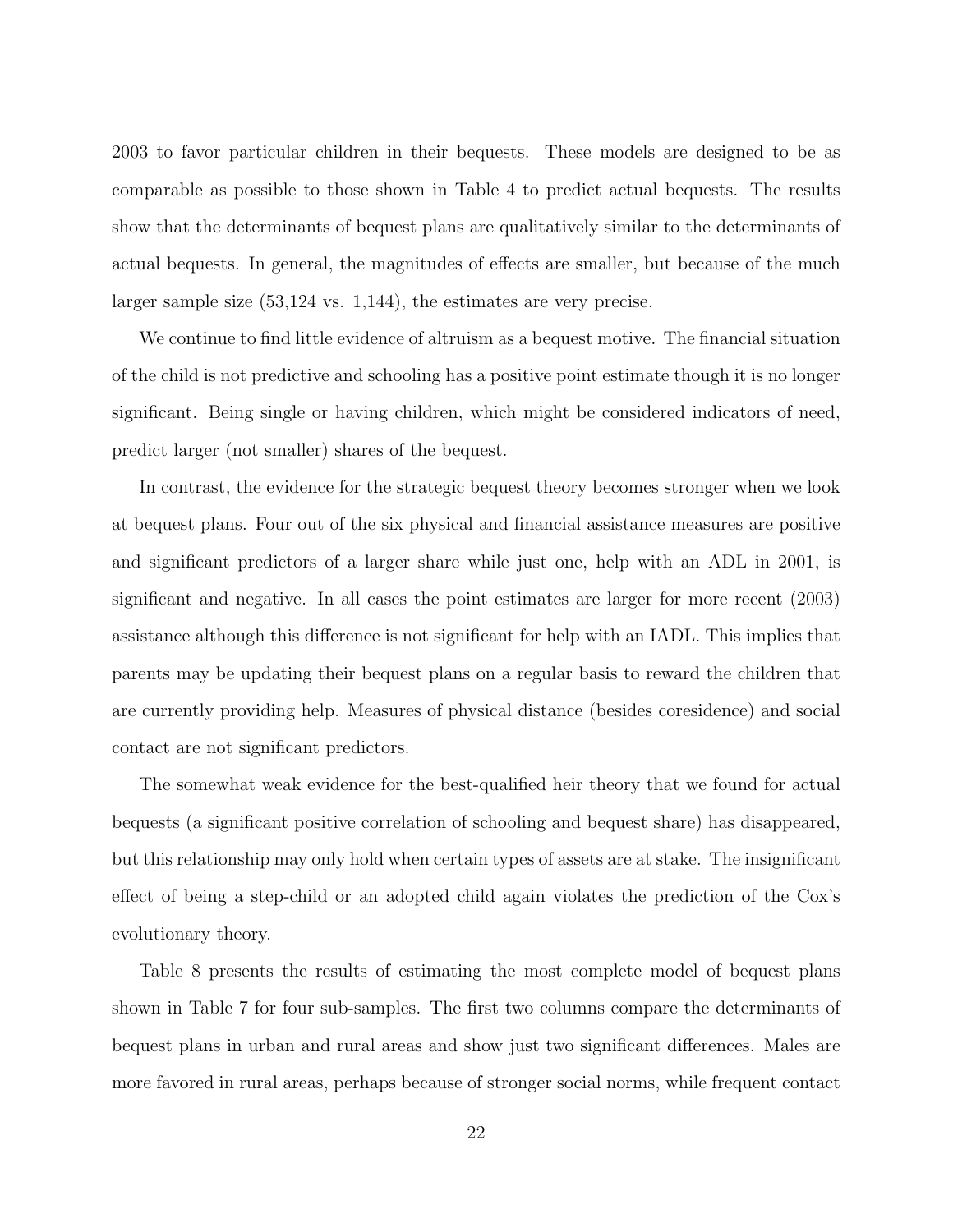2003 to favor particular children in their bequests. These models are designed to be as comparable as possible to those shown in Table 4 to predict actual bequests. The results show that the determinants of bequest plans are qualitatively similar to the determinants of actual bequests. In general, the magnitudes of effects are smaller, but because of the much larger sample size (53,124 vs. 1,144), the estimates are very precise.

We continue to find little evidence of altruism as a bequest motive. The financial situation of the child is not predictive and schooling has a positive point estimate though it is no longer significant. Being single or having children, which might be considered indicators of need, predict larger (not smaller) shares of the bequest.

In contrast, the evidence for the strategic bequest theory becomes stronger when we look at bequest plans. Four out of the six physical and financial assistance measures are positive and significant predictors of a larger share while just one, help with an ADL in 2001, is significant and negative. In all cases the point estimates are larger for more recent (2003) assistance although this difference is not significant for help with an IADL. This implies that parents may be updating their bequest plans on a regular basis to reward the children that are currently providing help. Measures of physical distance (besides coresidence) and social contact are not significant predictors.

The somewhat weak evidence for the best-qualified heir theory that we found for actual bequests (a significant positive correlation of schooling and bequest share) has disappeared, but this relationship may only hold when certain types of assets are at stake. The insignificant effect of being a step-child or an adopted child again violates the prediction of the Cox's evolutionary theory.

Table 8 presents the results of estimating the most complete model of bequest plans shown in Table 7 for four sub-samples. The first two columns compare the determinants of bequest plans in urban and rural areas and show just two significant differences. Males are more favored in rural areas, perhaps because of stronger social norms, while frequent contact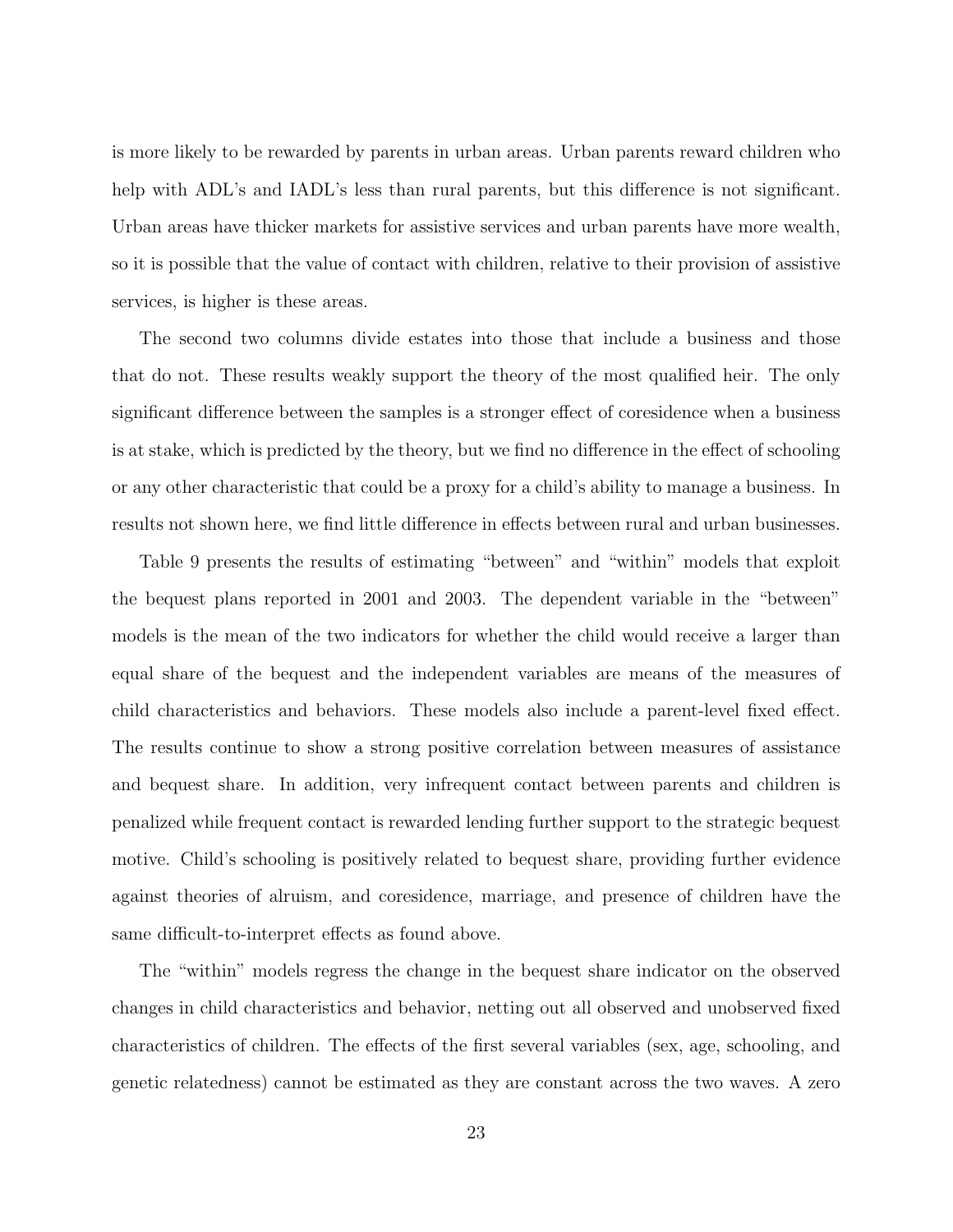is more likely to be rewarded by parents in urban areas. Urban parents reward children who help with ADL's and IADL's less than rural parents, but this difference is not significant. Urban areas have thicker markets for assistive services and urban parents have more wealth, so it is possible that the value of contact with children, relative to their provision of assistive services, is higher is these areas.

The second two columns divide estates into those that include a business and those that do not. These results weakly support the theory of the most qualified heir. The only significant difference between the samples is a stronger effect of coresidence when a business is at stake, which is predicted by the theory, but we find no difference in the effect of schooling or any other characteristic that could be a proxy for a child's ability to manage a business. In results not shown here, we find little difference in effects between rural and urban businesses.

Table 9 presents the results of estimating "between" and "within" models that exploit the bequest plans reported in 2001 and 2003. The dependent variable in the "between" models is the mean of the two indicators for whether the child would receive a larger than equal share of the bequest and the independent variables are means of the measures of child characteristics and behaviors. These models also include a parent-level fixed effect. The results continue to show a strong positive correlation between measures of assistance and bequest share. In addition, very infrequent contact between parents and children is penalized while frequent contact is rewarded lending further support to the strategic bequest motive. Child's schooling is positively related to bequest share, providing further evidence against theories of alruism, and coresidence, marriage, and presence of children have the same difficult-to-interpret effects as found above.

The "within" models regress the change in the bequest share indicator on the observed changes in child characteristics and behavior, netting out all observed and unobserved fixed characteristics of children. The effects of the first several variables (sex, age, schooling, and genetic relatedness) cannot be estimated as they are constant across the two waves. A zero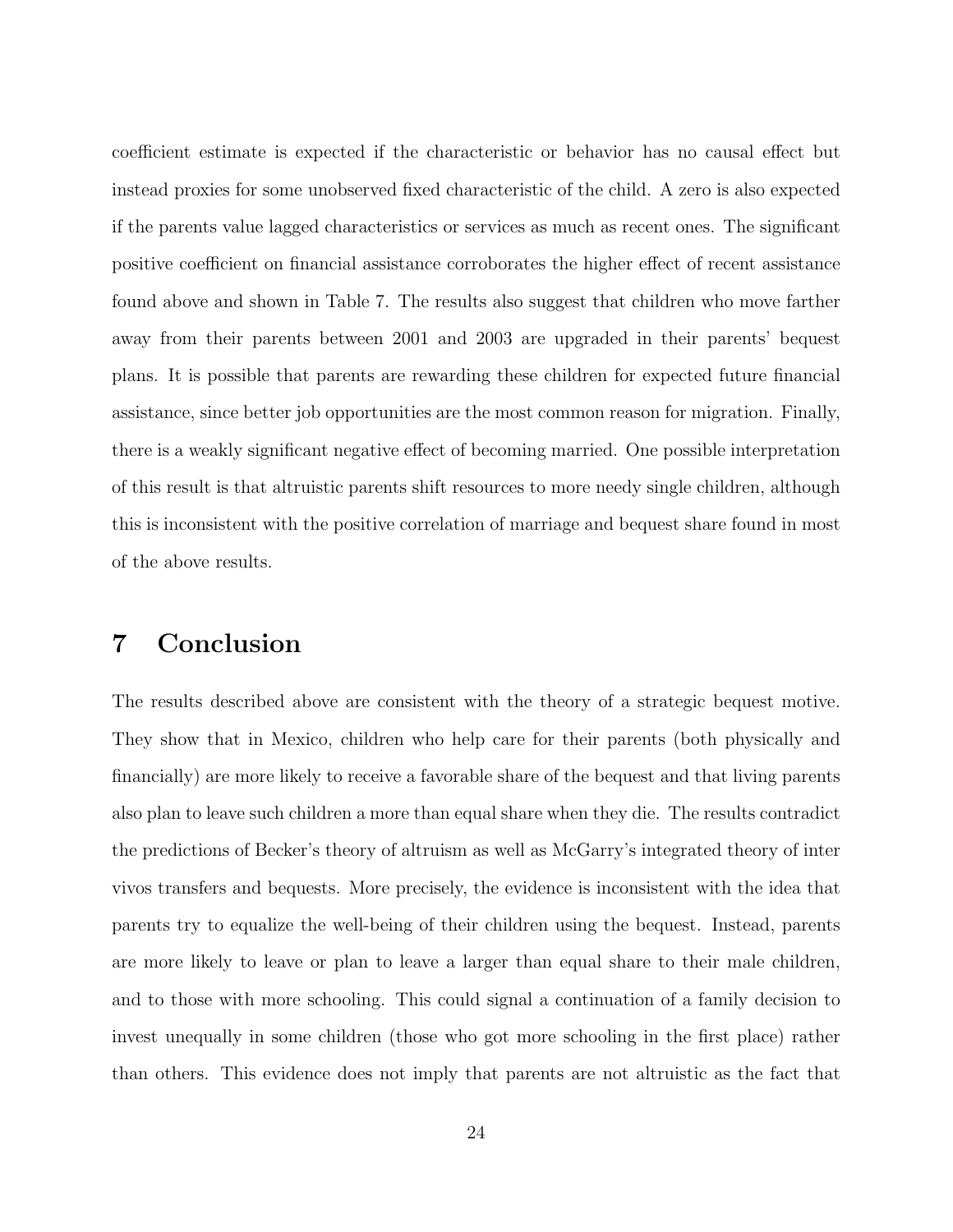coefficient estimate is expected if the characteristic or behavior has no causal effect but instead proxies for some unobserved fixed characteristic of the child. A zero is also expected if the parents value lagged characteristics or services as much as recent ones. The significant positive coefficient on financial assistance corroborates the higher effect of recent assistance found above and shown in Table 7. The results also suggest that children who move farther away from their parents between 2001 and 2003 are upgraded in their parents' bequest plans. It is possible that parents are rewarding these children for expected future financial assistance, since better job opportunities are the most common reason for migration. Finally, there is a weakly significant negative effect of becoming married. One possible interpretation of this result is that altruistic parents shift resources to more needy single children, although this is inconsistent with the positive correlation of marriage and bequest share found in most of the above results.

# 7 Conclusion

The results described above are consistent with the theory of a strategic bequest motive. They show that in Mexico, children who help care for their parents (both physically and financially) are more likely to receive a favorable share of the bequest and that living parents also plan to leave such children a more than equal share when they die. The results contradict the predictions of Becker's theory of altruism as well as McGarry's integrated theory of inter vivos transfers and bequests. More precisely, the evidence is inconsistent with the idea that parents try to equalize the well-being of their children using the bequest. Instead, parents are more likely to leave or plan to leave a larger than equal share to their male children, and to those with more schooling. This could signal a continuation of a family decision to invest unequally in some children (those who got more schooling in the first place) rather than others. This evidence does not imply that parents are not altruistic as the fact that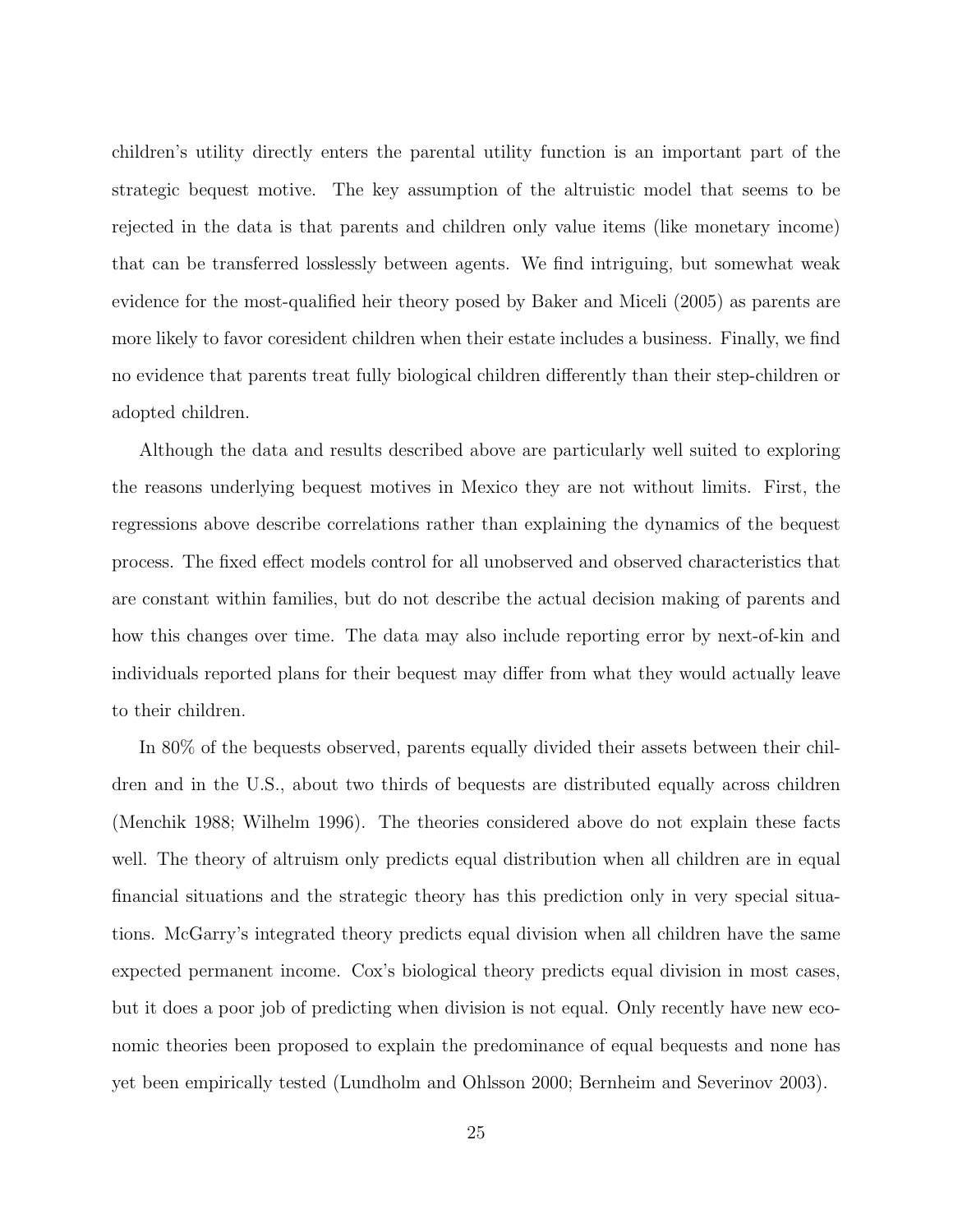children's utility directly enters the parental utility function is an important part of the strategic bequest motive. The key assumption of the altruistic model that seems to be rejected in the data is that parents and children only value items (like monetary income) that can be transferred losslessly between agents. We find intriguing, but somewhat weak evidence for the most-qualified heir theory posed by Baker and Miceli (2005) as parents are more likely to favor coresident children when their estate includes a business. Finally, we find no evidence that parents treat fully biological children differently than their step-children or adopted children.

Although the data and results described above are particularly well suited to exploring the reasons underlying bequest motives in Mexico they are not without limits. First, the regressions above describe correlations rather than explaining the dynamics of the bequest process. The fixed effect models control for all unobserved and observed characteristics that are constant within families, but do not describe the actual decision making of parents and how this changes over time. The data may also include reporting error by next-of-kin and individuals reported plans for their bequest may differ from what they would actually leave to their children.

In 80% of the bequests observed, parents equally divided their assets between their children and in the U.S., about two thirds of bequests are distributed equally across children (Menchik 1988; Wilhelm 1996). The theories considered above do not explain these facts well. The theory of altruism only predicts equal distribution when all children are in equal financial situations and the strategic theory has this prediction only in very special situations. McGarry's integrated theory predicts equal division when all children have the same expected permanent income. Cox's biological theory predicts equal division in most cases, but it does a poor job of predicting when division is not equal. Only recently have new economic theories been proposed to explain the predominance of equal bequests and none has yet been empirically tested (Lundholm and Ohlsson 2000; Bernheim and Severinov 2003).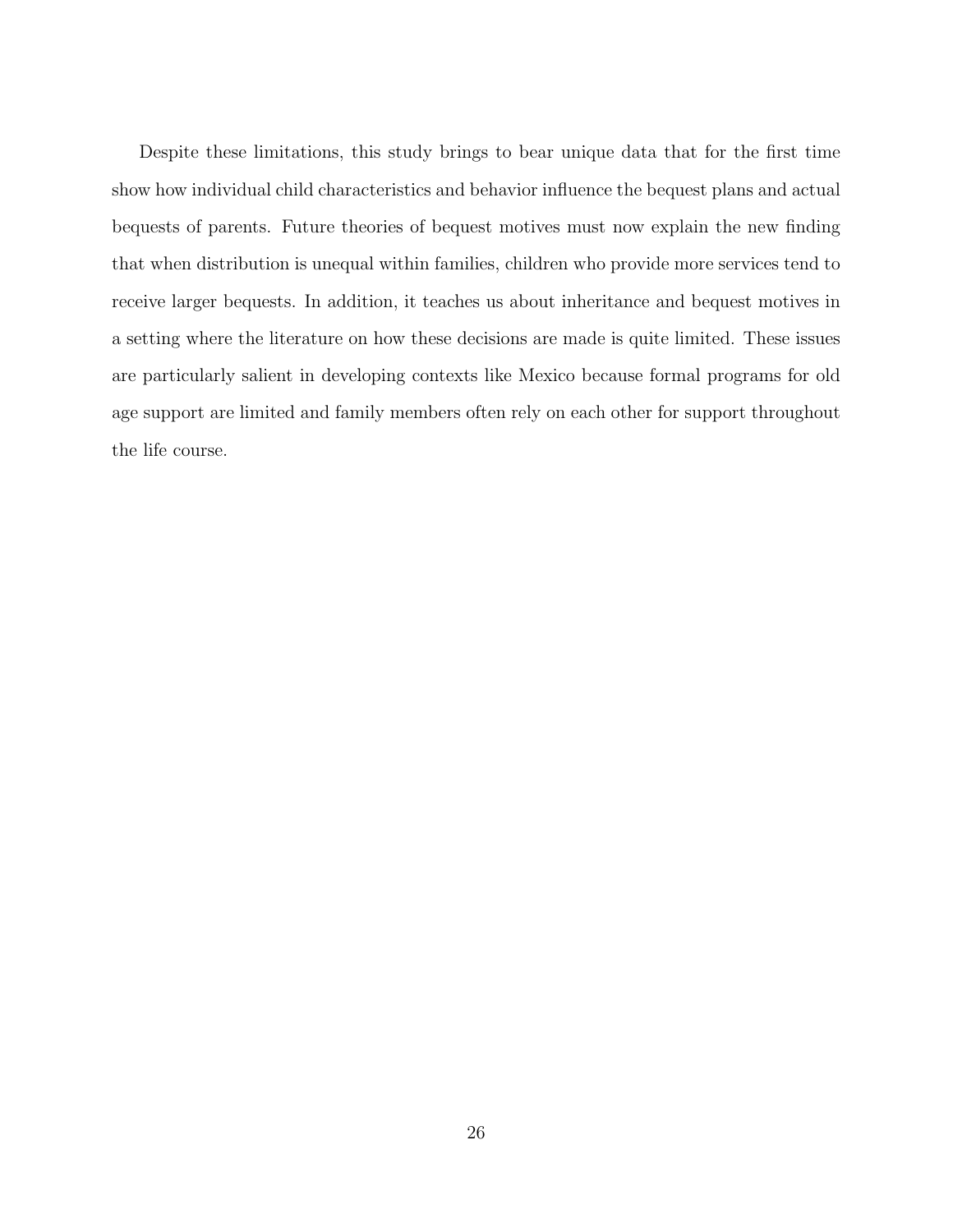Despite these limitations, this study brings to bear unique data that for the first time show how individual child characteristics and behavior influence the bequest plans and actual bequests of parents. Future theories of bequest motives must now explain the new finding that when distribution is unequal within families, children who provide more services tend to receive larger bequests. In addition, it teaches us about inheritance and bequest motives in a setting where the literature on how these decisions are made is quite limited. These issues are particularly salient in developing contexts like Mexico because formal programs for old age support are limited and family members often rely on each other for support throughout the life course.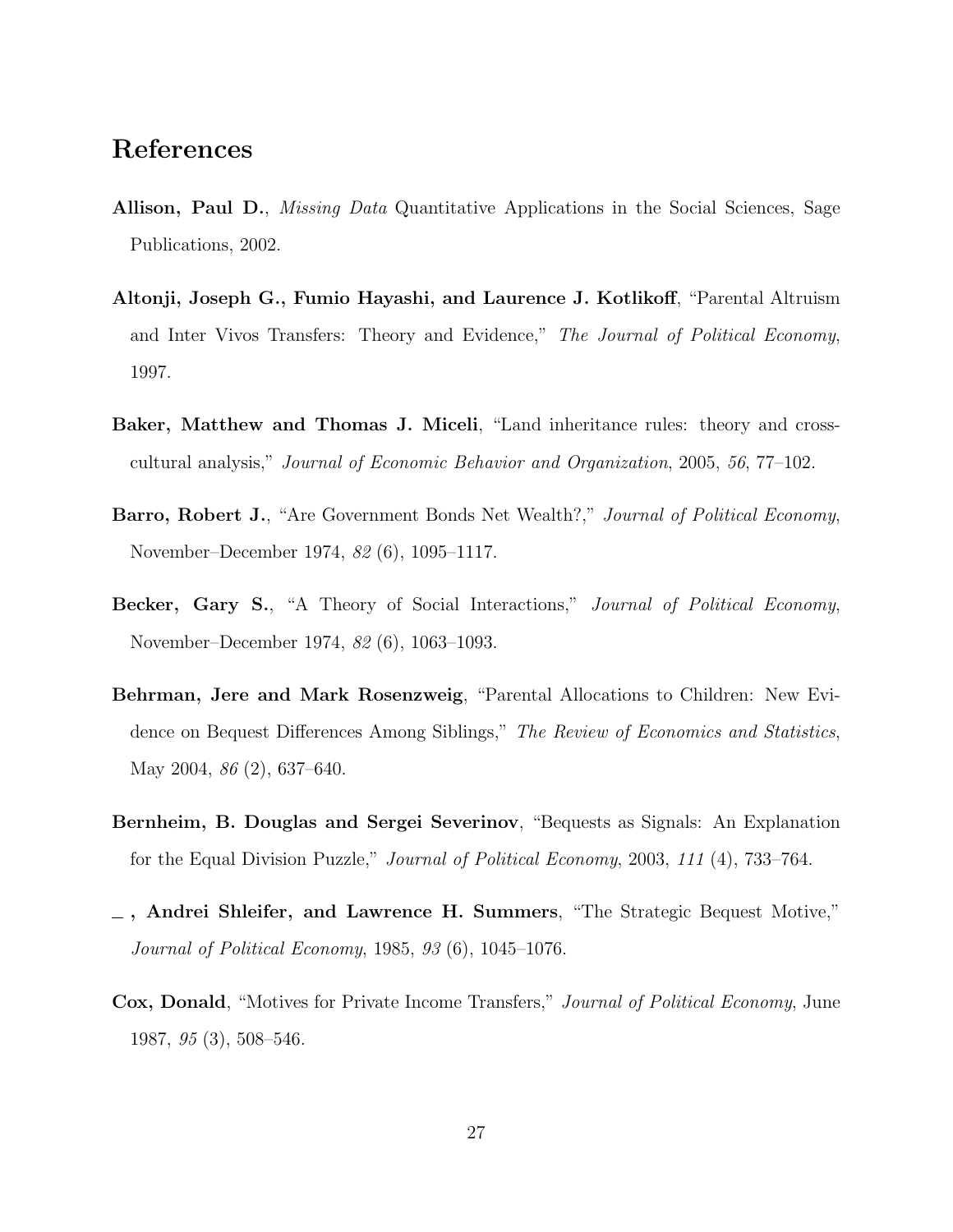# References

- Allison, Paul D., *Missing Data* Quantitative Applications in the Social Sciences, Sage Publications, 2002.
- Altonji, Joseph G., Fumio Hayashi, and Laurence J. Kotlikoff, "Parental Altruism and Inter Vivos Transfers: Theory and Evidence," The Journal of Political Economy, 1997.
- Baker, Matthew and Thomas J. Miceli, "Land inheritance rules: theory and crosscultural analysis," Journal of Economic Behavior and Organization, 2005, 56, 77–102.
- Barro, Robert J., "Are Government Bonds Net Wealth?," Journal of Political Economy, November–December 1974, 82 (6), 1095–1117.
- Becker, Gary S., "A Theory of Social Interactions," Journal of Political Economy, November–December 1974, 82 (6), 1063–1093.
- Behrman, Jere and Mark Rosenzweig, "Parental Allocations to Children: New Evidence on Bequest Differences Among Siblings," The Review of Economics and Statistics, May 2004, 86 (2), 637–640.
- Bernheim, B. Douglas and Sergei Severinov, "Bequests as Signals: An Explanation for the Equal Division Puzzle," Journal of Political Economy, 2003, 111 (4), 733–764.
- $\overline{\phantom{a}}$ , Andrei Shleifer, and Lawrence H. Summers, "The Strategic Bequest Motive," Journal of Political Economy, 1985, 93 (6), 1045–1076.
- Cox, Donald, "Motives for Private Income Transfers," Journal of Political Economy, June 1987, 95 (3), 508–546.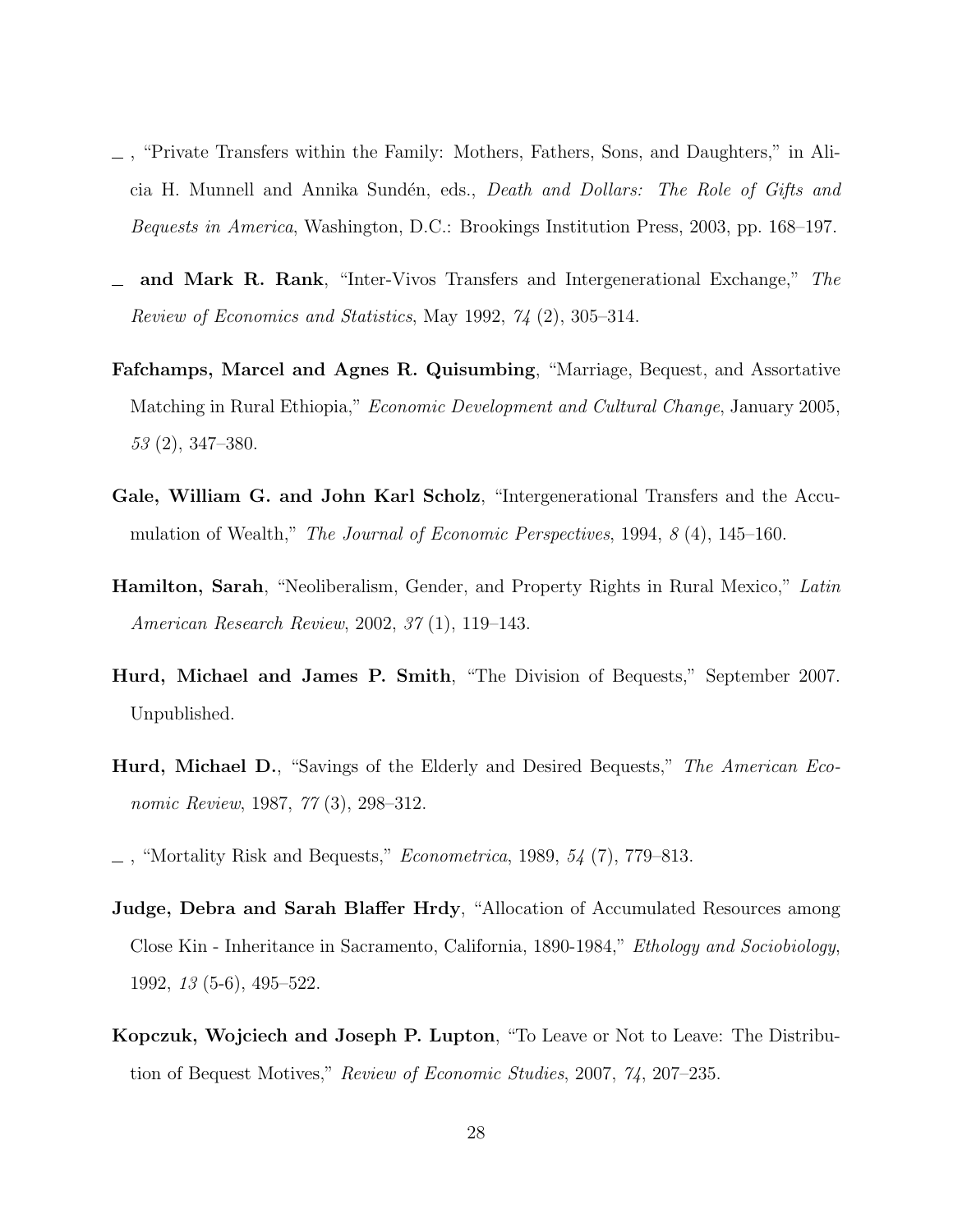- , "Private Transfers within the Family: Mothers, Fathers, Sons, and Daughters," in Alicia H. Munnell and Annika Sundén, eds., *Death and Dollars: The Role of Gifts and* Bequests in America, Washington, D.C.: Brookings Institution Press, 2003, pp. 168–197.
- and Mark R. Rank, "Inter-Vivos Transfers and Intergenerational Exchange," The Review of Economics and Statistics, May 1992, 74 (2), 305–314.
- Fafchamps, Marcel and Agnes R. Quisumbing, "Marriage, Bequest, and Assortative Matching in Rural Ethiopia," Economic Development and Cultural Change, January 2005, 53 (2), 347–380.
- Gale, William G. and John Karl Scholz, "Intergenerational Transfers and the Accumulation of Wealth," The Journal of Economic Perspectives, 1994, 8 (4), 145–160.
- **Hamilton, Sarah**, "Neoliberalism, Gender, and Property Rights in Rural Mexico," Latin American Research Review, 2002, 37 (1), 119–143.
- Hurd, Michael and James P. Smith, "The Division of Bequests," September 2007. Unpublished.
- **Hurd, Michael D.**, "Savings of the Elderly and Desired Bequests," *The American Eco*nomic Review, 1987, 77 (3), 298–312.
- "Mortality Risk and Bequests," *Econometrica*, 1989,  $54$  (7), 779–813.
- Judge, Debra and Sarah Blaffer Hrdy, "Allocation of Accumulated Resources among Close Kin - Inheritance in Sacramento, California, 1890-1984," Ethology and Sociobiology, 1992, 13 (5-6), 495–522.
- Kopczuk, Wojciech and Joseph P. Lupton, "To Leave or Not to Leave: The Distribution of Bequest Motives," Review of Economic Studies, 2007, 74, 207–235.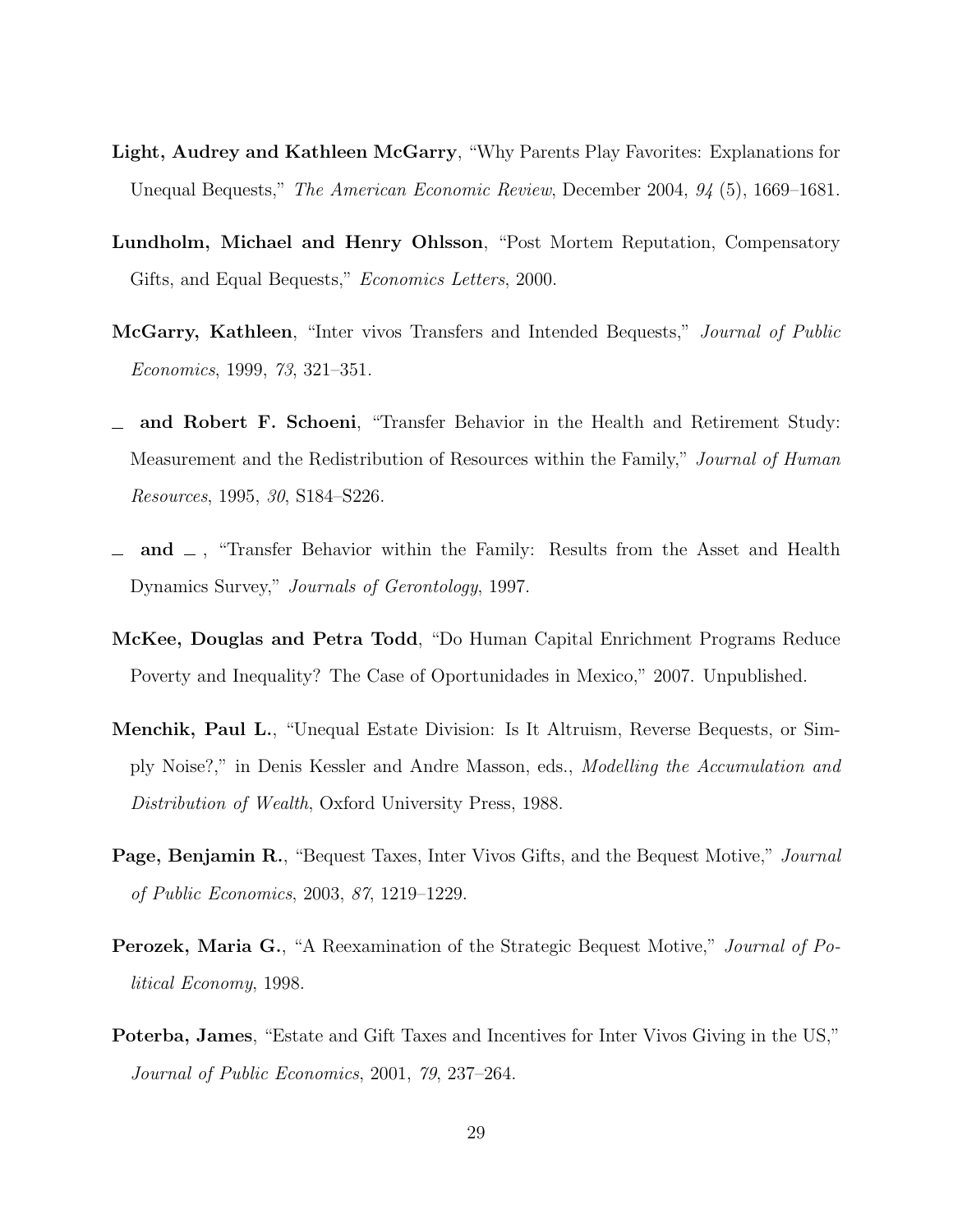- Light, Audrey and Kathleen McGarry, "Why Parents Play Favorites: Explanations for Unequal Bequests," The American Economic Review, December 2004, 94 (5), 1669–1681.
- Lundholm, Michael and Henry Ohlsson, "Post Mortem Reputation, Compensatory Gifts, and Equal Bequests," Economics Letters, 2000.
- McGarry, Kathleen, "Inter vivos Transfers and Intended Bequests," Journal of Public Economics, 1999, 73, 321–351.
- and Robert F. Schoeni, "Transfer Behavior in the Health and Retirement Study: Measurement and the Redistribution of Resources within the Family," Journal of Human Resources, 1995, 30, S184–S226.
- $\Box$  and  $\Box$ , "Transfer Behavior within the Family: Results from the Asset and Health Dynamics Survey," Journals of Gerontology, 1997.
- McKee, Douglas and Petra Todd, "Do Human Capital Enrichment Programs Reduce Poverty and Inequality? The Case of Oportunidades in Mexico," 2007. Unpublished.
- Menchik, Paul L., "Unequal Estate Division: Is It Altruism, Reverse Bequests, or Simply Noise?," in Denis Kessler and Andre Masson, eds., Modelling the Accumulation and Distribution of Wealth, Oxford University Press, 1988.
- **Page, Benjamin R.,** "Bequest Taxes, Inter Vivos Gifts, and the Bequest Motive," *Journal* of Public Economics, 2003, 87, 1219–1229.
- Perozek, Maria G., "A Reexamination of the Strategic Bequest Motive," Journal of Political Economy, 1998.
- Poterba, James, "Estate and Gift Taxes and Incentives for Inter Vivos Giving in the US," Journal of Public Economics, 2001, 79, 237–264.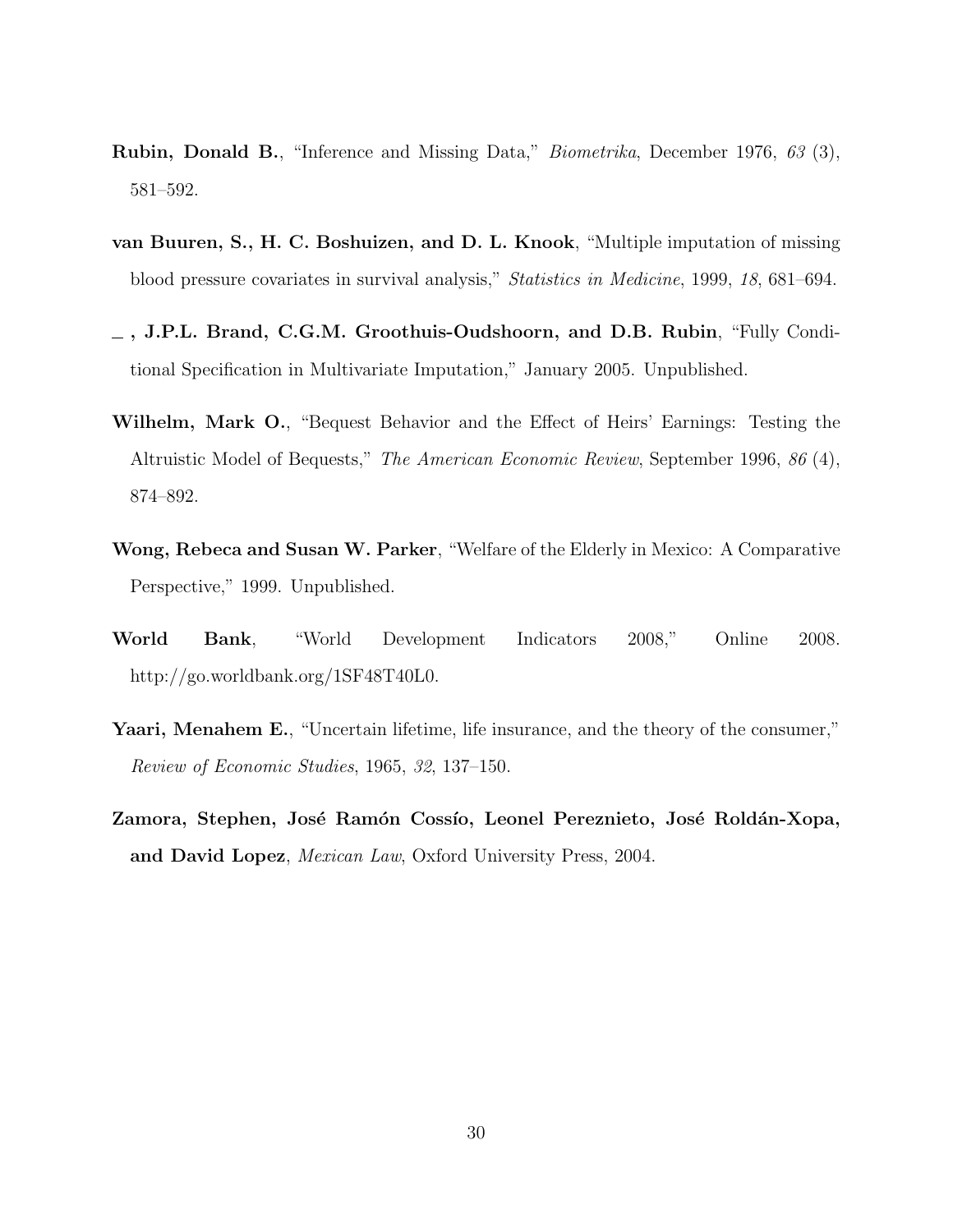- Rubin, Donald B., "Inference and Missing Data," Biometrika, December 1976, 63 (3), 581–592.
- van Buuren, S., H. C. Boshuizen, and D. L. Knook, "Multiple imputation of missing blood pressure covariates in survival analysis," Statistics in Medicine, 1999, 18, 681–694.
- $_$ , J.P.L. Brand, C.G.M. Groothuis-Oudshoorn, and D.B. Rubin, "Fully Conditional Specification in Multivariate Imputation," January 2005. Unpublished.
- Wilhelm, Mark O., "Bequest Behavior and the Effect of Heirs' Earnings: Testing the Altruistic Model of Bequests," The American Economic Review, September 1996, 86 (4), 874–892.
- Wong, Rebeca and Susan W. Parker, "Welfare of the Elderly in Mexico: A Comparative Perspective," 1999. Unpublished.
- World Bank, "World Development Indicators 2008," Online 2008. http://go.worldbank.org/1SF48T40L0.
- Yaari, Menahem E., "Uncertain lifetime, life insurance, and the theory of the consumer," Review of Economic Studies, 1965, 32, 137–150.
- Zamora, Stephen, José Ramón Cossío, Leonel Pereznieto, José Roldán-Xopa, and David Lopez, Mexican Law, Oxford University Press, 2004.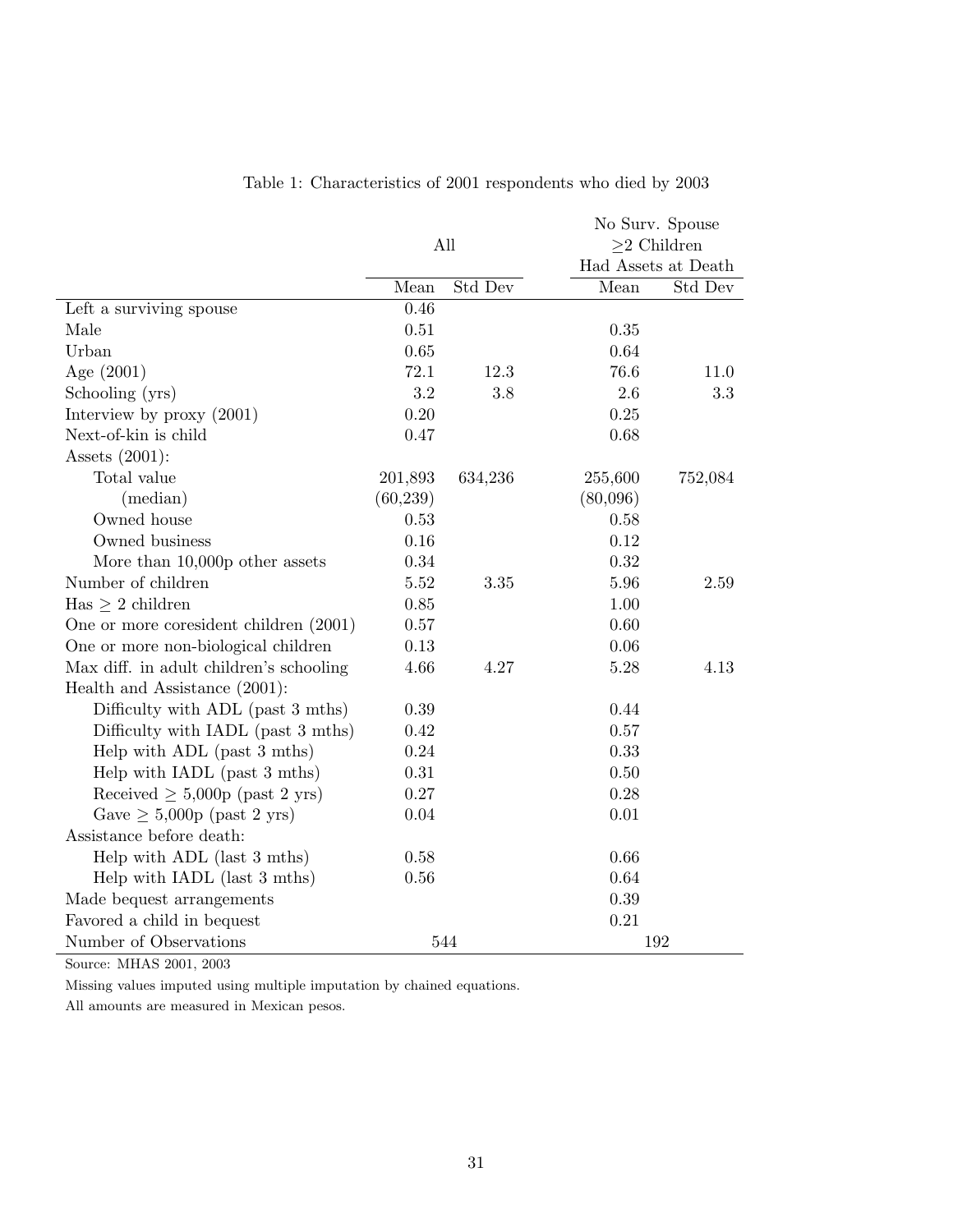|                                         |           |         |          | No Surv. Spouse     |  |  |
|-----------------------------------------|-----------|---------|----------|---------------------|--|--|
|                                         | All       |         |          | $\geq$ 2 Children   |  |  |
|                                         |           |         |          | Had Assets at Death |  |  |
|                                         | Mean      | Std Dev | Mean     | Std Dev             |  |  |
| Left a surviving spouse                 | 0.46      |         |          |                     |  |  |
| Male                                    | 0.51      |         | 0.35     |                     |  |  |
| Urban                                   | $0.65\,$  |         | 0.64     |                     |  |  |
| Age $(2001)$                            | 72.1      | 12.3    | 76.6     | 11.0                |  |  |
| Schooling (yrs)                         | 3.2       | 3.8     | 2.6      | 3.3                 |  |  |
| Interview by $proxy(2001)$              | 0.20      |         | 0.25     |                     |  |  |
| Next-of-kin is child                    | 0.47      |         | 0.68     |                     |  |  |
| Assets $(2001)$ :                       |           |         |          |                     |  |  |
| Total value                             | 201,893   | 634,236 | 255,600  | 752,084             |  |  |
| (median)                                | (60, 239) |         | (80,096) |                     |  |  |
| Owned house                             | 0.53      |         | 0.58     |                     |  |  |
| Owned business                          | 0.16      |         | 0.12     |                     |  |  |
| More than $10,000p$ other assets        | 0.34      |         | 0.32     |                     |  |  |
| Number of children                      | 5.52      | 3.35    | 5.96     | 2.59                |  |  |
| $Has \geq 2$ children                   | 0.85      |         | 1.00     |                     |  |  |
| One or more coresident children (2001)  | 0.57      |         | 0.60     |                     |  |  |
| One or more non-biological children     | 0.13      |         | 0.06     |                     |  |  |
| Max diff. in adult children's schooling | 4.66      | 4.27    | 5.28     | 4.13                |  |  |
| Health and Assistance (2001):           |           |         |          |                     |  |  |
| Difficulty with ADL (past 3 mths)       | 0.39      |         | 0.44     |                     |  |  |
| Difficulty with IADL (past 3 mths)      | 0.42      |         | $0.57\,$ |                     |  |  |
| Help with ADL (past 3 mths)             | $0.24\,$  |         | 0.33     |                     |  |  |
| Help with IADL (past 3 mths)            | $0.31\,$  |         | 0.50     |                     |  |  |
| Received $\geq 5,000p$ (past 2 yrs)     | $0.27\,$  |         | 0.28     |                     |  |  |
| Gave $\geq 5,000p$ (past 2 yrs)         | 0.04      |         | 0.01     |                     |  |  |
| Assistance before death:                |           |         |          |                     |  |  |
| Help with ADL (last 3 mths)             | 0.58      |         | 0.66     |                     |  |  |
| Help with IADL (last 3 mths)            | $0.56\,$  |         | 0.64     |                     |  |  |
| Made bequest arrangements               |           |         | 0.39     |                     |  |  |
| Favored a child in bequest              |           |         | 0.21     |                     |  |  |
| Number of Observations                  |           | 544     |          | 192                 |  |  |

### Table 1: Characteristics of 2001 respondents who died by 2003

Source: MHAS 2001, 2003

Missing values imputed using multiple imputation by chained equations.

All amounts are measured in Mexican pesos.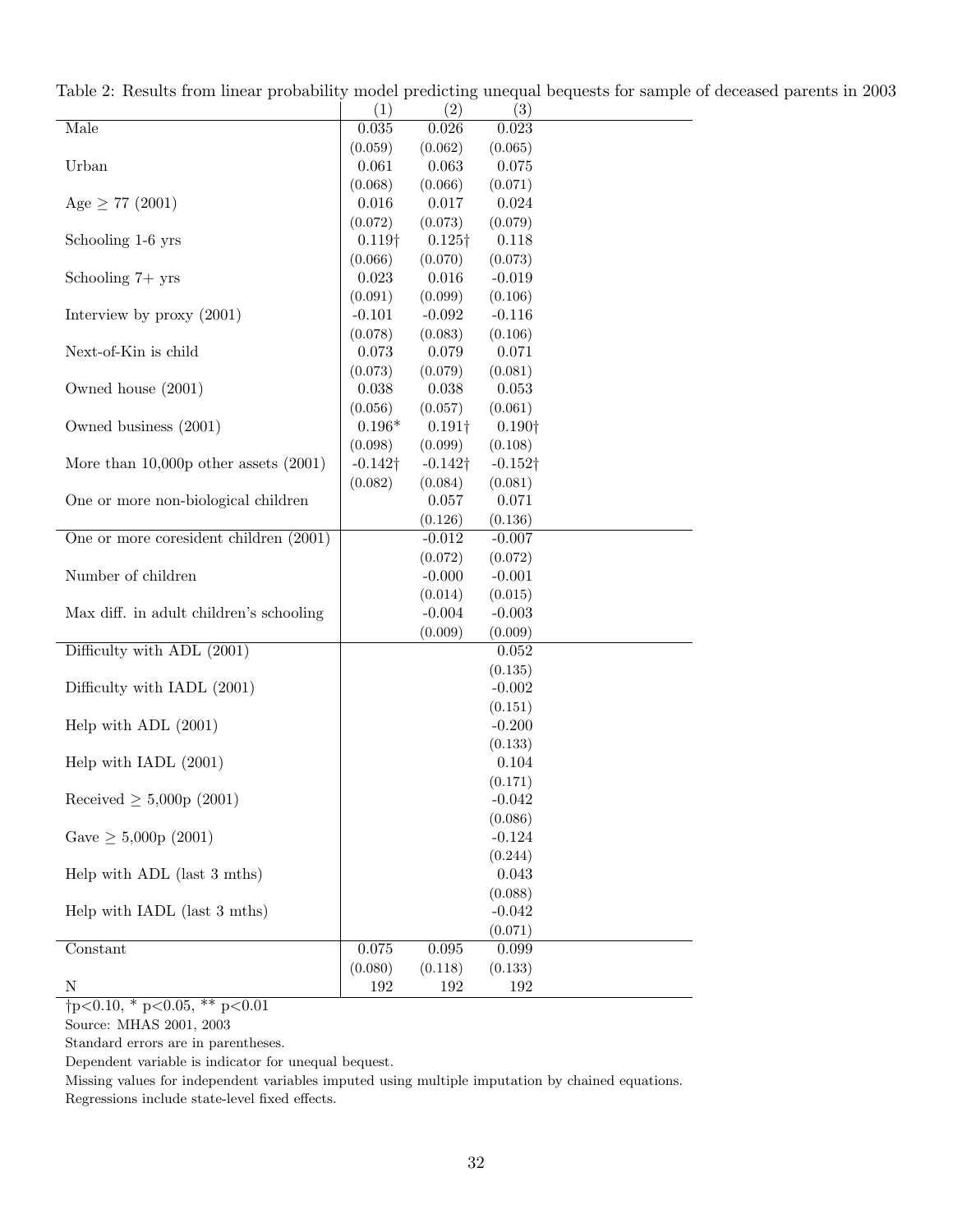|                                         | (1)             | (2)             | (3)             |  |
|-----------------------------------------|-----------------|-----------------|-----------------|--|
| Male                                    | 0.035           | 0.026           | 0.023           |  |
|                                         | (0.059)         | (0.062)         | (0.065)         |  |
| Urban                                   | 0.061           | 0.063           | 0.075           |  |
|                                         | (0.068)         | (0.066)         | (0.071)         |  |
| Age $\geq 77$ (2001)                    | 0.016           | 0.017           | 0.024           |  |
|                                         | (0.072)         | (0.073)         | (0.079)         |  |
| Schooling 1-6 yrs                       | $0.119\dagger$  | $0.125\dagger$  | 0.118           |  |
|                                         | (0.066)         | (0.070)         | (0.073)         |  |
| Schooling $7 + yrs$                     | 0.023           | 0.016           | $-0.019$        |  |
|                                         | (0.091)         | (0.099)         | (0.106)         |  |
| Interview by $proxy(2001)$              | $-0.101$        | $-0.092$        | $-0.116$        |  |
|                                         | (0.078)         | (0.083)         | (0.106)         |  |
| Next-of-Kin is child                    | 0.073           | 0.079           | 0.071           |  |
|                                         | (0.073)         | (0.079)         | (0.081)         |  |
| Owned house (2001)                      | 0.038           | 0.038           | 0.053           |  |
|                                         | (0.056)         | (0.057)         | (0.061)         |  |
| Owned business (2001)                   | $0.196*$        | $0.191\dagger$  | $0.190\dagger$  |  |
|                                         | (0.098)         | (0.099)         | (0.108)         |  |
| More than 10,000p other assets $(2001)$ | $-0.142\dagger$ | $-0.142\dagger$ | $-0.152\dagger$ |  |
|                                         | (0.082)         | (0.084)         | (0.081)         |  |
| One or more non-biological children     |                 | 0.057           | 0.071           |  |
|                                         |                 | (0.126)         | (0.136)         |  |
| One or more coresident children (2001)  |                 | $-0.012$        | $-0.007$        |  |
|                                         |                 | (0.072)         | (0.072)         |  |
| Number of children                      |                 | $-0.000$        | $-0.001$        |  |
|                                         |                 | (0.014)         | (0.015)         |  |
| Max diff. in adult children's schooling |                 | $-0.004$        | $-0.003$        |  |
|                                         |                 | (0.009)         | (0.009)         |  |
| Difficulty with ADL (2001)              |                 |                 | 0.052           |  |
|                                         |                 |                 | (0.135)         |  |
| Difficulty with IADL (2001)             |                 |                 | $-0.002$        |  |
|                                         |                 |                 | (0.151)         |  |
| Help with ADL $(2001)$                  |                 |                 | $-0.200$        |  |
|                                         |                 |                 | (0.133)         |  |
| Help with IADL $(2001)$                 |                 |                 | 0.104           |  |
|                                         |                 |                 | (0.171)         |  |
| Received $\geq 5,000p(2001)$            |                 |                 | $-0.042$        |  |
|                                         |                 |                 | (0.086)         |  |
| Gave $\geq 5,000p(2001)$                |                 |                 | $-0.124$        |  |
|                                         |                 |                 | (0.244)         |  |
| Help with ADL (last 3 mths)             |                 |                 | 0.043           |  |
|                                         |                 |                 | (0.088)         |  |
| Help with IADL (last 3 mths)            |                 |                 | $-0.042$        |  |
|                                         |                 |                 | (0.071)         |  |
| Constant                                | 0.075           | $0.095\,$       | 0.099           |  |
|                                         | (0.080)         | (0.118)         | (0.133)         |  |
| Ν                                       | 192             | 192             | 192             |  |

Table 2: Results from linear probability model predicting unequal bequests for sample of deceased parents in 2003

Source: MHAS 2001, 2003

Standard errors are in parentheses.

Dependent variable is indicator for unequal bequest.

Missing values for independent variables imputed using multiple imputation by chained equations.

Regressions include state-level fixed effects.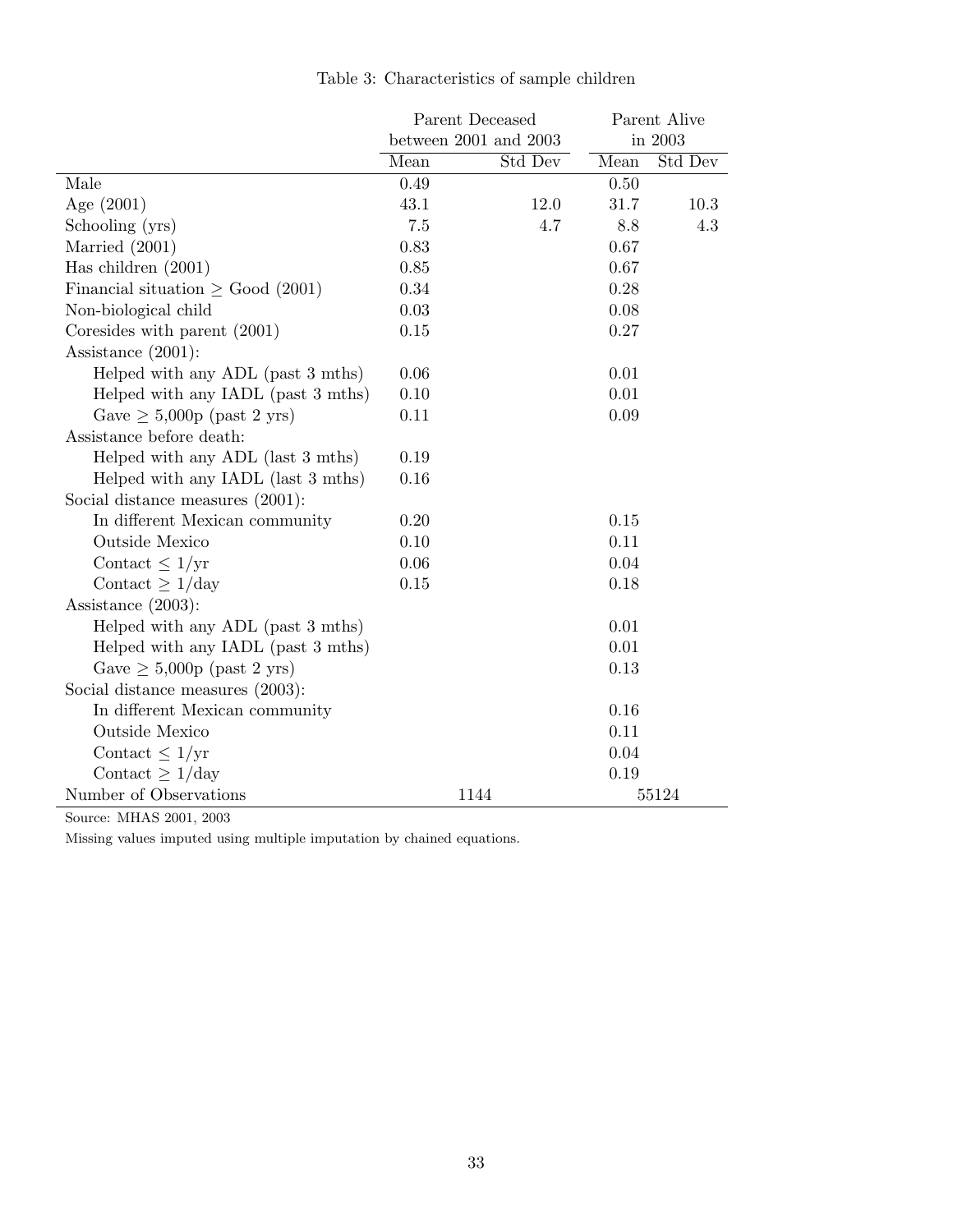|                                        | Parent Deceased       |          | Parent Alive |          |
|----------------------------------------|-----------------------|----------|--------------|----------|
|                                        | between 2001 and 2003 |          |              | in 2003  |
|                                        | Mean                  | Std Dev  | Mean         | Std Dev  |
| Male                                   | 0.49                  |          | 0.50         |          |
| Age $(2001)$                           | 43.1                  | $12.0\,$ | 31.7         | $10.3\,$ |
| Schooling (yrs)                        | 7.5                   | 4.7      | 8.8          | 4.3      |
| Married $(2001)$                       | 0.83                  |          | 0.67         |          |
| Has children $(2001)$                  | 0.85                  |          | 0.67         |          |
| Financial situation $\geq$ Good (2001) | 0.34                  |          | 0.28         |          |
| Non-biological child                   | 0.03                  |          | 0.08         |          |
| Coresides with parent $(2001)$         | 0.15                  |          | 0.27         |          |
| Assistance $(2001)$ :                  |                       |          |              |          |
| Helped with any ADL (past 3 mths)      | 0.06                  |          | 0.01         |          |
| Helped with any IADL (past 3 mths)     | 0.10                  |          | 0.01         |          |
| Gave $\geq 5,000p$ (past 2 yrs)        | 0.11                  |          | 0.09         |          |
| Assistance before death:               |                       |          |              |          |
| Helped with any ADL (last 3 mths)      | 0.19                  |          |              |          |
| Helped with any IADL (last 3 mths)     | 0.16                  |          |              |          |
| Social distance measures (2001):       |                       |          |              |          |
| In different Mexican community         | 0.20                  |          | $0.15\,$     |          |
| Outside Mexico                         | 0.10                  |          | 0.11         |          |
| Contact $\leq 1/\text{yr}$             | 0.06                  |          | 0.04         |          |
| Contact $\geq 1$ /day                  | 0.15                  |          | 0.18         |          |
| Assistance $(2003)$ :                  |                       |          |              |          |
| Helped with any ADL (past 3 mths)      |                       |          | 0.01         |          |
| Helped with any IADL (past 3 mths)     |                       |          | 0.01         |          |
| Gave $\geq 5,000p$ (past 2 yrs)        |                       |          | 0.13         |          |
| Social distance measures (2003):       |                       |          |              |          |
| In different Mexican community         |                       |          | 0.16         |          |
| Outside Mexico                         |                       |          | 0.11         |          |
| Contact $\leq 1/\text{yr}$             |                       |          | 0.04         |          |
| Contact $\geq 1$ /day                  |                       |          | 0.19         |          |
| Number of Observations                 |                       | 1144     |              | 55124    |

Source: MHAS 2001, 2003

Missing values imputed using multiple imputation by chained equations.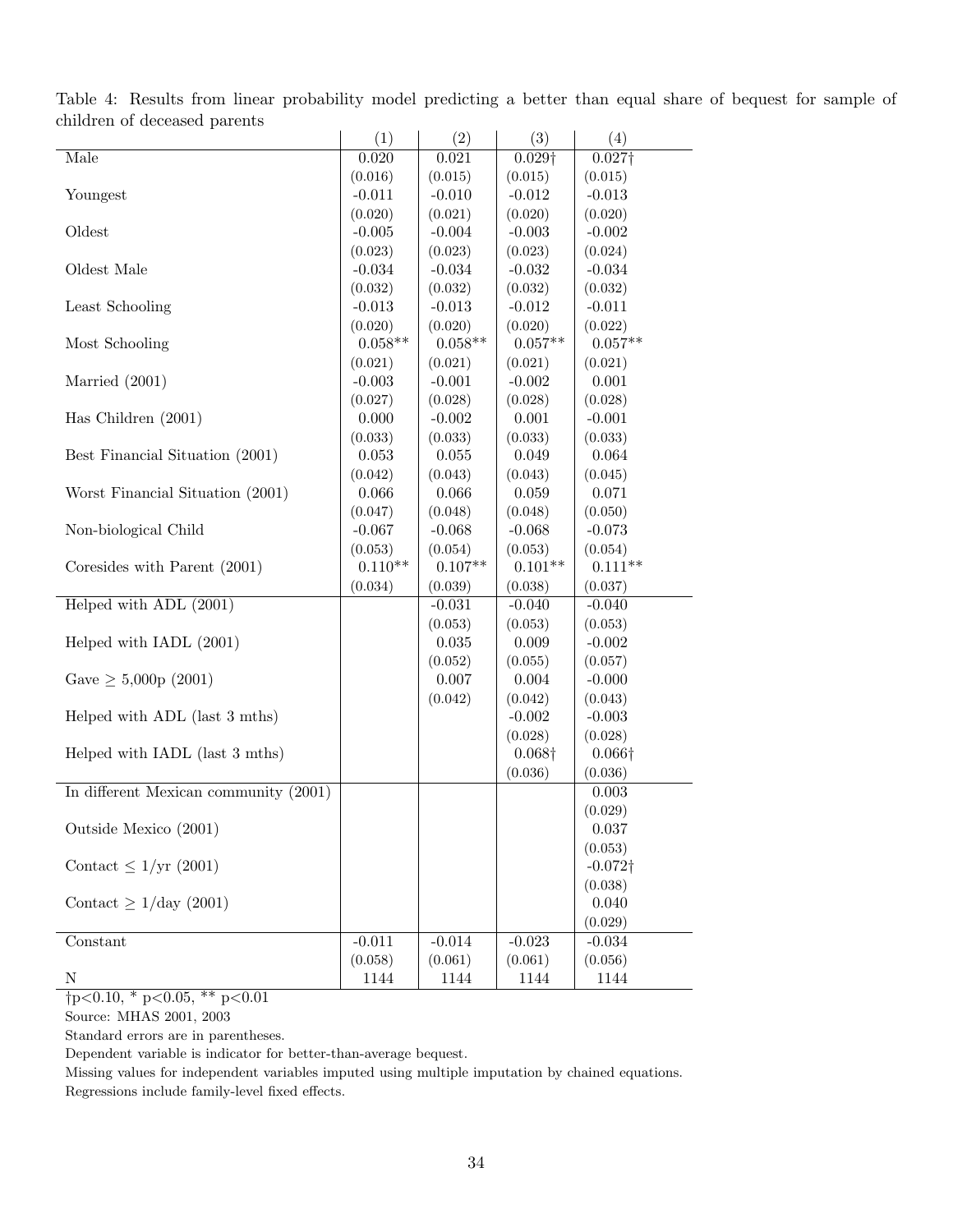|                                       | (1)       | (2)       | (3)            | (4)                        |
|---------------------------------------|-----------|-----------|----------------|----------------------------|
| Male                                  | 0.020     | 0.021     | $0.029\dagger$ | $0.027\dagger$             |
|                                       | (0.016)   | (0.015)   | (0.015)        | (0.015)                    |
| Youngest                              | $-0.011$  | $-0.010$  | $-0.012$       | $-0.013$                   |
|                                       | (0.020)   | (0.021)   | (0.020)        | (0.020)                    |
| Oldest                                | $-0.005$  | $-0.004$  | $-0.003$       | $-0.002$                   |
|                                       | (0.023)   | (0.023)   | (0.023)        | (0.024)                    |
| Oldest Male                           | $-0.034$  | $-0.034$  | $-0.032$       | $-0.034$                   |
|                                       | (0.032)   | (0.032)   | (0.032)        | (0.032)                    |
| Least Schooling                       | $-0.013$  | $-0.013$  | $-0.012$       | $-0.011$                   |
|                                       | (0.020)   | (0.020)   | (0.020)        | (0.022)                    |
| Most Schooling                        | $0.058**$ | $0.058**$ | $0.057**$      | $0.057**$                  |
|                                       | (0.021)   | (0.021)   | (0.021)        | (0.021)                    |
| Married $(2001)$                      | $-0.003$  | $-0.001$  | $-0.002$       | 0.001                      |
|                                       | (0.027)   | (0.028)   | (0.028)        | (0.028)                    |
| Has Children $(2001)$                 | 0.000     | $-0.002$  | 0.001          | $-0.001$                   |
|                                       | (0.033)   | (0.033)   | (0.033)        | (0.033)                    |
| Best Financial Situation (2001)       | 0.053     | 0.055     | 0.049          | 0.064                      |
|                                       | (0.042)   | (0.043)   | (0.043)        | (0.045)                    |
| Worst Financial Situation (2001)      | 0.066     | 0.066     | 0.059          | 0.071                      |
|                                       | (0.047)   | (0.048)   | (0.048)        | (0.050)                    |
| Non-biological Child                  | $-0.067$  | $-0.068$  | $-0.068$       | $-0.073$                   |
|                                       | (0.053)   | (0.054)   | (0.053)        | (0.054)                    |
| Coresides with Parent (2001)          | $0.110**$ | $0.107**$ | $0.101**$      | $0.111**$                  |
|                                       | (0.034)   | (0.039)   | (0.038)        | (0.037)                    |
| Helped with ADL (2001)                |           | $-0.031$  | $-0.040$       | $-0.040$                   |
|                                       |           | (0.053)   | (0.053)        | (0.053)                    |
| Helped with IADL (2001)               |           | 0.035     | 0.009          | $-0.002$                   |
|                                       |           | (0.052)   | (0.055)        | (0.057)                    |
| Gave $\geq 5,000p(2001)$              |           | 0.007     | 0.004          | $-0.000$                   |
|                                       |           | (0.042)   | (0.042)        | (0.043)                    |
| Helped with ADL (last 3 mths)         |           |           | $-0.002$       | $-0.003$                   |
|                                       |           |           | (0.028)        | (0.028)                    |
| Helped with IADL (last 3 mths)        |           |           | $0.068\dagger$ | $0.066\dagger$             |
|                                       |           |           | (0.036)        | (0.036)                    |
| In different Mexican community (2001) |           |           |                | 0.003                      |
| Outside Mexico (2001)                 |           |           |                | (0.029)                    |
|                                       |           |           |                | 0.037                      |
| Contact $\leq 1/\text{yr}$ (2001)     |           |           |                | (0.053)<br>$-0.072\dagger$ |
|                                       |           |           |                |                            |
| Contact $\geq 1/\text{day}$ (2001)    |           |           |                | (0.038)<br>0.040           |
|                                       |           |           |                | (0.029)                    |
| Constant                              | $-0.011$  | $-0.014$  | $-0.023$       | $-0.034$                   |
|                                       | (0.058)   | (0.061)   | (0.061)        | (0.056)                    |
| $\mathbf N$                           | 1144      | 1144      | 1144           | 1144                       |
|                                       |           |           |                |                            |

Table 4: Results from linear probability model predicting a better than equal share of bequest for sample of children of deceased parents

 $†p<0.10, *p<0.05, **p<0.01$ 

Source: MHAS 2001, 2003

Standard errors are in parentheses.

Dependent variable is indicator for better-than-average bequest.

Missing values for independent variables imputed using multiple imputation by chained equations. Regressions include family-level fixed effects.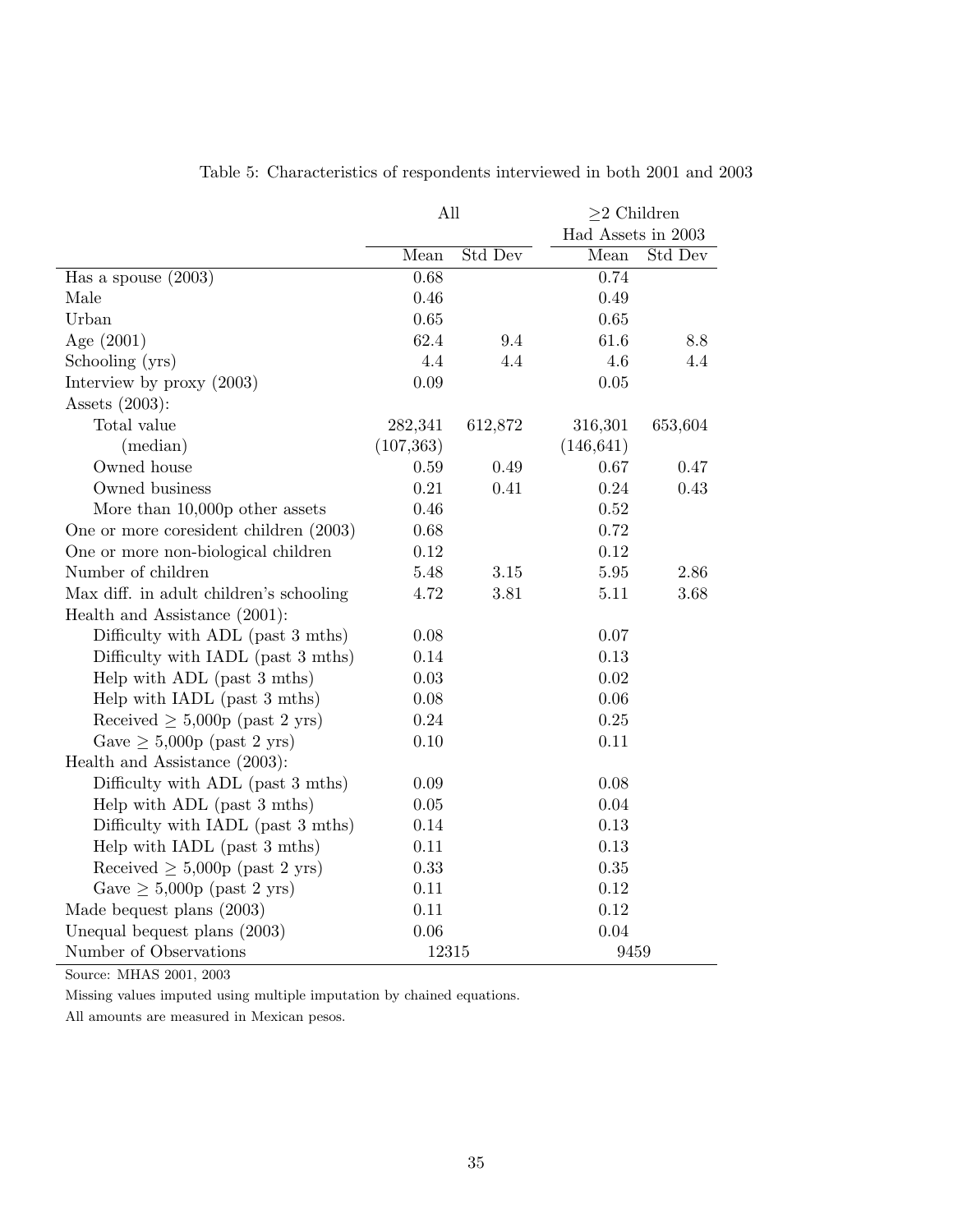|                                         | All        |         | $\geq$ 2 Children  |         |  |
|-----------------------------------------|------------|---------|--------------------|---------|--|
|                                         |            |         | Had Assets in 2003 |         |  |
|                                         | Mean       | Std Dev | Mean               | Std Dev |  |
| Has a spouse $(2003)$                   | 0.68       |         | 0.74               |         |  |
| Male                                    | 0.46       |         | 0.49               |         |  |
| Urban                                   | 0.65       |         | 0.65               |         |  |
| Age $(2001)$                            | 62.4       | 9.4     | 61.6               | 8.8     |  |
| Schooling (yrs)                         | 4.4        | 4.4     | 4.6                | 4.4     |  |
| Interview by $proxy(2003)$              | 0.09       |         | 0.05               |         |  |
| Assets $(2003)$ :                       |            |         |                    |         |  |
| Total value                             | 282,341    | 612,872 | 316,301            | 653,604 |  |
| (median)                                | (107, 363) |         | (146, 641)         |         |  |
| Owned house                             | 0.59       | 0.49    | 0.67               | 0.47    |  |
| Owned business                          | 0.21       | 0.41    | 0.24               | 0.43    |  |
| More than $10,000p$ other assets        | 0.46       |         | 0.52               |         |  |
| One or more coresident children (2003)  | 0.68       |         | 0.72               |         |  |
| One or more non-biological children     | 0.12       |         | 0.12               |         |  |
| Number of children                      | 5.48       | 3.15    | 5.95               | 2.86    |  |
| Max diff. in adult children's schooling | 4.72       | 3.81    | 5.11               | 3.68    |  |
| Health and Assistance (2001):           |            |         |                    |         |  |
| Difficulty with ADL (past 3 mths)       | 0.08       |         | 0.07               |         |  |
| Difficulty with IADL (past 3 mths)      | 0.14       |         | $0.13\,$           |         |  |
| Help with ADL (past 3 mths)             | 0.03       |         | $0.02\,$           |         |  |
| Help with IADL (past 3 mths)            | 0.08       |         | 0.06               |         |  |
| Received $\geq 5,000p$ (past 2 yrs)     | 0.24       |         | 0.25               |         |  |
| Gave $\geq 5,000p$ (past 2 yrs)         | 0.10       |         | 0.11               |         |  |
| Health and Assistance (2003):           |            |         |                    |         |  |
| Difficulty with ADL (past 3 mths)       | 0.09       |         | $0.08\,$           |         |  |
| Help with ADL (past 3 mths)             | 0.05       |         | 0.04               |         |  |
| Difficulty with IADL (past 3 mths)      | 0.14       |         | 0.13               |         |  |
| Help with IADL (past 3 mths)            | 0.11       |         | 0.13               |         |  |
| Received $\geq 5,000p$ (past 2 yrs)     | 0.33       |         | $0.35\,$           |         |  |
| Gave $\geq 5,000p$ (past 2 yrs)         | 0.11       |         | 0.12               |         |  |
| Made bequest plans (2003)               | 0.11       |         | 0.12               |         |  |
| Unequal bequest plans (2003)            | 0.06       |         | 0.04               |         |  |
| Number of Observations                  | 12315      |         | 9459               |         |  |

Table 5: Characteristics of respondents interviewed in both 2001 and 2003

Source: MHAS 2001, 2003

Missing values imputed using multiple imputation by chained equations.

All amounts are measured in Mexican pesos.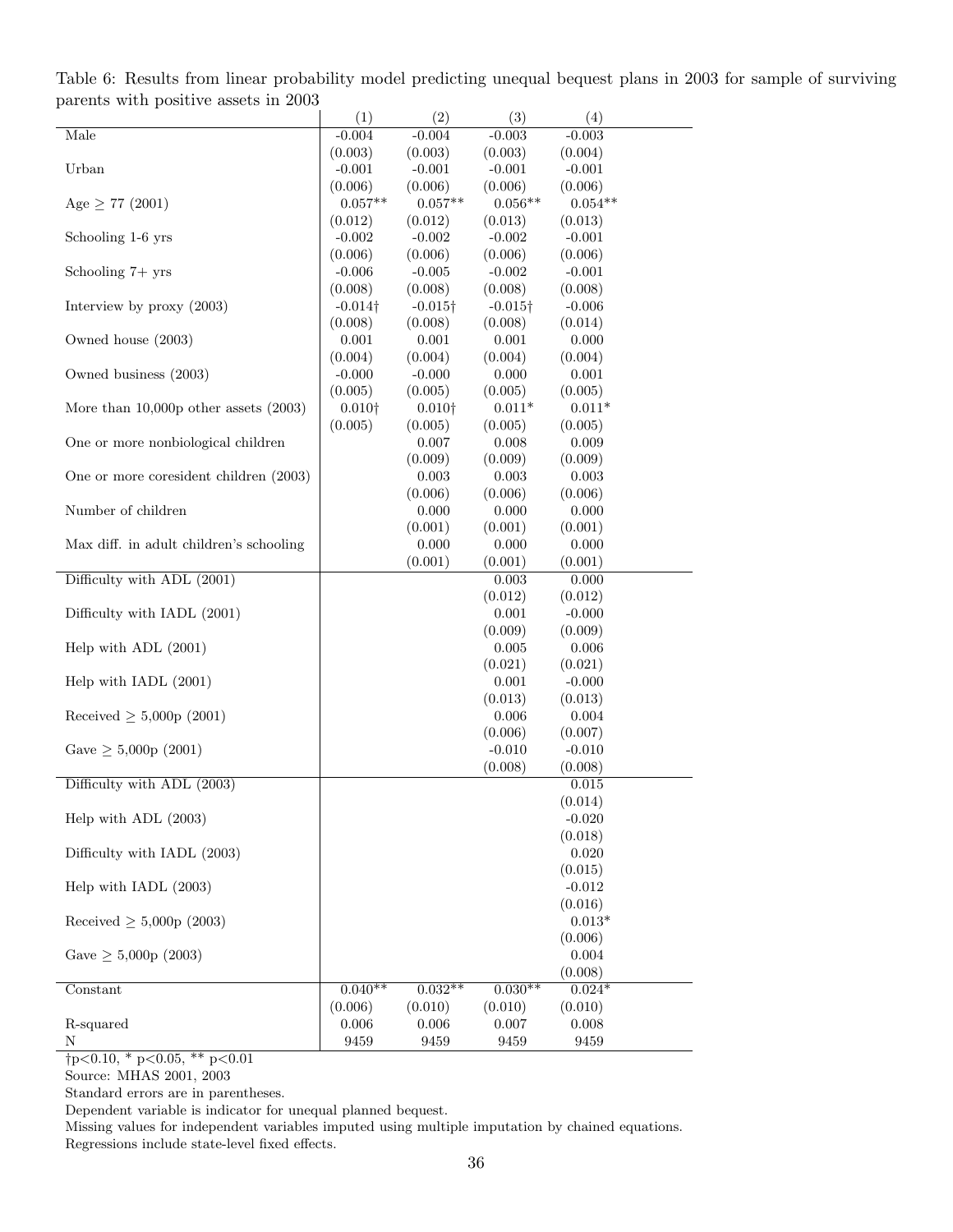Table 6: Results from linear probability model predicting unequal bequest plans in 2003 for sample of surviving parents with positive assets in 2003

|                                           | (1)             | (2)             | (3)             | (4)                 |
|-------------------------------------------|-----------------|-----------------|-----------------|---------------------|
| Male                                      | $-0.004$        | $-0.004$        | $-0.003$        | $-0.003$            |
|                                           | (0.003)         | (0.003)         | (0.003)         | (0.004)             |
| Urban                                     | $-0.001$        | $-0.001$        | $-0.001$        | $-0.001$            |
|                                           | (0.006)         | (0.006)         | (0.006)         | (0.006)             |
| Age $\geq 77$ (2001)                      | $0.057**$       | $0.057**$       | $0.056**$       | $0.054**$           |
|                                           | (0.012)         | (0.012)         | (0.013)         | (0.013)             |
| Schooling 1-6 yrs                         | $-0.002$        | $-0.002$        | $-0.002$        | $-0.001$            |
|                                           | (0.006)         | (0.006)         | (0.006)         | (0.006)             |
| Schooling $7+$ yrs                        | $-0.006$        | $-0.005$        | $-0.002$        | $-0.001$            |
|                                           | (0.008)         | (0.008)         | (0.008)         | (0.008)             |
| Interview by proxy (2003)                 | $-0.014\dagger$ | $-0.015\dagger$ | $-0.015\dagger$ | $-0.006$            |
|                                           | (0.008)         | (0.008)         | (0.008)         | (0.014)             |
| Owned house (2003)                        | 0.001           | 0.001           | 0.001           | 0.000               |
|                                           |                 |                 |                 |                     |
|                                           | (0.004)         | (0.004)         | (0.004)         | (0.004)             |
| Owned business (2003)                     | $-0.000$        | $-0.000$        | 0.000           | 0.001               |
|                                           | (0.005)         | (0.005)         | (0.005)         | (0.005)             |
| More than $10,000p$ other assets $(2003)$ | $0.010\dagger$  | $0.010\dagger$  | $0.011*$        | $0.011*$            |
|                                           | (0.005)         | (0.005)         | (0.005)         | (0.005)             |
| One or more nonbiological children        |                 | 0.007           | 0.008           | 0.009               |
|                                           |                 | (0.009)         | (0.009)         | (0.009)             |
| One or more coresident children (2003)    |                 | 0.003           | 0.003           | 0.003               |
|                                           |                 | (0.006)         | (0.006)         | (0.006)             |
| Number of children                        |                 | 0.000           | 0.000           | 0.000               |
|                                           |                 | (0.001)         | (0.001)         | (0.001)             |
| Max diff. in adult children's schooling   |                 | 0.000           | 0.000           | 0.000               |
|                                           |                 | (0.001)         | (0.001)         | (0.001)             |
| Difficulty with ADL (2001)                |                 |                 | 0.003           | 0.000               |
|                                           |                 |                 | (0.012)         | (0.012)             |
| Difficulty with IADL (2001)               |                 |                 | 0.001           | $-0.000$            |
|                                           |                 |                 | (0.009)         | (0.009)             |
| Help with ADL (2001)                      |                 |                 | 0.005           | 0.006               |
|                                           |                 |                 | (0.021)         | (0.021)             |
| Help with IADL (2001)                     |                 |                 | 0.001           | $-0.000$            |
|                                           |                 |                 | (0.013)         | (0.013)             |
| Received $\geq 5,000p(2001)$              |                 |                 | 0.006           | $0.004\,$           |
|                                           |                 |                 | (0.006)         | (0.007)             |
| Gave $\geq 5,000p(2001)$                  |                 |                 | $-0.010$        | $-0.010$            |
|                                           |                 |                 | (0.008)         | (0.008)             |
| Difficulty with ADL (2003)                |                 |                 |                 | 0.015               |
|                                           |                 |                 |                 | (0.014)             |
| Help with ADL (2003)                      |                 |                 |                 | $-0.020$            |
|                                           |                 |                 |                 | (0.018)             |
| Difficulty with IADL (2003)               |                 |                 |                 | 0.020               |
|                                           |                 |                 |                 | (0.015)             |
| Help with IADL (2003)                     |                 |                 |                 | $-0.012$            |
|                                           |                 |                 |                 |                     |
| Received $\geq 5,000p(2003)$              |                 |                 |                 | (0.016)<br>$0.013*$ |
|                                           |                 |                 |                 | (0.006)             |
| Gave $\geq 5,000p(2003)$                  |                 |                 |                 |                     |
|                                           |                 |                 |                 | 0.004               |
|                                           |                 |                 |                 | (0.008)             |
| $\overline{\text{Constant}}$              | $0.040**$       | $0.032**$       | $0.030**$       | $0.024*$            |
|                                           | (0.006)         | (0.010)         | (0.010)         | (0.010)             |
| R-squared                                 | 0.006           | 0.006           | 0.007           | 0.008               |
| Ν                                         | 9459            | 9459            | 9459            | 9459                |

Source: MHAS 2001, 2003

Standard errors are in parentheses.

Dependent variable is indicator for unequal planned bequest.

Missing values for independent variables imputed using multiple imputation by chained equations. Regressions include state-level fixed effects.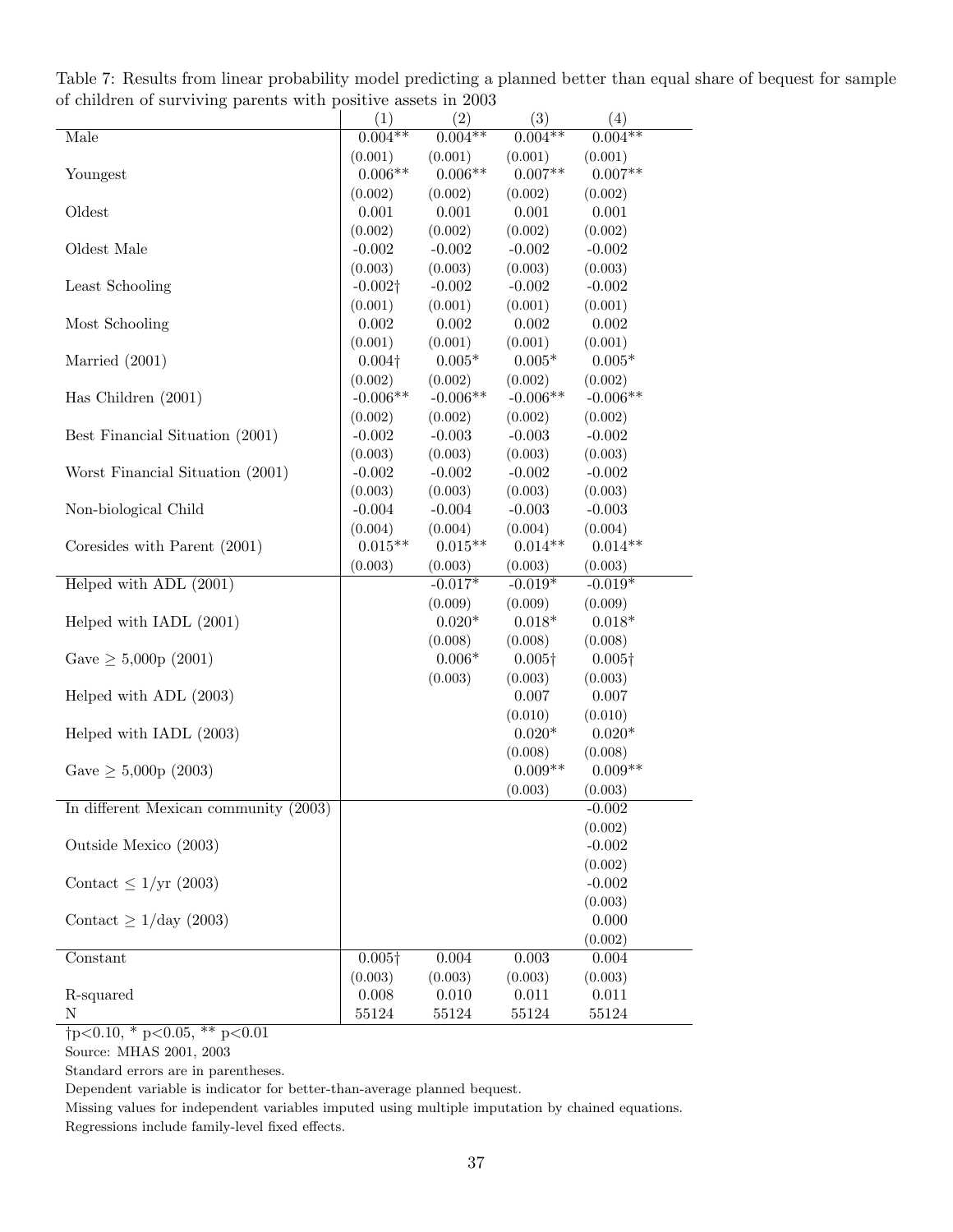|                                       | (1)             | (2)        | (3)            | (4)            |
|---------------------------------------|-----------------|------------|----------------|----------------|
| Male                                  | $0.004**$       | $0.004**$  | $0.004**$      | $0.004***$     |
|                                       | (0.001)         | (0.001)    | (0.001)        | (0.001)        |
| Youngest                              | $0.006**$       | $0.006**$  | $0.007**$      | $0.007**$      |
|                                       | (0.002)         | (0.002)    | (0.002)        | (0.002)        |
| Oldest                                | 0.001           | 0.001      | 0.001          | 0.001          |
|                                       | (0.002)         | (0.002)    | (0.002)        | (0.002)        |
| Oldest Male                           | $-0.002$        | $-0.002$   | $-0.002$       | $-0.002$       |
|                                       | (0.003)         | (0.003)    | (0.003)        | (0.003)        |
| Least Schooling                       | $-0.002\dagger$ | $-0.002$   | $-0.002$       | $-0.002$       |
|                                       | (0.001)         | (0.001)    | (0.001)        | (0.001)        |
| Most Schooling                        | 0.002           | 0.002      | 0.002          | 0.002          |
|                                       | (0.001)         | (0.001)    | (0.001)        | (0.001)        |
| Married $(2001)$                      | $0.004\dagger$  | $0.005*$   | $0.005*$       | $0.005*$       |
|                                       | (0.002)         | (0.002)    | (0.002)        | (0.002)        |
| Has Children $(2001)$                 | $-0.006**$      | $-0.006**$ | $-0.006**$     | $-0.006**$     |
|                                       | (0.002)         | (0.002)    | (0.002)        | (0.002)        |
| Best Financial Situation (2001)       | $-0.002$        | $-0.003$   | $-0.003$       | $-0.002$       |
|                                       | (0.003)         | (0.003)    | (0.003)        | (0.003)        |
| Worst Financial Situation (2001)      | $-0.002$        | $-0.002$   | $-0.002$       | $-0.002$       |
|                                       | (0.003)         | (0.003)    | (0.003)        | (0.003)        |
| Non-biological Child                  | $-0.004$        | $-0.004$   | $-0.003$       | $-0.003$       |
|                                       | (0.004)         | (0.004)    | (0.004)        | (0.004)        |
| Coresides with Parent (2001)          | $0.015**$       | $0.015**$  | $0.014**$      | $0.014**$      |
|                                       | (0.003)         | (0.003)    | (0.003)        | (0.003)        |
| Helped with ADL (2001)                |                 | $-0.017*$  | $-0.019*$      | $-0.019*$      |
|                                       |                 | (0.009)    | (0.009)        | (0.009)        |
| Helped with IADL (2001)               |                 | $0.020*$   | $0.018*$       | $0.018*$       |
|                                       |                 | (0.008)    | (0.008)        | (0.008)        |
| Gave $\geq 5,000p(2001)$              |                 | $0.006*$   | $0.005\dagger$ | $0.005\dagger$ |
|                                       |                 | (0.003)    | (0.003)        | (0.003)        |
| Helped with ADL (2003)                |                 |            | 0.007          | 0.007          |
|                                       |                 |            | (0.010)        | (0.010)        |
| Helped with IADL (2003)               |                 |            | $0.020*$       | $0.020*$       |
|                                       |                 |            | (0.008)        | (0.008)        |
| Gave $\geq 5,000p(2003)$              |                 |            | $0.009**$      | $0.009**$      |
|                                       |                 |            | (0.003)        | (0.003)        |
| In different Mexican community (2003) |                 |            |                | $-0.002$       |
|                                       |                 |            |                | (0.002)        |
| Outside Mexico (2003)                 |                 |            |                | $-0.002$       |
|                                       |                 |            |                | (0.002)        |
| Contact $\leq 1/\text{yr}$ (2003)     |                 |            |                | $-0.002$       |
|                                       |                 |            |                | (0.003)        |
| Contact $\geq 1/\text{day}$ (2003)    |                 |            |                | 0.000          |
|                                       |                 |            |                | (0.002)        |
| Constant                              | $0.005\dagger$  | $0.004\,$  | $\,0.003\,$    | 0.004          |
|                                       | (0.003)         | (0.003)    | (0.003)        | (0.003)        |
| R-squared                             | 0.008           | 0.010      | 0.011          | 0.011          |
| N                                     | 55124           | 55124      | 55124          | 55124          |

Table 7: Results from linear probability model predicting a planned better than equal share of bequest for sample of children of surviving parents with positive assets in 2003

Source: MHAS 2001, 2003

Standard errors are in parentheses.

Dependent variable is indicator for better-than-average planned bequest.

Missing values for independent variables imputed using multiple imputation by chained equations. Regressions include family-level fixed effects.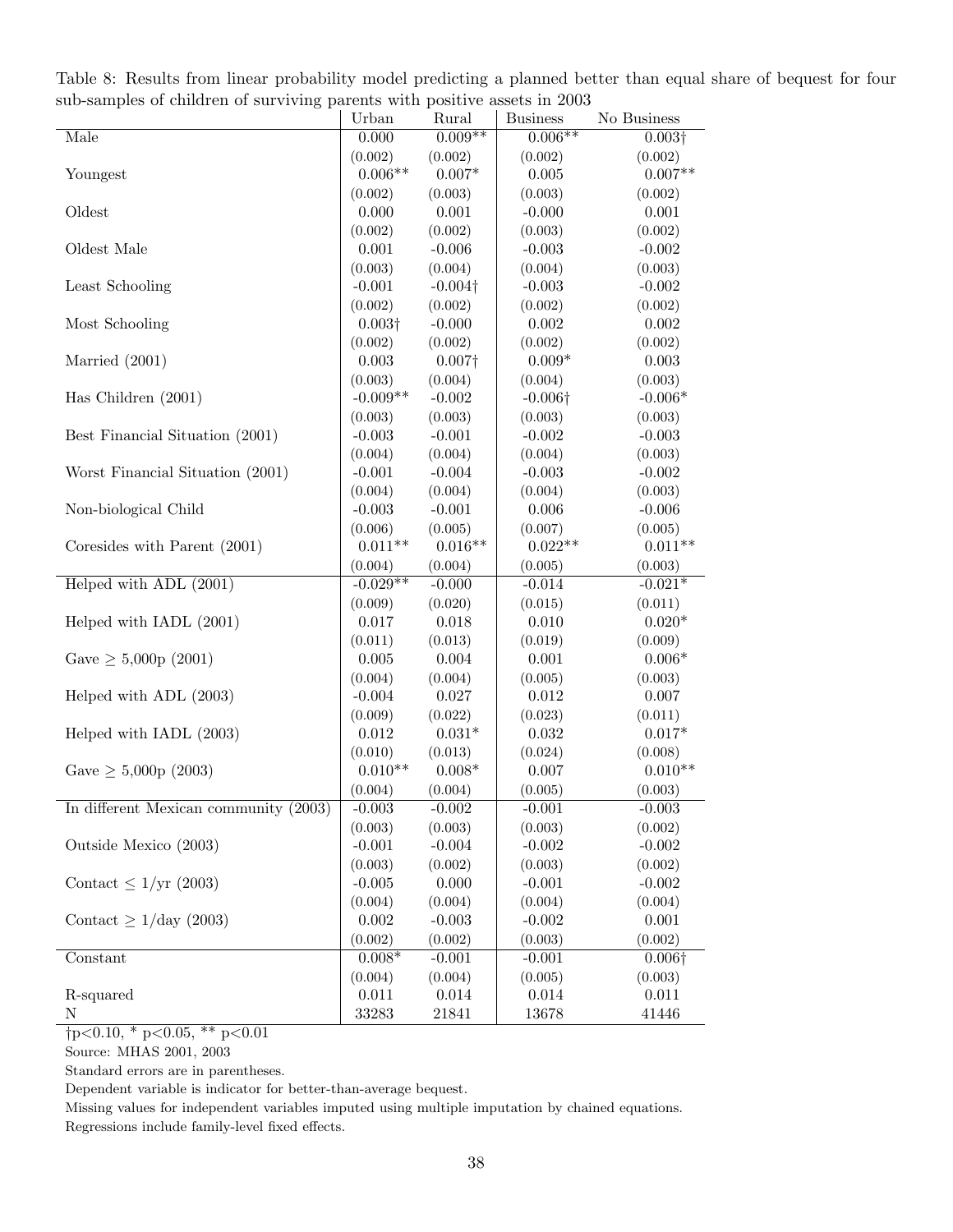|                                       | Urban                | Rural               | <b>Business</b>     | No Business          |
|---------------------------------------|----------------------|---------------------|---------------------|----------------------|
| Male                                  | 0.000                | $0.009**$           | $0.006**$           | $0.003\dagger$       |
|                                       | (0.002)              | (0.002)             | (0.002)             | (0.002)              |
| Youngest                              | $0.006**$            | $0.007*$            | 0.005               | $0.007**$            |
|                                       | (0.002)              | (0.003)             | (0.003)             | (0.002)              |
| Oldest                                | 0.000                | 0.001               | $-0.000$            | 0.001                |
|                                       | (0.002)              | (0.002)             | (0.003)             | (0.002)              |
| Oldest Male                           | 0.001                | $-0.006$            | $-0.003$            | $-0.002$             |
|                                       | (0.003)              | (0.004)             | (0.004)             | (0.003)              |
| Least Schooling                       | $-0.001$             | $-0.004\dagger$     | $-0.003$            | $-0.002$             |
|                                       | (0.002)              | (0.002)             | (0.002)             | (0.002)              |
| Most Schooling                        | $0.003\dagger$       | $-0.000$            | 0.002               | 0.002                |
|                                       | (0.002)              | (0.002)             | (0.002)             | (0.002)              |
| Married $(2001)$                      | 0.003                | $0.007\dagger$      | $0.009*$            | 0.003                |
|                                       | (0.003)              | (0.004)             | (0.004)             | (0.003)              |
| Has Children $(2001)$                 | $-0.009**$           | $-0.002$            | $-0.006\dagger$     | $-0.006*$            |
|                                       | (0.003)              | (0.003)             | (0.003)             | (0.003)              |
| Best Financial Situation (2001)       | $-0.003$             | $-0.001$            | $-0.002$            | $-0.003$             |
|                                       | (0.004)              | (0.004)             | (0.004)             | (0.003)              |
| Worst Financial Situation (2001)      | $-0.001$             | $-0.004$            | $-0.003$            | $-0.002$             |
|                                       | (0.004)              | (0.004)             | (0.004)             | (0.003)              |
| Non-biological Child                  | $-0.003$             | $-0.001$            | 0.006               | $-0.006$             |
|                                       | (0.006)              | (0.005)             | (0.007)             | (0.005)              |
| Coresides with Parent (2001)          | $0.011**$            | $0.016**$           | $0.022**$           | $0.011**$            |
|                                       | (0.004)              | (0.004)             | (0.005)             | (0.003)              |
| Helped with ADL (2001)                | $-0.029**$           | $-0.000$            | $-0.014$            | $-0.021*$            |
|                                       | (0.009)              | (0.020)             | (0.015)             | (0.011)              |
| Helped with IADL (2001)               | 0.017                | 0.018               | 0.010               | $0.020*$             |
|                                       | (0.011)              | (0.013)             | (0.019)             | (0.009)              |
| Gave $\geq 5,000p(2001)$              | 0.005                | 0.004               | 0.001               | $0.006*$             |
|                                       | (0.004)              | (0.004)             | (0.005)             | (0.003)              |
| Helped with ADL (2003)                | $-0.004$             | 0.027               | 0.012               | 0.007                |
|                                       | (0.009)              | (0.022)             | (0.023)             | (0.011)              |
| Helped with IADL (2003)               | 0.012                | $0.031*$            | 0.032               | $0.017*$             |
|                                       | (0.010)<br>$0.010**$ | (0.013)<br>$0.008*$ | (0.024)<br>0.007    | (0.008)<br>$0.010**$ |
| Gave $\geq 5,000p(2003)$              |                      |                     |                     |                      |
| In different Mexican community (2003) | (0.004)<br>$-0.003$  | (0.004)<br>$-0.002$ | (0.005)<br>$-0.001$ | (0.003)<br>$-0.003$  |
|                                       | (0.003)              | (0.003)             | (0.003)             | (0.002)              |
| Outside Mexico (2003)                 | $-0.001$             | $-0.004$            | $-0.002$            | $-0.002$             |
|                                       | (0.003)              | (0.002)             | (0.003)             | (0.002)              |
| Contact $\leq 1/\text{yr}$ (2003)     | $-0.005$             | 0.000               | $-0.001$            | $-0.002$             |
|                                       | (0.004)              | (0.004)             | (0.004)             | (0.004)              |
| Contact $\geq 1/\text{day}$ (2003)    | 0.002                | $-0.003$            | $-0.002$            | $0.001\,$            |
|                                       | (0.002)              | (0.002)             | (0.003)             | (0.002)              |
| Constant                              | $0.008*$             | $-0.001$            | $-0.001$            | $0.006\dagger$       |
|                                       | (0.004)              | (0.004)             | (0.005)             | (0.003)              |
| R-squared                             | 0.011                | $0.014\,$           | 0.014               | 0.011                |
| $\mathbf N$                           | 33283                | 21841               | 13678               | 41446                |
|                                       |                      |                     |                     |                      |

Table 8: Results from linear probability model predicting a planned better than equal share of bequest for four sub-samples of children of surviving parents with positive assets in 2003

Source: MHAS 2001, 2003

Standard errors are in parentheses.

Dependent variable is indicator for better-than-average bequest.

Missing values for independent variables imputed using multiple imputation by chained equations. Regressions include family-level fixed effects.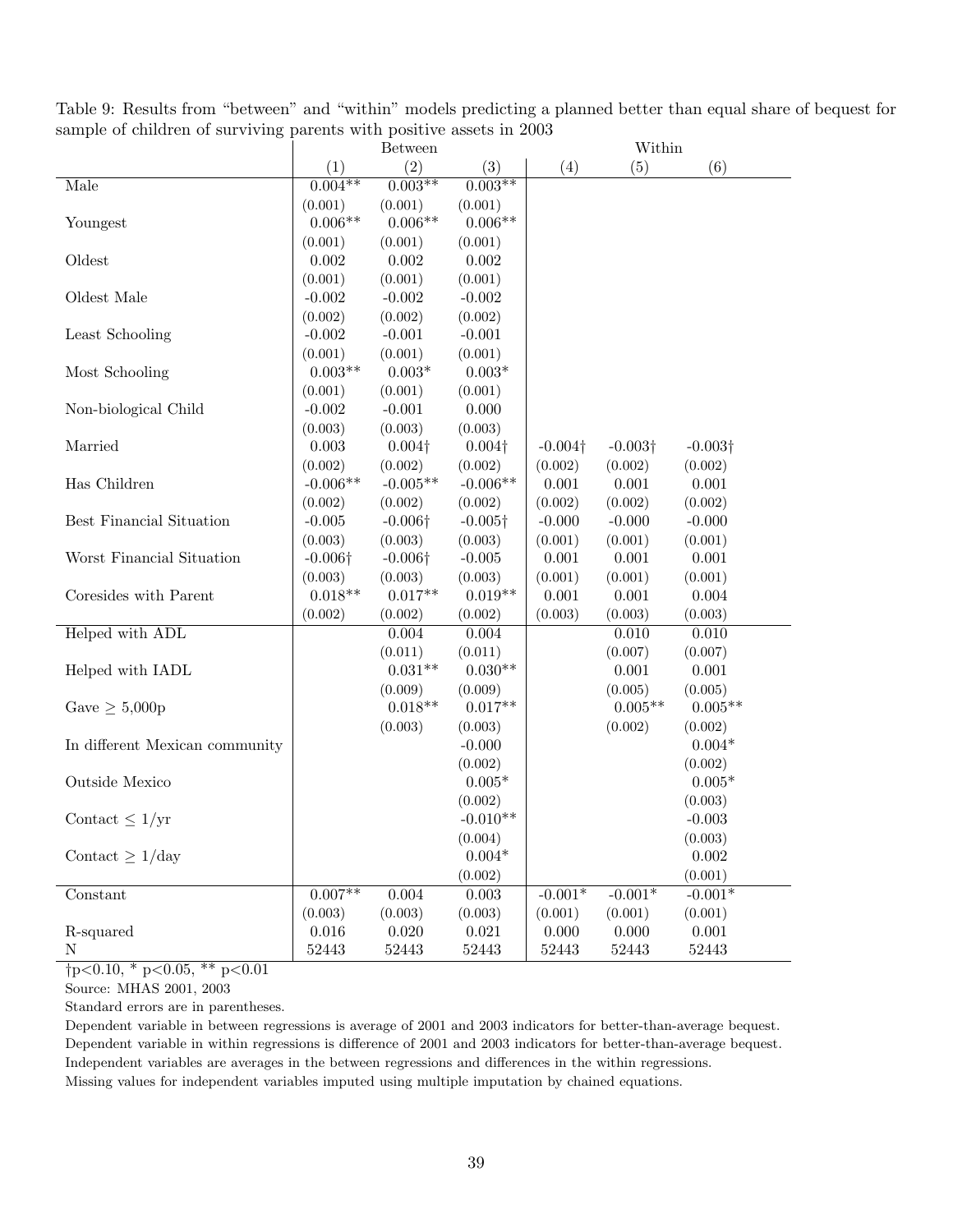| $\alpha$ and $\alpha$ or children or surviving parents while positive assets in 2000<br>Within<br><b>Between</b> |                 |                 |                 |                 |                 |                 |
|------------------------------------------------------------------------------------------------------------------|-----------------|-----------------|-----------------|-----------------|-----------------|-----------------|
|                                                                                                                  | (1)             | (2)             | (3)             | (4)             | (5)             | (6)             |
| Male                                                                                                             | $0.004**$       | $0.003**$       | $0.003**$       |                 |                 |                 |
|                                                                                                                  | (0.001)         | (0.001)         | (0.001)         |                 |                 |                 |
| Youngest                                                                                                         | $0.006**$       | $0.006**$       | $0.006**$       |                 |                 |                 |
|                                                                                                                  | (0.001)         | (0.001)         | (0.001)         |                 |                 |                 |
| Oldest                                                                                                           | 0.002           | 0.002           | $0.002\,$       |                 |                 |                 |
|                                                                                                                  | (0.001)         | (0.001)         | (0.001)         |                 |                 |                 |
| Oldest Male                                                                                                      | $-0.002$        | $-0.002$        | $-0.002$        |                 |                 |                 |
|                                                                                                                  | (0.002)         | (0.002)         | (0.002)         |                 |                 |                 |
| Least Schooling                                                                                                  | $-0.002$        | $-0.001$        | $-0.001$        |                 |                 |                 |
|                                                                                                                  | (0.001)         | (0.001)         | (0.001)         |                 |                 |                 |
| Most Schooling                                                                                                   | $0.003**$       | $0.003*$        | $0.003*$        |                 |                 |                 |
|                                                                                                                  | (0.001)         | (0.001)         | (0.001)         |                 |                 |                 |
| Non-biological Child                                                                                             | $-0.002$        | $-0.001$        | 0.000           |                 |                 |                 |
|                                                                                                                  | (0.003)         | (0.003)         | (0.003)         |                 |                 |                 |
| Married                                                                                                          | 0.003           | $0.004\dagger$  | $0.004\dagger$  | $-0.004\dagger$ | $-0.003\dagger$ | $-0.003\dagger$ |
|                                                                                                                  | (0.002)         | (0.002)         | (0.002)         | (0.002)         | (0.002)         | (0.002)         |
| Has Children                                                                                                     | $-0.006**$      | $-0.005**$      | $-0.006**$      | 0.001           | 0.001           | 0.001           |
|                                                                                                                  | (0.002)         | (0.002)         | (0.002)         | (0.002)         | (0.002)         | (0.002)         |
| Best Financial Situation                                                                                         | $-0.005$        | $-0.006\dagger$ | $-0.005\dagger$ | $-0.000$        | $-0.000$        | $-0.000$        |
|                                                                                                                  | (0.003)         | (0.003)         | (0.003)         | (0.001)         | (0.001)         | (0.001)         |
| Worst Financial Situation                                                                                        | $-0.006\dagger$ | $-0.006\dagger$ | $-0.005$        | 0.001           | 0.001           | 0.001           |
|                                                                                                                  | (0.003)         | (0.003)         | (0.003)         | (0.001)         | (0.001)         | (0.001)         |
| Coresides with Parent                                                                                            | $0.018**$       | $0.017**$       | $0.019**$       | 0.001           | 0.001           | 0.004           |
|                                                                                                                  | (0.002)         | (0.002)         | (0.002)         | (0.003)         | (0.003)         | (0.003)         |
| Helped with ADL                                                                                                  |                 | 0.004           | $0.004\,$       |                 | 0.010           | 0.010           |
|                                                                                                                  |                 | (0.011)         | (0.011)         |                 | (0.007)         | (0.007)         |
| Helped with IADL                                                                                                 |                 | $0.031**$       | $0.030**$       |                 | 0.001           | 0.001           |
|                                                                                                                  |                 | (0.009)         | (0.009)         |                 | (0.005)         | (0.005)         |
| Gave $\geq 5,000p$                                                                                               |                 | $0.018**$       | $0.017**$       |                 | $0.005**$       | $0.005**$       |
|                                                                                                                  |                 | (0.003)         | (0.003)         |                 | (0.002)         | (0.002)         |
| In different Mexican community                                                                                   |                 |                 | $-0.000$        |                 |                 | $0.004*$        |
|                                                                                                                  |                 |                 | (0.002)         |                 |                 | (0.002)         |
| Outside Mexico                                                                                                   |                 |                 | $0.005*$        |                 |                 | $0.005*$        |
|                                                                                                                  |                 |                 | (0.002)         |                 |                 | (0.003)         |
| Contact $\leq 1/\text{yr}$                                                                                       |                 |                 | $-0.010**$      |                 |                 | $-0.003$        |
|                                                                                                                  |                 |                 | (0.004)         |                 |                 | (0.003)         |
| Contact $\geq 1$ /day                                                                                            |                 |                 | $0.004^{\ast}$  |                 |                 | $0.002\,$       |
|                                                                                                                  |                 |                 | (0.002)         |                 |                 | (0.001)         |
| Constant                                                                                                         | $0.007**$       | 0.004           | $0.003\,$       | $-0.001*$       | $-0.001*$       | $-0.001*$       |
|                                                                                                                  | (0.003)         | (0.003)         | (0.003)         | (0.001)         | (0.001)         | (0.001)         |
| R-squared                                                                                                        | 0.016           | $0.020\,$       | $\,0.021\,$     | 0.000           | 0.000           | 0.001           |
| N                                                                                                                | 52443           | 52443           | 52443           | 52443           | 52443           | $52443\,$       |

Table 9: Results from "between" and "within" models predicting a planned better than equal share of bequest for sample of children of surviving parents with positive assets in 2003

Source: MHAS 2001, 2003

Standard errors are in parentheses.

Dependent variable in between regressions is average of 2001 and 2003 indicators for better-than-average bequest. Dependent variable in within regressions is difference of 2001 and 2003 indicators for better-than-average bequest. Independent variables are averages in the between regressions and differences in the within regressions. Missing values for independent variables imputed using multiple imputation by chained equations.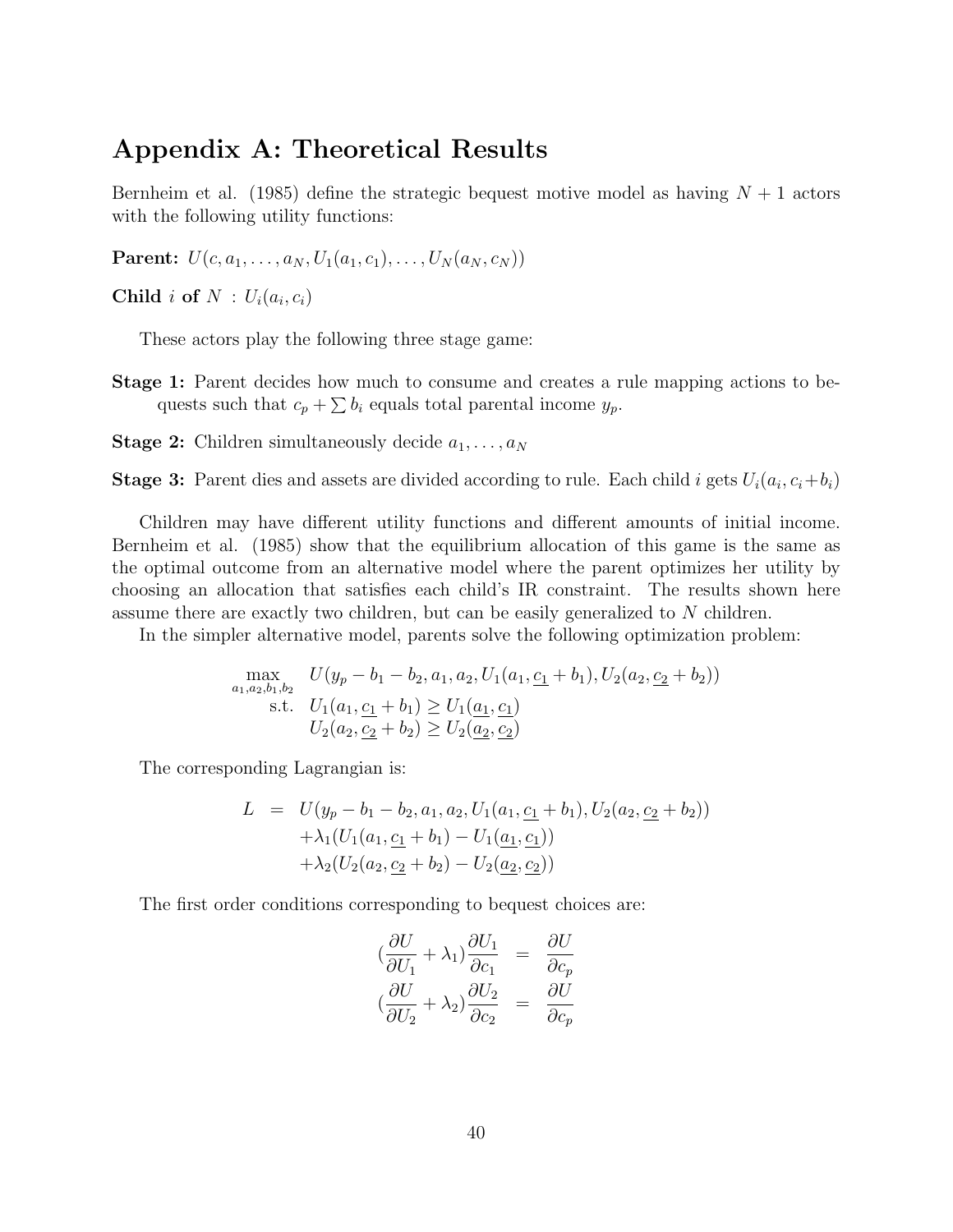# Appendix A: Theoretical Results

Bernheim et al. (1985) define the strategic bequest motive model as having  $N+1$  actors with the following utility functions:

**Parent:**  $U(c, a_1, \ldots, a_N, U_1(a_1, c_1), \ldots, U_N(a_N, c_N))$ 

Child i of  $N: U_i(a_i, c_i)$ 

These actors play the following three stage game:

- Stage 1: Parent decides how much to consume and creates a rule mapping actions to bequests such that  $c_p + \sum b_i$  equals total parental income  $y_p$ .
- **Stage 2:** Children simultaneously decide  $a_1, \ldots, a_N$

**Stage 3:** Parent dies and assets are divided according to rule. Each child i gets  $U_i(a_i, c_i + b_i)$ 

Children may have different utility functions and different amounts of initial income. Bernheim et al. (1985) show that the equilibrium allocation of this game is the same as the optimal outcome from an alternative model where the parent optimizes her utility by choosing an allocation that satisfies each child's IR constraint. The results shown here assume there are exactly two children, but can be easily generalized to N children.

In the simpler alternative model, parents solve the following optimization problem:

$$
\max_{a_1, a_2, b_1, b_2} U(y_p - b_1 - b_2, a_1, a_2, U_1(a_1, \underline{c_1} + b_1), U_2(a_2, \underline{c_2} + b_2))
$$
  
s.t.  $U_1(a_1, \underline{c_1} + b_1) \ge U_1(\underline{a_1}, \underline{c_1})$   
 $U_2(a_2, \underline{c_2} + b_2) \ge U_2(\underline{a_2}, \underline{c_2})$ 

The corresponding Lagrangian is:

$$
L = U(y_p - b_1 - b_2, a_1, a_2, U_1(a_1, \underline{c_1} + b_1), U_2(a_2, \underline{c_2} + b_2))
$$
  
+  $\lambda_1 (U_1(a_1, \underline{c_1} + b_1) - U_1(\underline{a_1}, \underline{c_1}))$   
+  $\lambda_2 (U_2(a_2, \underline{c_2} + b_2) - U_2(\underline{a_2}, \underline{c_2}))$ 

The first order conditions corresponding to bequest choices are:

$$
\left(\frac{\partial U}{\partial U_1} + \lambda_1\right) \frac{\partial U_1}{\partial c_1} = \frac{\partial U}{\partial c_p}
$$
  

$$
\left(\frac{\partial U}{\partial U_2} + \lambda_2\right) \frac{\partial U_2}{\partial c_2} = \frac{\partial U}{\partial c_p}
$$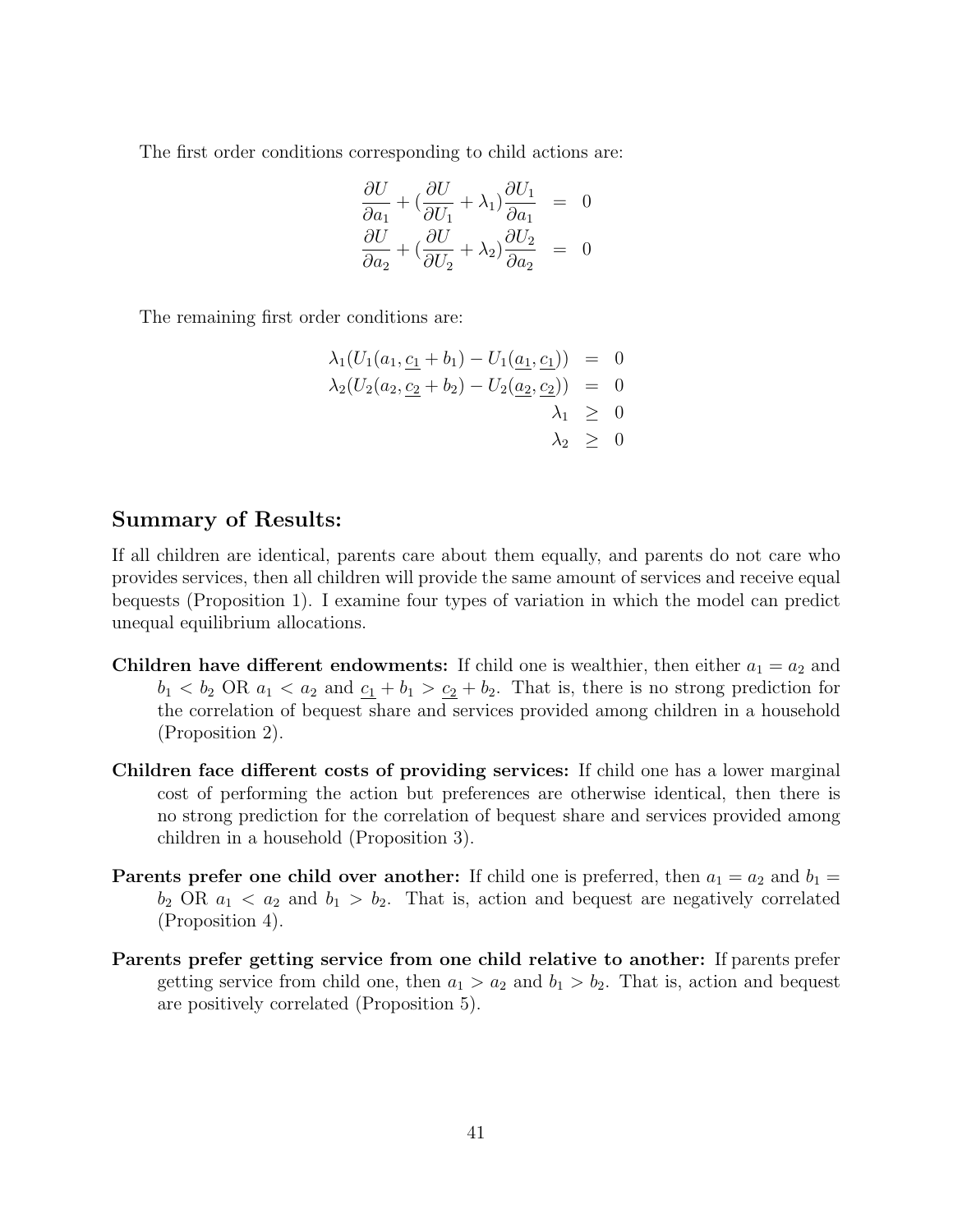The first order conditions corresponding to child actions are:

$$
\frac{\partial U}{\partial a_1} + \left(\frac{\partial U}{\partial U_1} + \lambda_1\right) \frac{\partial U_1}{\partial a_1} = 0
$$
  

$$
\frac{\partial U}{\partial a_2} + \left(\frac{\partial U}{\partial U_2} + \lambda_2\right) \frac{\partial U_2}{\partial a_2} = 0
$$

The remaining first order conditions are:

$$
\lambda_1(U_1(a_1, \underline{c_1} + b_1) - U_1(\underline{a_1}, \underline{c_1})) = 0
$$
  
\n
$$
\lambda_2(U_2(a_2, \underline{c_2} + b_2) - U_2(\underline{a_2}, \underline{c_2})) = 0
$$
  
\n
$$
\lambda_1 \ge 0
$$
  
\n
$$
\lambda_2 \ge 0
$$

### Summary of Results:

If all children are identical, parents care about them equally, and parents do not care who provides services, then all children will provide the same amount of services and receive equal bequests (Proposition 1). I examine four types of variation in which the model can predict unequal equilibrium allocations.

- Children have different endowments: If child one is wealthier, then either  $a_1 = a_2$  and  $b_1 < b_2$  OR  $a_1 < a_2$  and  $\underline{c_1} + b_1 > \underline{c_2} + b_2$ . That is, there is no strong prediction for the correlation of bequest share and services provided among children in a household (Proposition 2).
- Children face different costs of providing services: If child one has a lower marginal cost of performing the action but preferences are otherwise identical, then there is no strong prediction for the correlation of bequest share and services provided among children in a household (Proposition 3).
- **Parents prefer one child over another:** If child one is preferred, then  $a_1 = a_2$  and  $b_1 = a_1$  $b_2$  OR  $a_1 < a_2$  and  $b_1 > b_2$ . That is, action and bequest are negatively correlated (Proposition 4).
- Parents prefer getting service from one child relative to another: If parents prefer getting service from child one, then  $a_1 > a_2$  and  $b_1 > b_2$ . That is, action and bequest are positively correlated (Proposition 5).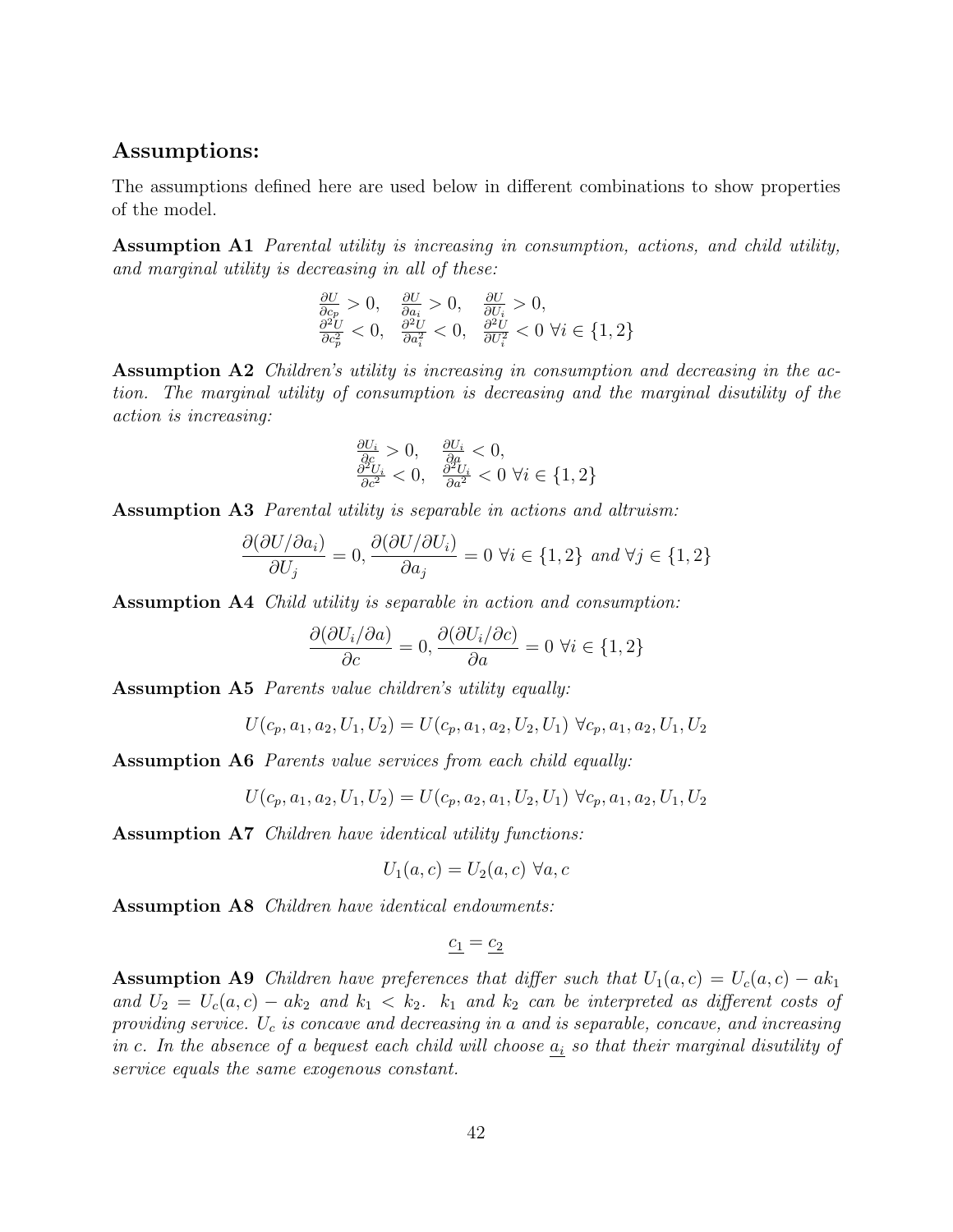### Assumptions:

The assumptions defined here are used below in different combinations to show properties of the model.

Assumption A1 Parental utility is increasing in consumption, actions, and child utility, and marginal utility is decreasing in all of these:

$$
\frac{\partial U}{\partial c_p} > 0, \quad \frac{\partial U}{\partial a_i} > 0, \quad \frac{\partial U}{\partial U_i} > 0, \n\frac{\partial^2 U}{\partial c_p^2} < 0, \quad \frac{\partial^2 U}{\partial a_i^2} < 0, \quad \frac{\partial^2 U}{\partial U_i^2} < 0 \ \forall i \in \{1, 2\}
$$

Assumption A2 Children's utility is increasing in consumption and decreasing in the action. The marginal utility of consumption is decreasing and the marginal disutility of the action is increasing:

$$
\frac{\partial U_i}{\partial c} > 0, \quad \frac{\partial U_i}{\partial a} < 0, \n\frac{\partial^2 U_i}{\partial c^2} < 0, \quad \frac{\partial^2 U_i}{\partial a^2} < 0 \ \forall i \in \{1, 2\}
$$

Assumption A3 Parental utility is separable in actions and altruism:

$$
\frac{\partial(\partial U/\partial a_i)}{\partial U_j} = 0, \frac{\partial(\partial U/\partial U_i)}{\partial a_j} = 0 \,\,\forall i \in \{1, 2\} \,\,\text{and}\,\,\forall j \in \{1, 2\}
$$

Assumption A4 Child utility is separable in action and consumption:

$$
\frac{\partial(\partial U_i/\partial a)}{\partial c} = 0, \frac{\partial(\partial U_i/\partial c)}{\partial a} = 0 \,\,\forall i \in \{1, 2\}
$$

Assumption A5 Parents value children's utility equally:

$$
U(c_p,a_1,a_2,U_1,U_2)=U(c_p,a_1,a_2,U_2,U_1)\ \forall c_p,a_1,a_2,U_1,U_2
$$

Assumption A6 Parents value services from each child equally:

$$
U(c_p, a_1, a_2, U_1, U_2) = U(c_p, a_2, a_1, U_2, U_1) \ \forall c_p, a_1, a_2, U_1, U_2
$$

Assumption A7 Children have identical utility functions:

$$
U_1(a,c) = U_2(a,c) \,\,\forall a,c
$$

Assumption A8 Children have identical endowments:

$$
\underline{c_1} = \underline{c_2}
$$

**Assumption A9** Children have preferences that differ such that  $U_1(a, c) = U_c(a, c) - ak_1$ and  $U_2 = U_c(a, c) - ak_2$  and  $k_1 < k_2$ .  $k_1$  and  $k_2$  can be interpreted as different costs of providing service.  $U_c$  is concave and decreasing in a and is separable, concave, and increasing in c. In the absence of a bequest each child will choose  $a_i$  so that their marginal disutility of service equals the same exogenous constant.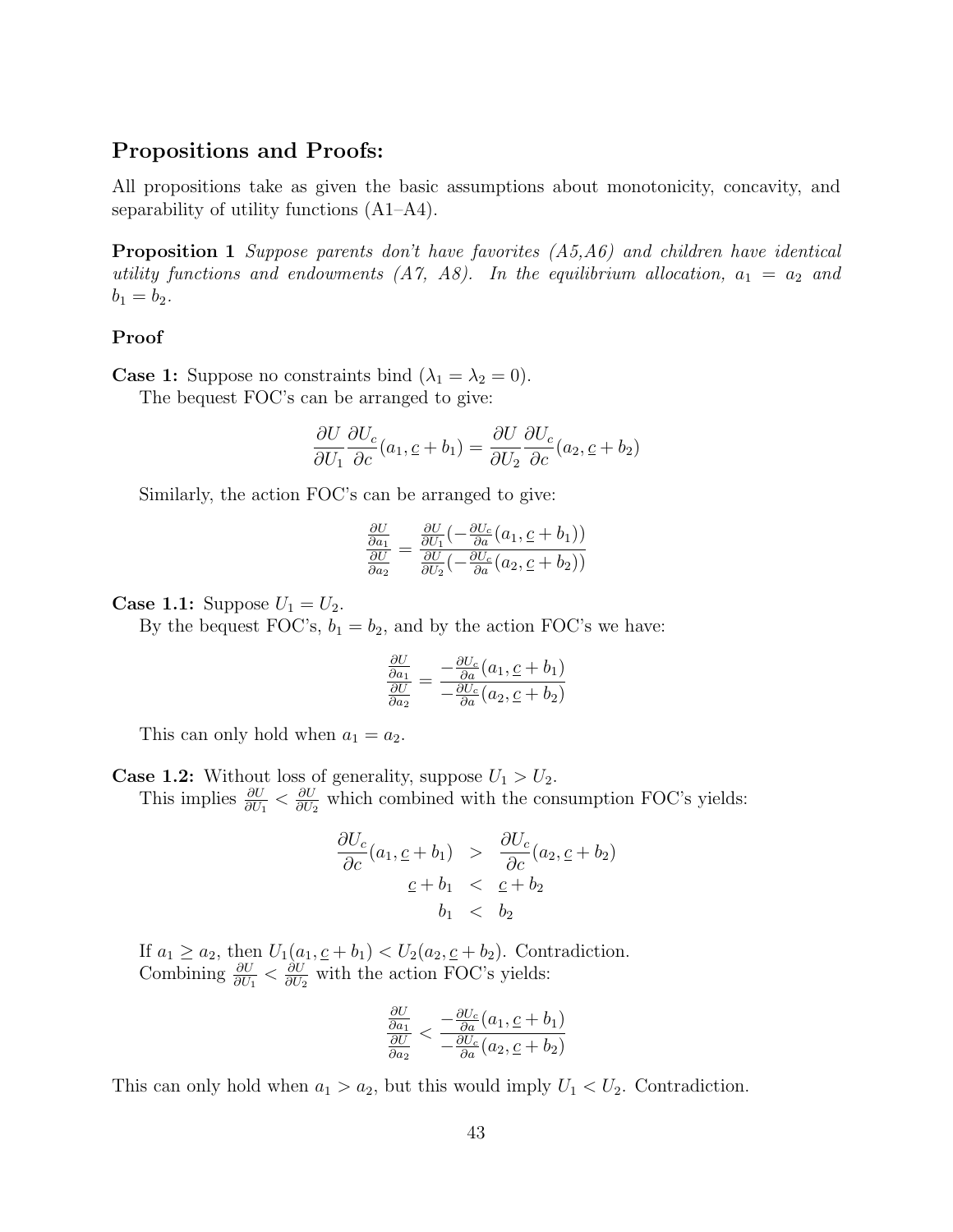### Propositions and Proofs:

All propositions take as given the basic assumptions about monotonicity, concavity, and separability of utility functions (A1–A4).

Proposition 1 Suppose parents don't have favorites (A5,A6) and children have identical utility functions and endowments  $(A7, A8)$ . In the equilibrium allocation,  $a_1 = a_2$  and  $b_1 = b_2.$ 

#### Proof

**Case 1:** Suppose no constraints bind  $(\lambda_1 = \lambda_2 = 0)$ .

The bequest FOC's can be arranged to give:

$$
\frac{\partial U}{\partial U_1} \frac{\partial U_c}{\partial c}(a_1, \underline{c} + b_1) = \frac{\partial U}{\partial U_2} \frac{\partial U_c}{\partial c}(a_2, \underline{c} + b_2)
$$

Similarly, the action FOC's can be arranged to give:

$$
\frac{\frac{\partial U}{\partial a_1}}{\frac{\partial U}{\partial a_2}} = \frac{\frac{\partial U}{\partial U_1}(-\frac{\partial U_c}{\partial a}(a_1, \underline{c} + b_1))}{\frac{\partial U}{\partial U_2}(-\frac{\partial U_c}{\partial a}(a_2, \underline{c} + b_2))}
$$

**Case 1.1:** Suppose  $U_1 = U_2$ .

By the bequest FOC's,  $b_1 = b_2$ , and by the action FOC's we have:

$$
\frac{\frac{\partial U}{\partial a_1}}{\frac{\partial U}{\partial a_2}} = \frac{-\frac{\partial U_c}{\partial a}(a_1, \underline{c} + b_1)}{-\frac{\partial U_c}{\partial a}(a_2, \underline{c} + b_2)}
$$

This can only hold when  $a_1 = a_2$ .

**Case 1.2:** Without loss of generality, suppose  $U_1 > U_2$ . This implies  $\frac{\partial U}{\partial U_1} < \frac{\partial U}{\partial U_2}$  $\frac{\partial U}{\partial U_2}$  which combined with the consumption FOC's yields:

$$
\frac{\partial U_c}{\partial c}(a_1, \underline{c} + b_1) > \frac{\partial U_c}{\partial c}(a_2, \underline{c} + b_2)
$$
  

$$
\underline{c} + b_1 < \underline{c} + b_2
$$
  

$$
b_1 < b_2
$$

If  $a_1 \ge a_2$ , then  $U_1(a_1, \underline{c} + b_1) < U_2(a_2, \underline{c} + b_2)$ . Contradiction. Combining  $\frac{\partial U}{\partial U_1} < \frac{\partial U}{\partial U_2}$  $\frac{\partial U}{\partial U_2}$  with the action FOC's yields:

$$
\frac{\frac{\partial U}{\partial a_1}}{\frac{\partial U}{\partial a_2}} < \frac{-\frac{\partial U_c}{\partial a}(a_1, \underline{c} + b_1)}{-\frac{\partial U_c}{\partial a}(a_2, \underline{c} + b_2)}
$$

This can only hold when  $a_1 > a_2$ , but this would imply  $U_1 < U_2$ . Contradiction.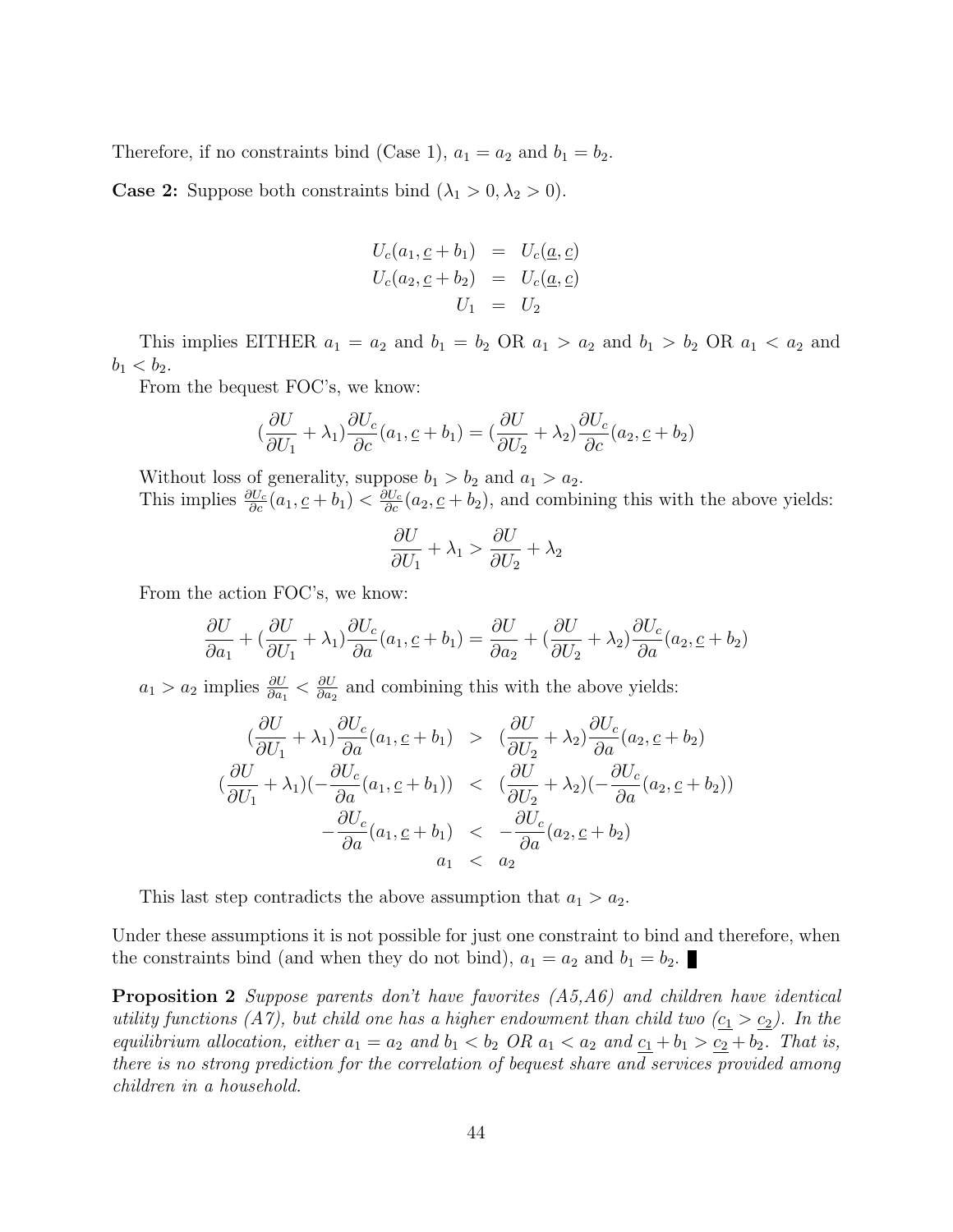Therefore, if no constraints bind (Case 1),  $a_1 = a_2$  and  $b_1 = b_2$ .

**Case 2:** Suppose both constraints bind  $(\lambda_1 > 0, \lambda_2 > 0)$ .

$$
U_c(a_1, \underline{c} + b_1) = U_c(\underline{a}, \underline{c})
$$
  

$$
U_c(a_2, \underline{c} + b_2) = U_c(\underline{a}, \underline{c})
$$
  

$$
U_1 = U_2
$$

This implies EITHER  $a_1 = a_2$  and  $b_1 = b_2$  OR  $a_1 > a_2$  and  $b_1 > b_2$  OR  $a_1 < a_2$  and  $b_1 < b_2$ .

From the bequest FOC's, we know:

$$
\left(\frac{\partial U}{\partial U_1} + \lambda_1\right) \frac{\partial U_c}{\partial c}(a_1, \underline{c} + b_1) = \left(\frac{\partial U}{\partial U_2} + \lambda_2\right) \frac{\partial U_c}{\partial c}(a_2, \underline{c} + b_2)
$$

Without loss of generality, suppose  $b_1 > b_2$  and  $a_1 > a_2$ . This implies  $\frac{\partial U_c}{\partial c}(a_1, \underline{c} + b_1) < \frac{\partial U_c}{\partial c}(a_2, \underline{c} + b_2)$ , and combining this with the above yields:

$$
\frac{\partial U}{\partial U_1} + \lambda_1 > \frac{\partial U}{\partial U_2} + \lambda_2
$$

From the action FOC's, we know:

$$
\frac{\partial U}{\partial a_1} + \left(\frac{\partial U}{\partial U_1} + \lambda_1\right) \frac{\partial U_c}{\partial a}(a_1, \underline{c} + b_1) = \frac{\partial U}{\partial a_2} + \left(\frac{\partial U}{\partial U_2} + \lambda_2\right) \frac{\partial U_c}{\partial a}(a_2, \underline{c} + b_2)
$$

 $a_1 > a_2$  implies  $\frac{\partial U}{\partial a_1} < \frac{\partial U}{\partial a_2}$  $\frac{\partial U}{\partial a_2}$  and combining this with the above yields:

$$
\begin{aligned}\n &\left(\frac{\partial U}{\partial U_1} + \lambda_1\right) \frac{\partial U_c}{\partial a}(a_1, \underline{c} + b_1) &> \left(\frac{\partial U}{\partial U_2} + \lambda_2\right) \frac{\partial U_c}{\partial a}(a_2, \underline{c} + b_2) \\
 &\left(\frac{\partial U}{\partial U_1} + \lambda_1\right) \left(-\frac{\partial U_c}{\partial a}(a_1, \underline{c} + b_1)\right) &< \left(\frac{\partial U}{\partial U_2} + \lambda_2\right) \left(-\frac{\partial U_c}{\partial a}(a_2, \underline{c} + b_2)\right) \\
 &\left(-\frac{\partial U_c}{\partial a}(a_1, \underline{c} + b_1)\right) &< \left(-\frac{\partial U_c}{\partial a}(a_2, \underline{c} + b_2)\right) \\
 &\left(a_1 < a_2\right)\n\end{aligned}
$$

This last step contradicts the above assumption that  $a_1 > a_2$ .

Under these assumptions it is not possible for just one constraint to bind and therefore, when the constraints bind (and when they do not bind),  $a_1 = a_2$  and  $b_1 = b_2$ .

Proposition 2 Suppose parents don't have favorites (A5,A6) and children have identical utility functions (A7), but child one has a higher endowment than child two  $(c_1 > c_2)$ . In the equilibrium allocation, either  $a_1 = a_2$  and  $b_1 < b_2$  OR  $a_1 < a_2$  and  $c_1 + b_1 > c_2 + b_2$ . That is, there is no strong prediction for the correlation of bequest share and services provided among children in a household.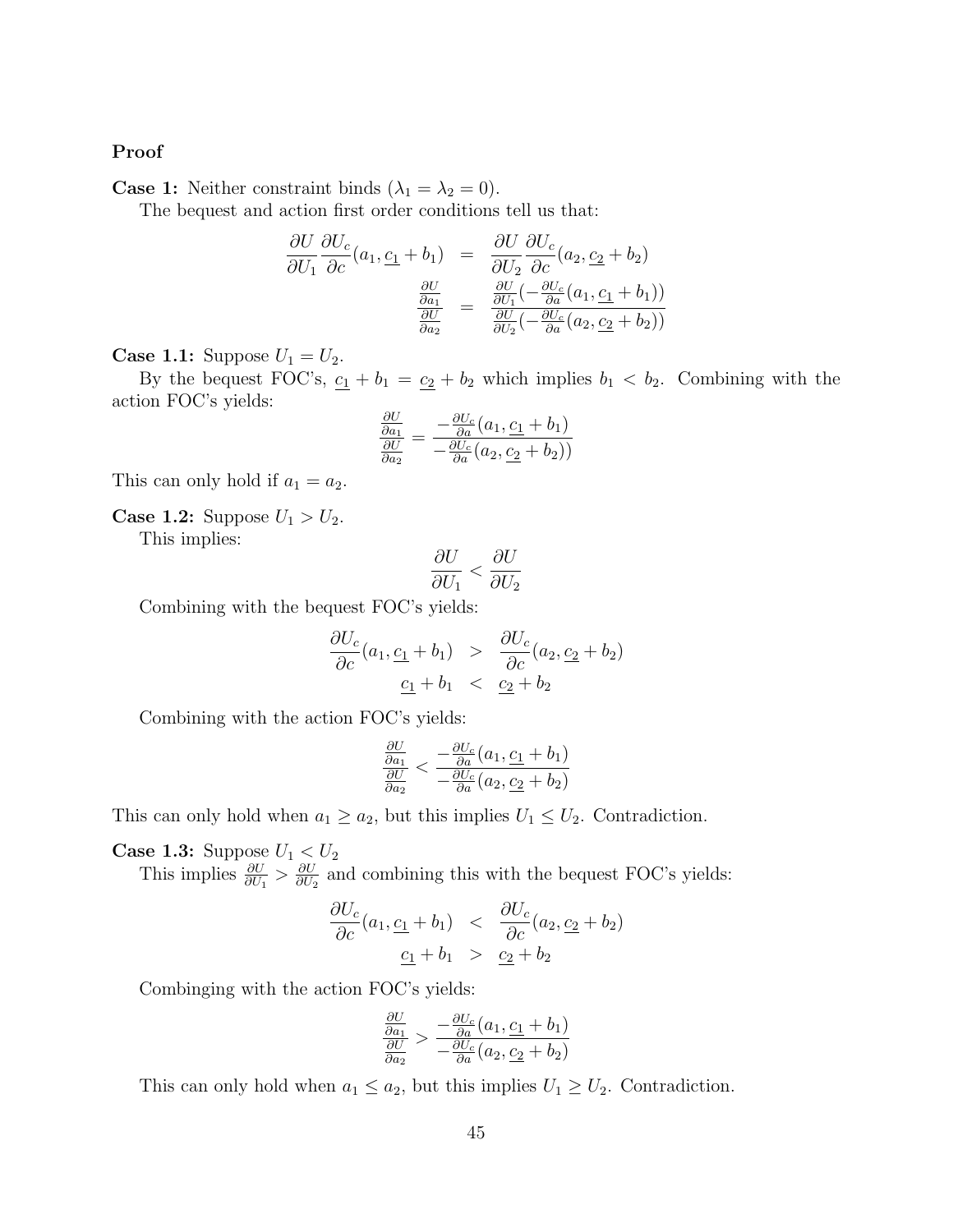#### Proof

**Case 1:** Neither constraint binds  $(\lambda_1 = \lambda_2 = 0)$ .

The bequest and action first order conditions tell us that:

$$
\frac{\partial U}{\partial U_1} \frac{\partial U_c}{\partial c}(a_1, \underline{c_1} + b_1) = \frac{\partial U}{\partial U_2} \frac{\partial U_c}{\partial c}(a_2, \underline{c_2} + b_2)
$$

$$
\frac{\frac{\partial U}{\partial a_1}}{\frac{\partial U}{\partial a_2}} = \frac{\frac{\partial U}{\partial U_1}(-\frac{\partial U_c}{\partial a}(a_1, \underline{c_1} + b_1))}{\frac{\partial U}{\partial U_2}(-\frac{\partial U_c}{\partial a}(a_2, \underline{c_2} + b_2))}
$$

**Case 1.1:** Suppose  $U_1 = U_2$ .

By the bequest FOC's,  $\underline{c_1} + b_1 = \underline{c_2} + b_2$  which implies  $b_1 < b_2$ . Combining with the action FOC's yields:

$$
\frac{\frac{\partial U}{\partial a_1}}{\frac{\partial U}{\partial a_2}} = \frac{-\frac{\partial U_c}{\partial a}(a_1, \underline{c_1} + b_1)}{-\frac{\partial U_c}{\partial a}(a_2, \underline{c_2} + b_2))}
$$

This can only hold if  $a_1 = a_2$ .

**Case 1.2:** Suppose  $U_1 > U_2$ .

This implies:

$$
\frac{\partial U}{\partial U_1} < \frac{\partial U}{\partial U_2}
$$

Combining with the bequest FOC's yields:

$$
\frac{\partial U_c}{\partial c}(a_1, \underline{c_1} + b_1) > \frac{\partial U_c}{\partial c}(a_2, \underline{c_2} + b_2)
$$
  

$$
\underline{c_1} + b_1 < \underline{c_2} + b_2
$$

Combining with the action FOC's yields:

$$
\frac{\frac{\partial U}{\partial a_1}}{\frac{\partial U}{\partial a_2}} < \frac{-\frac{\partial U_c}{\partial a}(a_1, \underline{c_1} + b_1)}{-\frac{\partial U_c}{\partial a}(a_2, \underline{c_2} + b_2)}
$$

This can only hold when  $a_1 \ge a_2$ , but this implies  $U_1 \le U_2$ . Contradiction.

**Case 1.3:** Suppose  $U_1 < U_2$ 

This implies  $\frac{\partial U}{\partial U_1} > \frac{\partial U}{\partial U_2}$  $\frac{\partial U}{\partial U_2}$  and combining this with the bequest FOC's yields:

$$
\frac{\partial U_c}{\partial c}(a_1, \underline{c_1} + b_1) < \frac{\partial U_c}{\partial c}(a_2, \underline{c_2} + b_2) \\
\underline{c_1} + b_1 > \underline{c_2} + b_2
$$

Combinging with the action FOC's yields:

$$
\frac{\frac{\partial U}{\partial a_1}}{\frac{\partial U}{\partial a_2}} > \frac{-\frac{\partial U_c}{\partial a}(a_1, \underline{c_1} + b_1)}{-\frac{\partial U_c}{\partial a}(a_2, \underline{c_2} + b_2)}
$$

This can only hold when  $a_1 \le a_2$ , but this implies  $U_1 \ge U_2$ . Contradiction.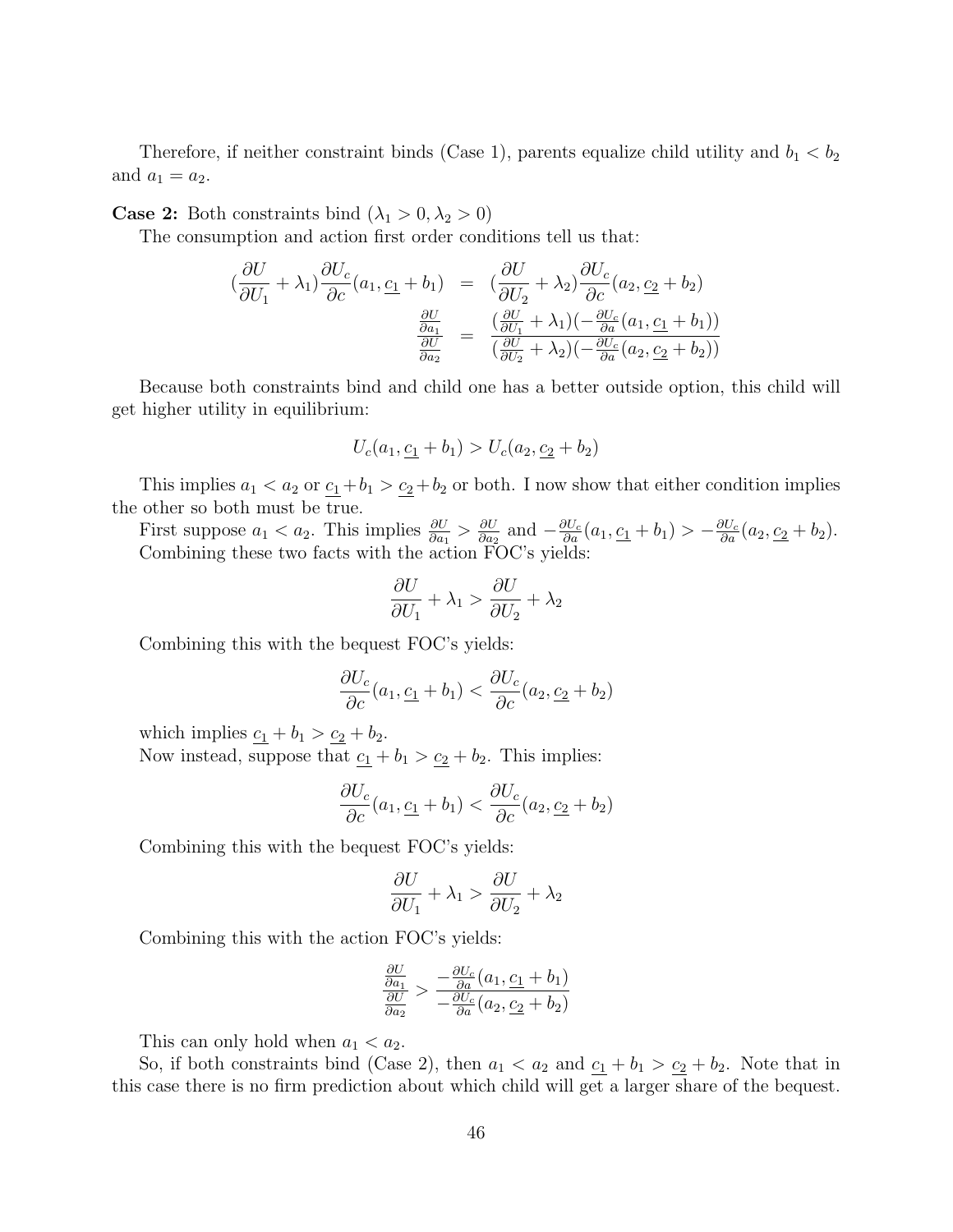Therefore, if neither constraint binds (Case 1), parents equalize child utility and  $b_1 < b_2$ and  $a_1 = a_2$ .

**Case 2:** Both constraints bind  $(\lambda_1 > 0, \lambda_2 > 0)$ 

The consumption and action first order conditions tell us that:

$$
\begin{aligned}\n\left(\frac{\partial U}{\partial U_1} + \lambda_1\right) \frac{\partial U_c}{\partial c}(a_1, \underline{c_1} + b_1) &= \left(\frac{\partial U}{\partial U_2} + \lambda_2\right) \frac{\partial U_c}{\partial c}(a_2, \underline{c_2} + b_2) \\
\frac{\frac{\partial U}{\partial a_1}}{\frac{\partial U}{\partial a_2}} &= \frac{\left(\frac{\partial U}{\partial U_1} + \lambda_1\right)\left(-\frac{\partial U_c}{\partial a}(a_1, \underline{c_1} + b_1)\right)}{\left(\frac{\partial U}{\partial U_2} + \lambda_2\right)\left(-\frac{\partial U_c}{\partial a}(a_2, \underline{c_2} + b_2)\right)}\n\end{aligned}
$$

Because both constraints bind and child one has a better outside option, this child will get higher utility in equilibrium:

$$
U_c(a_1, \underline{c_1} + b_1) > U_c(a_2, \underline{c_2} + b_2)
$$

This implies  $a_1 < a_2$  or  $\underline{c_1} + b_1 > \underline{c_2} + b_2$  or both. I now show that either condition implies the other so both must be true.

First suppose  $a_1 < a_2$ . This implies  $\frac{\partial U}{\partial a_1} > \frac{\partial U}{\partial a_2}$  $\frac{\partial U}{\partial a_2}$  and  $-\frac{\partial U_c}{\partial a}(a_1, \underline{c_1} + b_1) > -\frac{\partial U_c}{\partial a}(a_2, \underline{c_2} + b_2).$ Combining these two facts with the action FOC's yields:

$$
\frac{\partial U}{\partial U_1} + \lambda_1 > \frac{\partial U}{\partial U_2} + \lambda_2
$$

Combining this with the bequest FOC's yields:

$$
\frac{\partial U_c}{\partial c}(a_1, \underline{c_1} + b_1) < \frac{\partial U_c}{\partial c}(a_2, \underline{c_2} + b_2)
$$

which implies  $c_1 + b_1 > c_2 + b_2$ .

Now instead, suppose that  $\underline{c_1} + b_1 > \underline{c_2} + b_2$ . This implies:

$$
\frac{\partial U_c}{\partial c}(a_1, \underline{c_1} + b_1) < \frac{\partial U_c}{\partial c}(a_2, \underline{c_2} + b_2)
$$

Combining this with the bequest FOC's yields:

$$
\frac{\partial U}{\partial U_1} + \lambda_1 > \frac{\partial U}{\partial U_2} + \lambda_2
$$

Combining this with the action FOC's yields:

$$
\frac{\frac{\partial U}{\partial a_1}}{\frac{\partial U}{\partial a_2}} > \frac{-\frac{\partial U_c}{\partial a}(a_1, \underline{c_1} + b_1)}{-\frac{\partial U_c}{\partial a}(a_2, \underline{c_2} + b_2)}
$$

This can only hold when  $a_1 < a_2$ .

So, if both constraints bind (Case 2), then  $a_1 < a_2$  and  $\underline{c_1} + b_1 > \underline{c_2} + b_2$ . Note that in this case there is no firm prediction about which child will get a larger share of the bequest.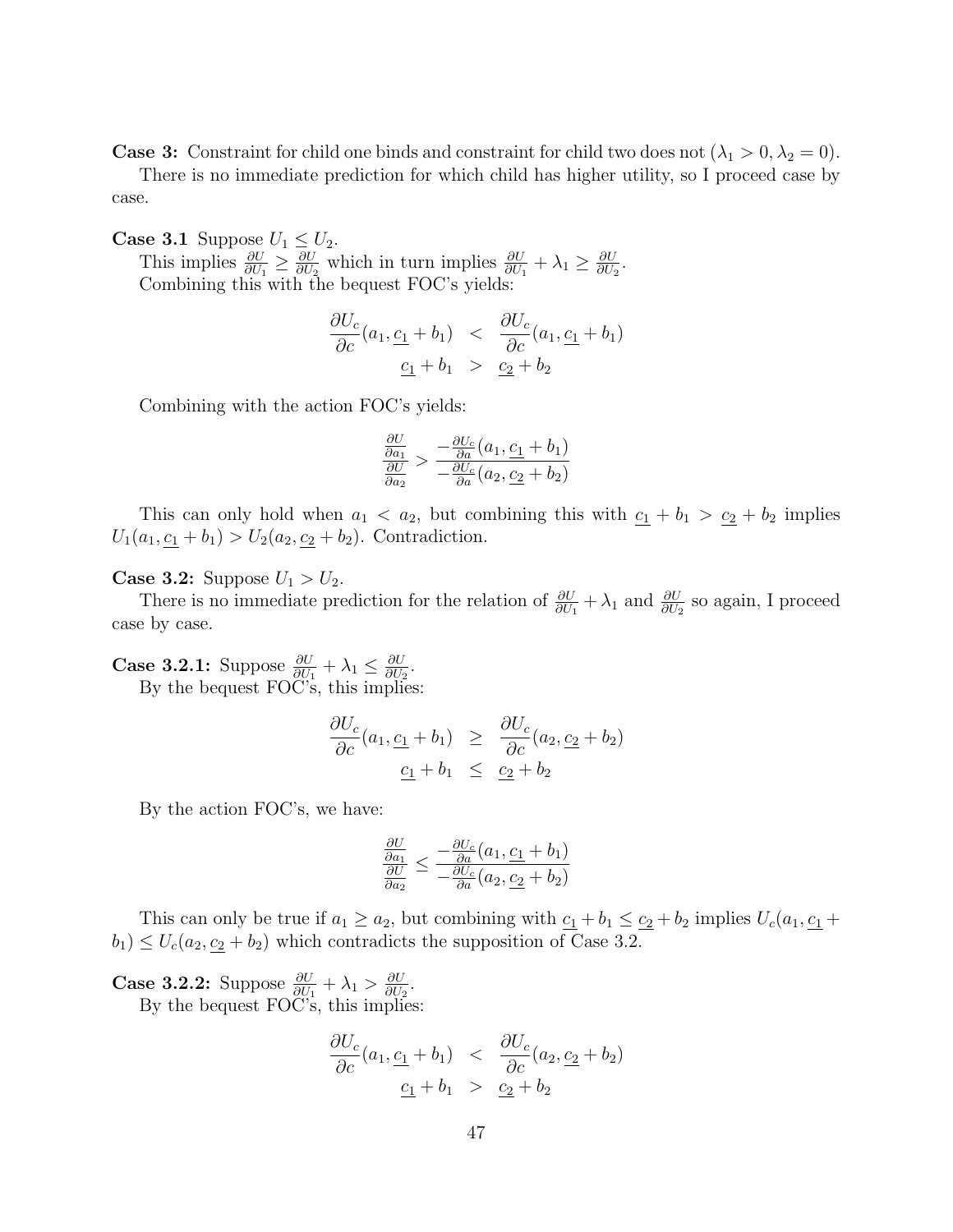**Case 3:** Constraint for child one binds and constraint for child two does not  $(\lambda_1 > 0, \lambda_2 = 0)$ .

There is no immediate prediction for which child has higher utility, so I proceed case by case.

**Case 3.1** Suppose  $U_1 \leq U_2$ . This implies  $\frac{\partial U}{\partial U_1} \geq \frac{\partial U}{\partial U_2}$  $\frac{\partial U}{\partial U_2}$  which in turn implies  $\frac{\partial U}{\partial U_1} + \lambda_1 \geq \frac{\partial U}{\partial U_2}$  $\frac{\partial U}{\partial U_2}$ . Combining this with the bequest FOC's yields:

$$
\frac{\partial U_c}{\partial c}(a_1, \underline{c_1} + b_1) < \frac{\partial U_c}{\partial c}(a_1, \underline{c_1} + b_1) \\
\underline{c_1} + b_1 > \underline{c_2} + b_2
$$

Combining with the action FOC's yields:

$$
\frac{\frac{\partial U}{\partial a_1}}{\frac{\partial U}{\partial a_2}} > \frac{-\frac{\partial U_c}{\partial a}(a_1, \underline{c_1} + b_1)}{-\frac{\partial U_c}{\partial a}(a_2, \underline{c_2} + b_2)}
$$

This can only hold when  $a_1 < a_2$ , but combining this with  $c_1 + b_1 > c_2 + b_2$  implies  $U_1(a_1, \underline{c_1} + b_1) > U_2(a_2, \underline{c_2} + b_2)$ . Contradiction.

**Case 3.2:** Suppose  $U_1 > U_2$ .

There is no immediate prediction for the relation of  $\frac{\partial U}{\partial U_1} + \lambda_1$  and  $\frac{\partial U}{\partial U_2}$  so again, I proceed case by case.

**Case 3.2.1:** Suppose  $\frac{\partial U}{\partial U_1} + \lambda_1 \leq \frac{\partial U}{\partial U_2}$  $\frac{\partial U}{\partial U_2}$ . By the bequest FOC's, this implies:

$$
\frac{\partial U_c}{\partial c}(a_1, \underline{c_1} + b_1) \geq \frac{\partial U_c}{\partial c}(a_2, \underline{c_2} + b_2)
$$
  

$$
\underline{c_1} + b_1 \leq \underline{c_2} + b_2
$$

By the action FOC's, we have:

$$
\frac{\frac{\partial U}{\partial a_1}}{\frac{\partial U}{\partial a_2}} \le \frac{-\frac{\partial U_c}{\partial a}(a_1, \underline{c_1} + b_1)}{-\frac{\partial U_c}{\partial a}(a_2, \underline{c_2} + b_2)}
$$

This can only be true if  $a_1 \ge a_2$ , but combining with  $\underline{c_1} + b_1 \le \underline{c_2} + b_2$  implies  $U_c(a_1, \underline{c_1} + b_2)$  $b_1$ )  $\leq U_c(a_2, c_2 + b_2)$  which contradicts the supposition of Case 3.2.

**Case 3.2.2:** Suppose  $\frac{\partial U}{\partial U_1} + \lambda_1 > \frac{\partial U}{\partial U_2}$  $\frac{\partial U}{\partial U_2}$ . By the bequest FOC's, this implies:

$$
\frac{\partial U_c}{\partial c}(a_1, \underline{c_1} + b_1) < \frac{\partial U_c}{\partial c}(a_2, \underline{c_2} + b_2) \\
\underline{c_1} + b_1 > \underline{c_2} + b_2
$$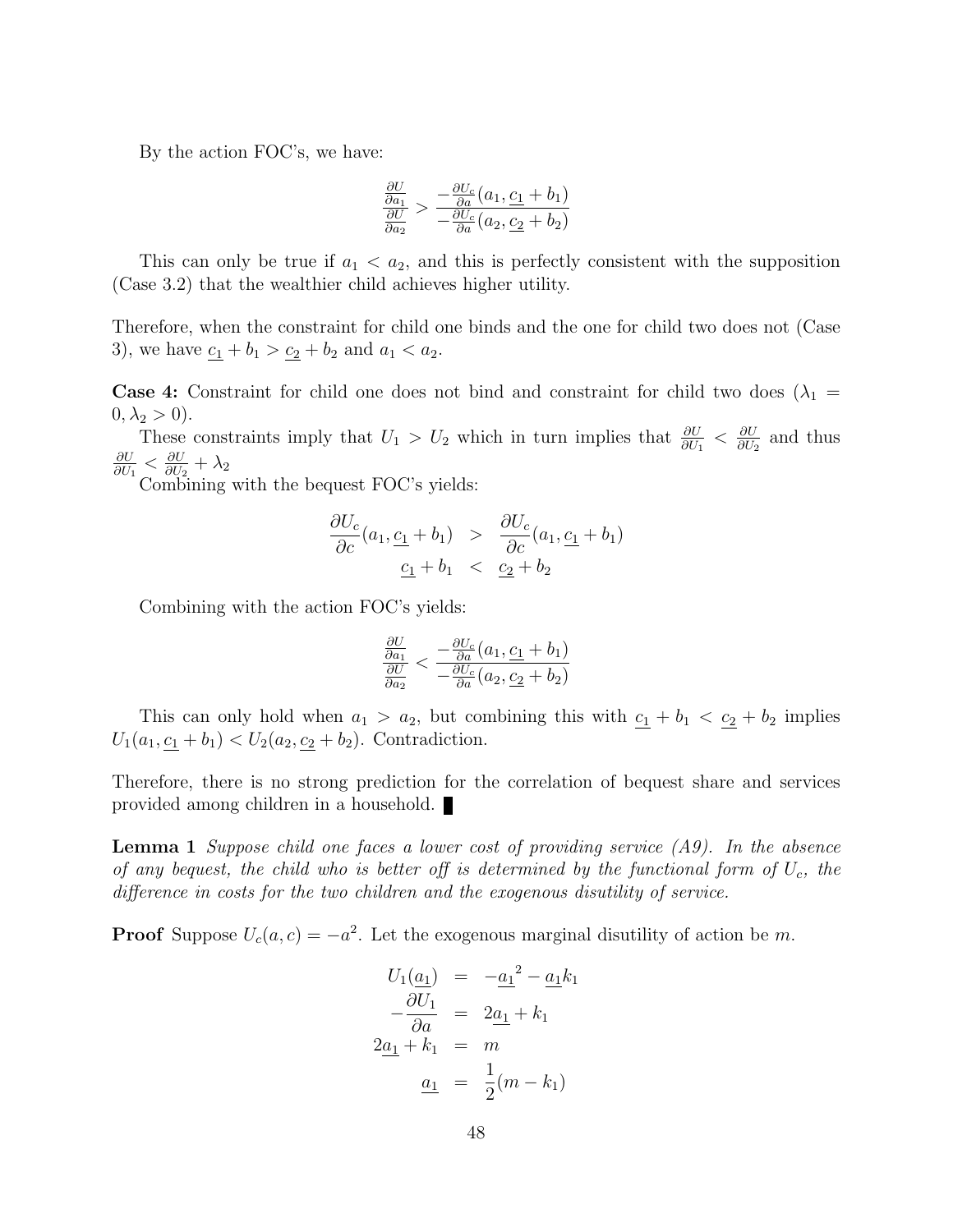By the action FOC's, we have:

$$
\frac{\frac{\partial U}{\partial a_1}}{\frac{\partial U}{\partial a_2}} > \frac{-\frac{\partial U_c}{\partial a}(a_1, \underline{c_1} + b_1)}{-\frac{\partial U_c}{\partial a}(a_2, \underline{c_2} + b_2)}
$$

This can only be true if  $a_1 < a_2$ , and this is perfectly consistent with the supposition (Case 3.2) that the wealthier child achieves higher utility.

Therefore, when the constraint for child one binds and the one for child two does not (Case 3), we have  $\underline{c_1} + b_1 > \underline{c_2} + b_2$  and  $a_1 < a_2$ .

**Case 4:** Constraint for child one does not bind and constraint for child two does  $(\lambda_1 =$  $0, \lambda_2 > 0$ ).

These constraints imply that  $U_1 > U_2$  which in turn implies that  $\frac{\partial U}{\partial U_1} < \frac{\partial U}{\partial U_2}$  $\frac{\partial U}{\partial U_2}$  and thus ∂U  $\frac{\partial U}{\partial U_1} \leq \frac{\partial U}{\partial U_2}$  $\frac{\partial U}{\partial U_2} + \lambda_2$ 

Combining with the bequest FOC's yields:

$$
\frac{\partial U_c}{\partial c}(a_1, \underline{c_1} + b_1) > \frac{\partial U_c}{\partial c}(a_1, \underline{c_1} + b_1)
$$
  

$$
\underline{c_1} + b_1 < \underline{c_2} + b_2
$$

Combining with the action FOC's yields:

$$
\frac{\frac{\partial U}{\partial a_1}}{\frac{\partial U}{\partial a_2}} < \frac{-\frac{\partial U_c}{\partial a}(a_1, \underline{c_1} + b_1)}{-\frac{\partial U_c}{\partial a}(a_2, \underline{c_2} + b_2)}
$$

This can only hold when  $a_1 > a_2$ , but combining this with  $c_1 + b_1 < c_2 + b_2$  implies  $U_1(a_1, \underline{c_1} + b_1) < U_2(a_2, \underline{c_2} + b_2)$ . Contradiction.

Therefore, there is no strong prediction for the correlation of bequest share and services provided among children in a household.

**Lemma 1** Suppose child one faces a lower cost of providing service  $(A9)$ . In the absence of any bequest, the child who is better off is determined by the functional form of  $U_c$ , the difference in costs for the two children and the exogenous disutility of service.

**Proof** Suppose  $U_c(a, c) = -a^2$ . Let the exogenous marginal disutility of action be m.

$$
U_1(\underline{a_1}) = -\underline{a_1}^2 - \underline{a_1}k_1
$$

$$
-\frac{\partial U_1}{\partial a} = 2\underline{a_1} + k_1
$$

$$
2\underline{a_1} + k_1 = m
$$

$$
\underline{a_1} = \frac{1}{2}(m - k_1)
$$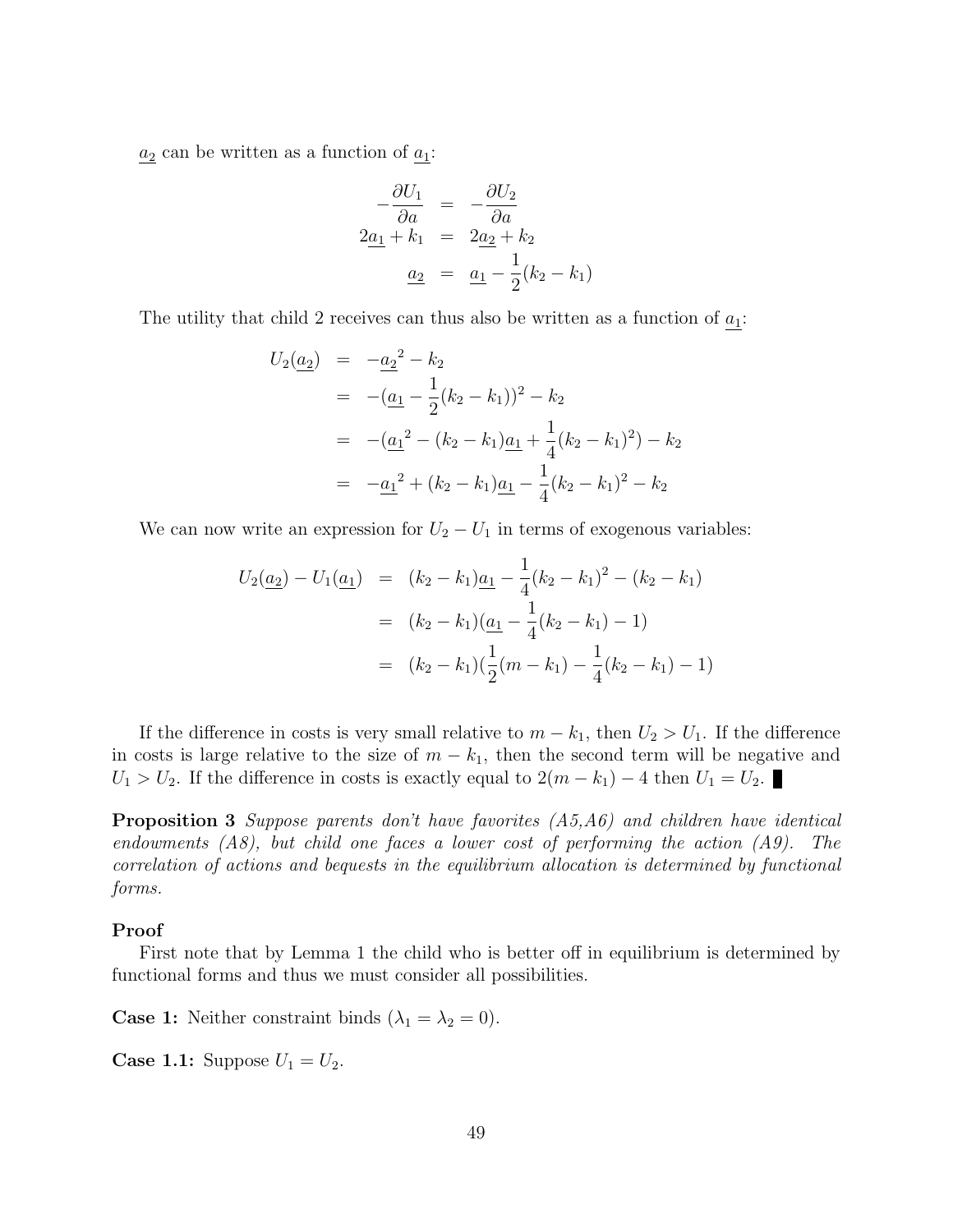$a_2$  can be written as a function of  $a_1$ :

$$
-\frac{\partial U_1}{\partial a} = -\frac{\partial U_2}{\partial a}
$$
  
2a<sub>1</sub> + k<sub>1</sub> = 2a<sub>2</sub> + k<sub>2</sub>  
a<sub>2</sub> = a<sub>1</sub> - 1<sub>2</sub>(k<sub>2</sub> - k<sub>1</sub>)

The utility that child 2 receives can thus also be written as a function of  $a_1$ :

$$
U_2(\underline{a_2}) = -\underline{a_2}^2 - k_2
$$
  
=  $-(\underline{a_1} - \frac{1}{2}(k_2 - k_1))^2 - k_2$   
=  $-(\underline{a_1}^2 - (k_2 - k_1)\underline{a_1} + \frac{1}{4}(k_2 - k_1)^2) - k_2$   
=  $-\underline{a_1}^2 + (k_2 - k_1)\underline{a_1} - \frac{1}{4}(k_2 - k_1)^2 - k_2$ 

We can now write an expression for  $U_2 - U_1$  in terms of exogenous variables:

$$
U_2(\underline{a_2}) - U_1(\underline{a_1}) = (k_2 - k_1)\underline{a_1} - \frac{1}{4}(k_2 - k_1)^2 - (k_2 - k_1)
$$
  
=  $(k_2 - k_1)(\underline{a_1} - \frac{1}{4}(k_2 - k_1) - 1)$   
=  $(k_2 - k_1)(\frac{1}{2}(m - k_1) - \frac{1}{4}(k_2 - k_1) - 1)$ 

If the difference in costs is very small relative to  $m - k_1$ , then  $U_2 > U_1$ . If the difference in costs is large relative to the size of  $m - k_1$ , then the second term will be negative and  $U_1 > U_2$ . If the difference in costs is exactly equal to  $2(m - k_1) - 4$  then  $U_1 = U_2$ .

Proposition 3 Suppose parents don't have favorites  $(A5, A6)$  and children have identical endowments  $(AB)$ , but child one faces a lower cost of performing the action  $(AB)$ . The correlation of actions and bequests in the equilibrium allocation is determined by functional forms.

#### Proof

First note that by Lemma 1 the child who is better off in equilibrium is determined by functional forms and thus we must consider all possibilities.

**Case 1:** Neither constraint binds  $(\lambda_1 = \lambda_2 = 0)$ .

**Case 1.1:** Suppose  $U_1 = U_2$ .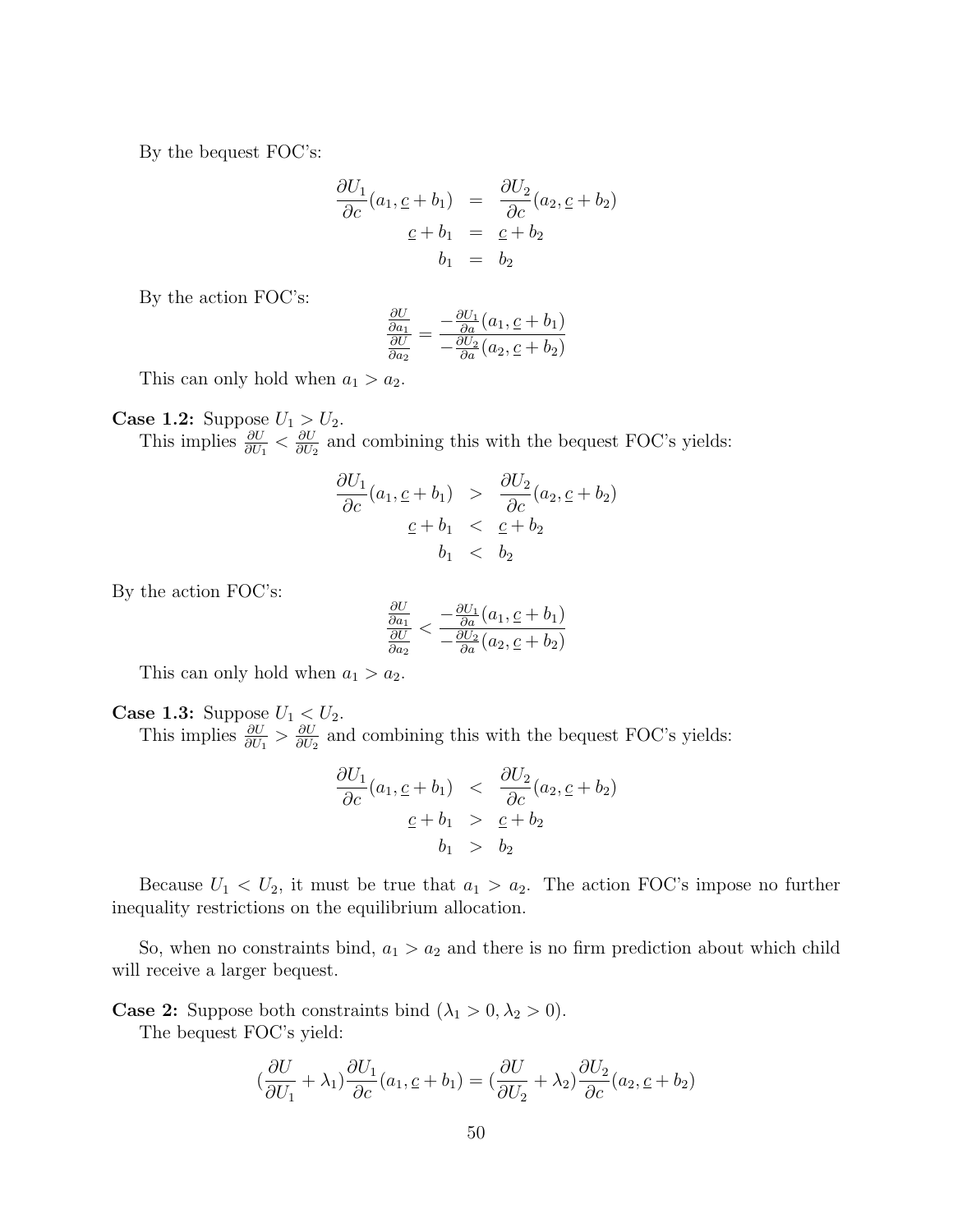By the bequest FOC's:

$$
\frac{\partial U_1}{\partial c}(a_1, \underline{c} + b_1) = \frac{\partial U_2}{\partial c}(a_2, \underline{c} + b_2)
$$
  

$$
\underline{c} + b_1 = \underline{c} + b_2
$$
  

$$
b_1 = b_2
$$

By the action FOC's:

$$
\frac{\frac{\partial U}{\partial a_1}}{\frac{\partial U}{\partial a_2}} = \frac{-\frac{\partial U_1}{\partial a}(a_1, \underline{c} + b_1)}{-\frac{\partial U_2}{\partial a}(a_2, \underline{c} + b_2)}
$$

This can only hold when  $a_1 > a_2$ .

**Case 1.2:** Suppose  $U_1 > U_2$ . This implies  $\frac{\partial U}{\partial U_1} < \frac{\partial U}{\partial U_2}$  $\frac{\partial U}{\partial U_2}$  and combining this with the bequest FOC's yields:

$$
\frac{\partial U_1}{\partial c}(a_1, \underline{c} + b_1) > \frac{\partial U_2}{\partial c}(a_2, \underline{c} + b_2)
$$
  

$$
\underline{c} + b_1 < \underline{c} + b_2
$$
  

$$
b_1 < b_2
$$

By the action FOC's:

$$
\frac{\frac{\partial U}{\partial a_1}}{\frac{\partial U}{\partial a_2}} < \frac{-\frac{\partial U_1}{\partial a}(a_1, \underline{c} + b_1)}{-\frac{\partial U_2}{\partial a}(a_2, \underline{c} + b_2)}
$$

This can only hold when  $a_1 > a_2$ .

**Case 1.3:** Suppose  $U_1 < U_2$ . This implies  $\frac{\partial U}{\partial U_1} > \frac{\partial U}{\partial U_2}$  $\frac{\partial U}{\partial U_2}$  and combining this with the bequest FOC's yields:

$$
\frac{\partial U_1}{\partial c}(a_1, \underline{c} + b_1) < \frac{\partial U_2}{\partial c}(a_2, \underline{c} + b_2) \\
\underline{c} + b_1 > \underline{c} + b_2 \\
b_1 > b_2
$$

Because  $U_1 < U_2$ , it must be true that  $a_1 > a_2$ . The action FOC's impose no further inequality restrictions on the equilibrium allocation.

So, when no constraints bind,  $a_1 > a_2$  and there is no firm prediction about which child will receive a larger bequest.

**Case 2:** Suppose both constraints bind  $(\lambda_1 > 0, \lambda_2 > 0)$ .

The bequest FOC's yield:

$$
\left(\frac{\partial U}{\partial U_1} + \lambda_1\right) \frac{\partial U_1}{\partial c}(a_1, \underline{c} + b_1) = \left(\frac{\partial U}{\partial U_2} + \lambda_2\right) \frac{\partial U_2}{\partial c}(a_2, \underline{c} + b_2)
$$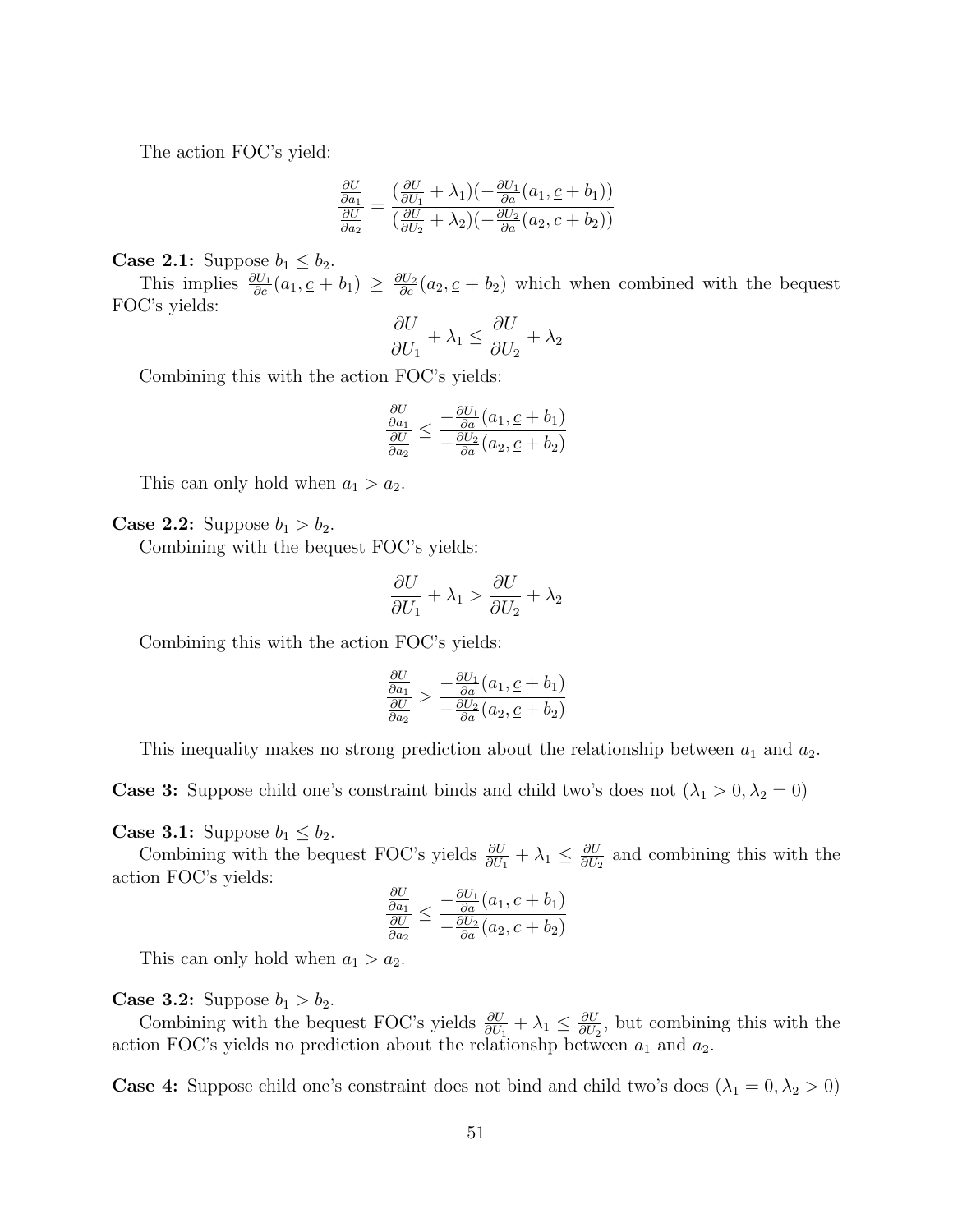The action FOC's yield:

$$
\frac{\frac{\partial U}{\partial a_1}}{\frac{\partial U}{\partial a_2}} = \frac{\left(\frac{\partial U}{\partial U_1} + \lambda_1\right)\left(-\frac{\partial U_1}{\partial a}\left(a_1, \underline{c} + b_1\right)\right)}{\left(\frac{\partial U}{\partial U_2} + \lambda_2\right)\left(-\frac{\partial U_2}{\partial a}\left(a_2, \underline{c} + b_2\right)\right)}
$$

**Case 2.1:** Suppose  $b_1 \leq b_2$ .

This implies  $\frac{\partial U_1}{\partial c}(a_1, \underline{c} + b_1) \geq \frac{\partial U_2}{\partial c}(a_2, \underline{c} + b_2)$  which when combined with the bequest FOC's yields:

$$
\frac{\partial U}{\partial U_1} + \lambda_1 \le \frac{\partial U}{\partial U_2} + \lambda_2
$$

Combining this with the action FOC's yields:

$$
\frac{\frac{\partial U}{\partial a_1}}{\frac{\partial U}{\partial a_2}} \le \frac{-\frac{\partial U_1}{\partial a}(a_1, \underline{c} + b_1)}{-\frac{\partial U_2}{\partial a}(a_2, \underline{c} + b_2)}
$$

This can only hold when  $a_1 > a_2$ .

**Case 2.2:** Suppose  $b_1 > b_2$ .

Combining with the bequest FOC's yields:

$$
\frac{\partial U}{\partial U_1} + \lambda_1 > \frac{\partial U}{\partial U_2} + \lambda_2
$$

Combining this with the action FOC's yields:

$$
\frac{\frac{\partial U}{\partial a_1}}{\frac{\partial U}{\partial a_2}} > \frac{-\frac{\partial U_1}{\partial a}(a_1, \underline{c} + b_1)}{-\frac{\partial U_2}{\partial a}(a_2, \underline{c} + b_2)}
$$

This inequality makes no strong prediction about the relationship between  $a_1$  and  $a_2$ .

**Case 3:** Suppose child one's constraint binds and child two's does not  $(\lambda_1 > 0, \lambda_2 = 0)$ 

#### **Case 3.1:** Suppose  $b_1 \leq b_2$ .

Combining with the bequest FOC's yields  $\frac{\partial U}{\partial U_1} + \lambda_1 \leq \frac{\partial U}{\partial U_2}$  $\frac{\partial U}{\partial U_2}$  and combining this with the action FOC's yields:

$$
\frac{\frac{\partial U}{\partial a_1}}{\frac{\partial U}{\partial a_2}} \le \frac{-\frac{\partial U_1}{\partial a}(a_1, \underline{c} + b_1)}{-\frac{\partial U_2}{\partial a}(a_2, \underline{c} + b_2)}
$$

This can only hold when  $a_1 > a_2$ .

**Case 3.2:** Suppose  $b_1 > b_2$ .

Combining with the bequest FOC's yields  $\frac{\partial U}{\partial U_1} + \lambda_1 \leq \frac{\partial U}{\partial U_2}$  $\frac{\partial U}{\partial U_2}$ , but combining this with the action FOC's yields no prediction about the relationshp between  $a_1$  and  $a_2$ .

**Case 4:** Suppose child one's constraint does not bind and child two's does  $(\lambda_1 = 0, \lambda_2 > 0)$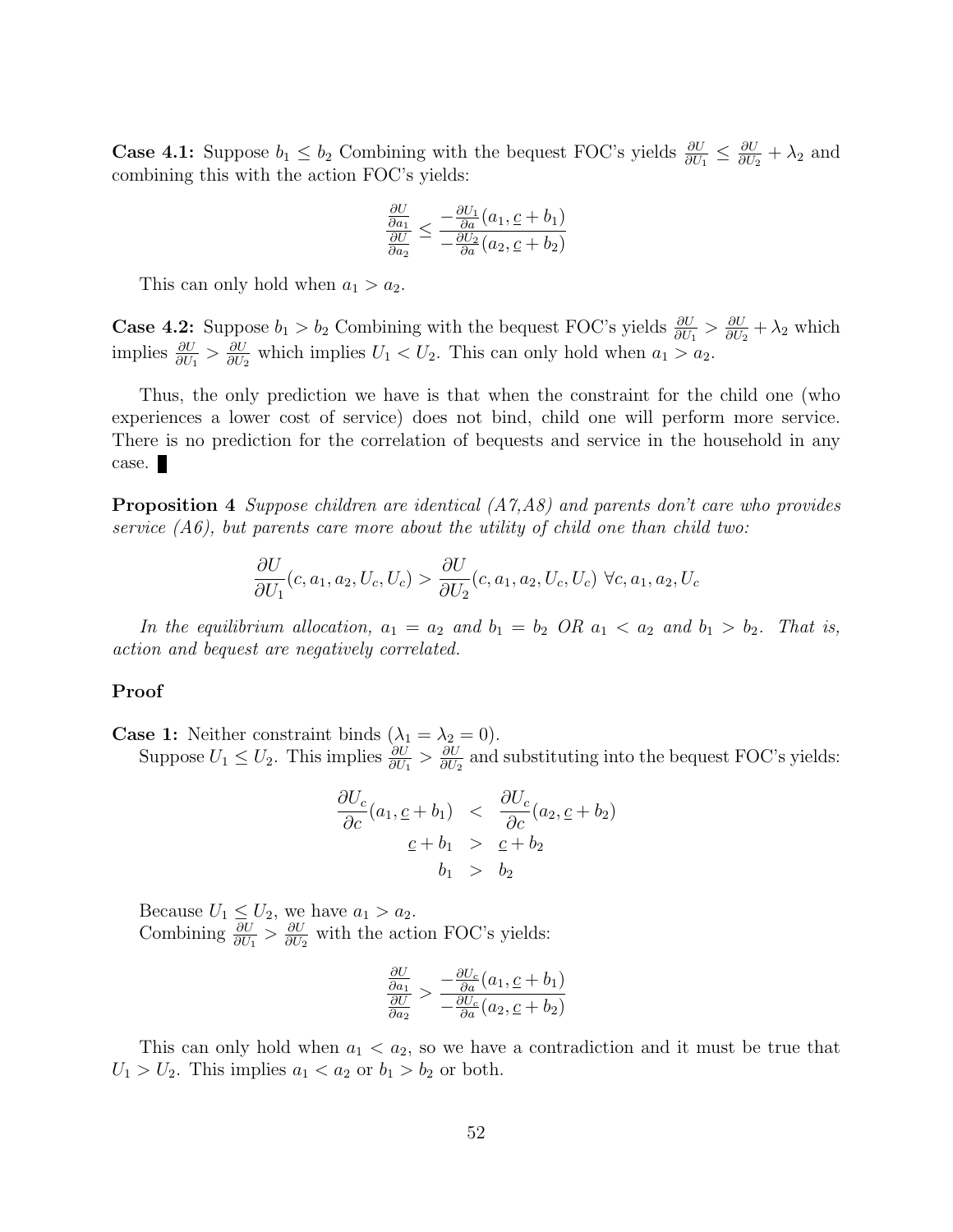**Case 4.1:** Suppose  $b_1 \leq b_2$  Combining with the bequest FOC's yields  $\frac{\partial U}{\partial U_1} \leq \frac{\partial U}{\partial U_2}$  $\frac{\partial U}{\partial U_2} + \lambda_2$  and combining this with the action FOC's yields:

$$
\frac{\frac{\partial U}{\partial a_1}}{\frac{\partial U}{\partial a_2}} \leq \frac{-\frac{\partial U_1}{\partial a}(a_1, \underline{c} + b_1)}{-\frac{\partial U_2}{\partial a}(a_2, \underline{c} + b_2)}
$$

This can only hold when  $a_1 > a_2$ .

**Case 4.2:** Suppose  $b_1 > b_2$  Combining with the bequest FOC's yields  $\frac{\partial U}{\partial U_1} > \frac{\partial U}{\partial U_2}$  $\frac{\partial U}{\partial U_2} + \lambda_2$  which implies  $\frac{\partial U}{\partial U_1} > \frac{\partial U}{\partial U_2}$  $\frac{\partial U}{\partial U_2}$  which implies  $U_1 < U_2$ . This can only hold when  $a_1 > a_2$ .

Thus, the only prediction we have is that when the constraint for the child one (who experiences a lower cost of service) does not bind, child one will perform more service. There is no prediction for the correlation of bequests and service in the household in any case.

**Proposition 4** Suppose children are identical  $(A7, A8)$  and parents don't care who provides service  $(A6)$ , but parents care more about the utility of child one than child two:

$$
\frac{\partial U}{\partial U_1}(c, a_1, a_2, U_c, U_c) > \frac{\partial U}{\partial U_2}(c, a_1, a_2, U_c, U_c) \ \forall c, a_1, a_2, U_c
$$

In the equilibrium allocation,  $a_1 = a_2$  and  $b_1 = b_2$  OR  $a_1 < a_2$  and  $b_1 > b_2$ . That is, action and bequest are negatively correlated.

#### Proof

**Case 1:** Neither constraint binds  $(\lambda_1 = \lambda_2 = 0)$ . Suppose  $U_1 \leq U_2$ . This implies  $\frac{\partial U}{\partial U_1} > \frac{\partial U}{\partial U_2}$  $\frac{\partial U}{\partial U_2}$  and substituting into the bequest FOC's yields:

$$
\frac{\partial U_c}{\partial c}(a_1, \underline{c} + b_1) < \frac{\partial U_c}{\partial c}(a_2, \underline{c} + b_2) \\
\underline{c} + b_1 > \underline{c} + b_2 \\
b_1 > b_2
$$

Because  $U_1 \leq U_2$ , we have  $a_1 > a_2$ . Combining  $\frac{\partial U}{\partial U_1} > \frac{\partial U}{\partial U_2}$  $\frac{\partial U}{\partial U_2}$  with the action FOC's yields:

$$
\frac{\frac{\partial U}{\partial a_1}}{\frac{\partial U}{\partial a_2}} > \frac{-\frac{\partial U_c}{\partial a}(a_1, \underline{c} + b_1)}{-\frac{\partial U_c}{\partial a}(a_2, \underline{c} + b_2)}
$$

This can only hold when  $a_1 < a_2$ , so we have a contradiction and it must be true that  $U_1 > U_2$ . This implies  $a_1 < a_2$  or  $b_1 > b_2$  or both.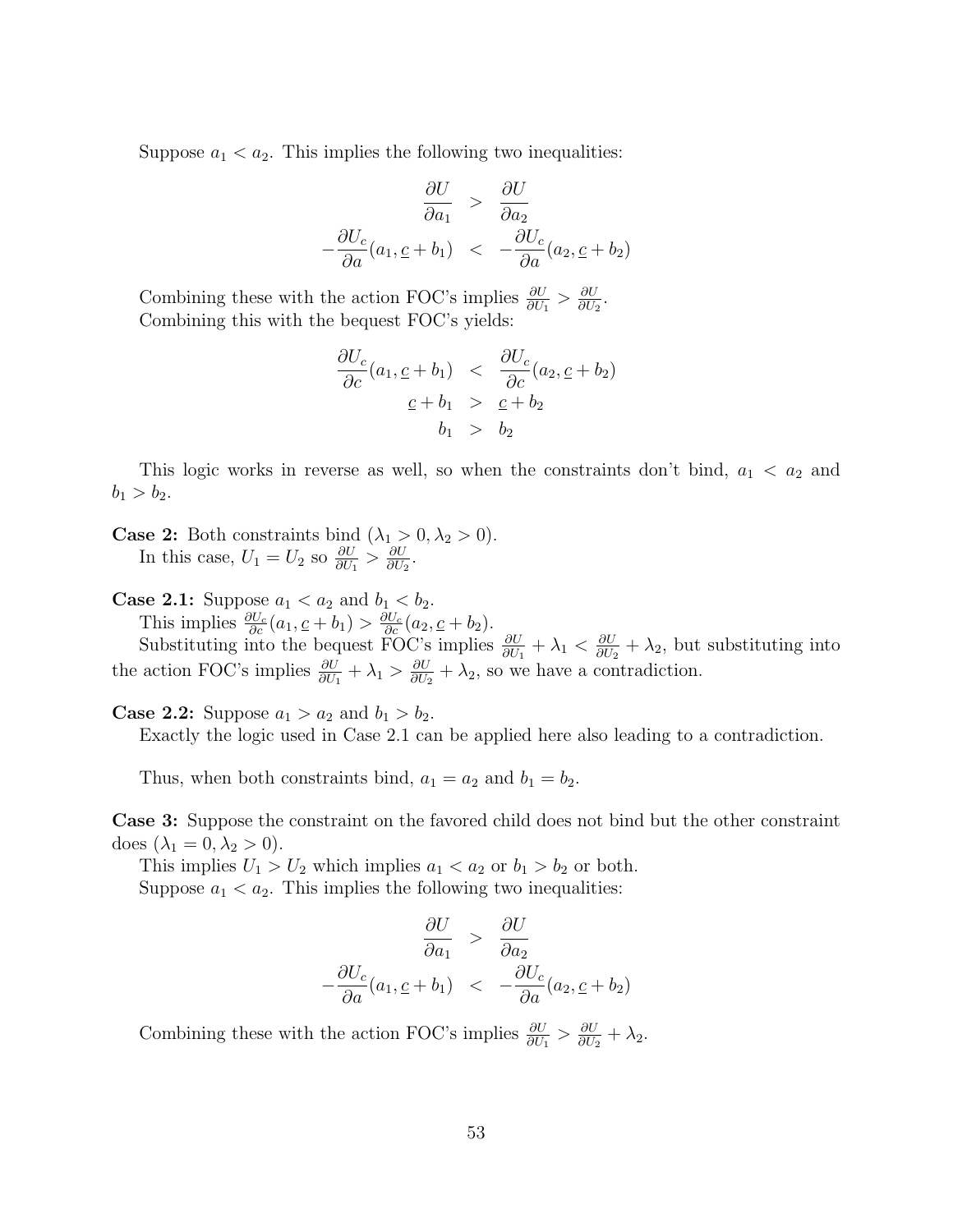Suppose  $a_1 < a_2$ . This implies the following two inequalities:

$$
\frac{\partial U}{\partial a_1} > \frac{\partial U}{\partial a_2}
$$

$$
-\frac{\partial U_c}{\partial a}(a_1, \underline{c} + b_1) < -\frac{\partial U_c}{\partial a}(a_2, \underline{c} + b_2)
$$

Combining these with the action FOC's implies  $\frac{\partial U}{\partial U_1} > \frac{\partial U}{\partial U_2}$  $\frac{\partial U}{\partial U_2}$ . Combining this with the bequest FOC's yields:

$$
\frac{\partial U_c}{\partial c}(a_1, \underline{c} + b_1) < \frac{\partial U_c}{\partial c}(a_2, \underline{c} + b_2) \\
\underline{c} + b_1 > \underline{c} + b_2 \\
b_1 > b_2
$$

This logic works in reverse as well, so when the constraints don't bind,  $a_1 < a_2$  and  $b_1 > b_2$ .

**Case 2:** Both constraints bind  $(\lambda_1 > 0, \lambda_2 > 0)$ . In this case,  $U_1 = U_2$  so  $\frac{\partial U}{\partial U_1} > \frac{\partial U}{\partial U_2}$  $\frac{\partial U}{\partial U_2}$ .

**Case 2.1:** Suppose  $a_1 < a_2$  and  $b_1 < b_2$ . This implies  $\frac{\partial U_c}{\partial c}(a_1, \underline{c} + b_1) > \frac{\partial U_c}{\partial c}(a_2, \underline{c} + b_2).$ 

Substituting into the bequest FOC's implies  $\frac{\partial U}{\partial U_1} + \lambda_1 < \frac{\partial U}{\partial U_2}$  $\frac{\partial U}{\partial U_2} + \lambda_2$ , but substituting into the action FOC's implies  $\frac{\partial U}{\partial U_1} + \lambda_1 > \frac{\partial U}{\partial U_2}$  $\frac{\partial U}{\partial U_2} + \lambda_2$ , so we have a contradiction.

**Case 2.2:** Suppose  $a_1 > a_2$  and  $b_1 > b_2$ .

Exactly the logic used in Case 2.1 can be applied here also leading to a contradiction.

Thus, when both constraints bind,  $a_1 = a_2$  and  $b_1 = b_2$ .

Case 3: Suppose the constraint on the favored child does not bind but the other constraint does  $(\lambda_1 = 0, \lambda_2 > 0)$ .

This implies  $U_1 > U_2$  which implies  $a_1 < a_2$  or  $b_1 > b_2$  or both. Suppose  $a_1 < a_2$ . This implies the following two inequalities:

$$
\frac{\partial U}{\partial a_1} > \frac{\partial U}{\partial a_2}
$$

$$
-\frac{\partial U_c}{\partial a}(a_1, \underline{c} + b_1) < -\frac{\partial U_c}{\partial a}(a_2, \underline{c} + b_2)
$$

Combining these with the action FOC's implies  $\frac{\partial U}{\partial U_1} > \frac{\partial U}{\partial U_2}$  $\frac{\partial U}{\partial U_2} + \lambda_2.$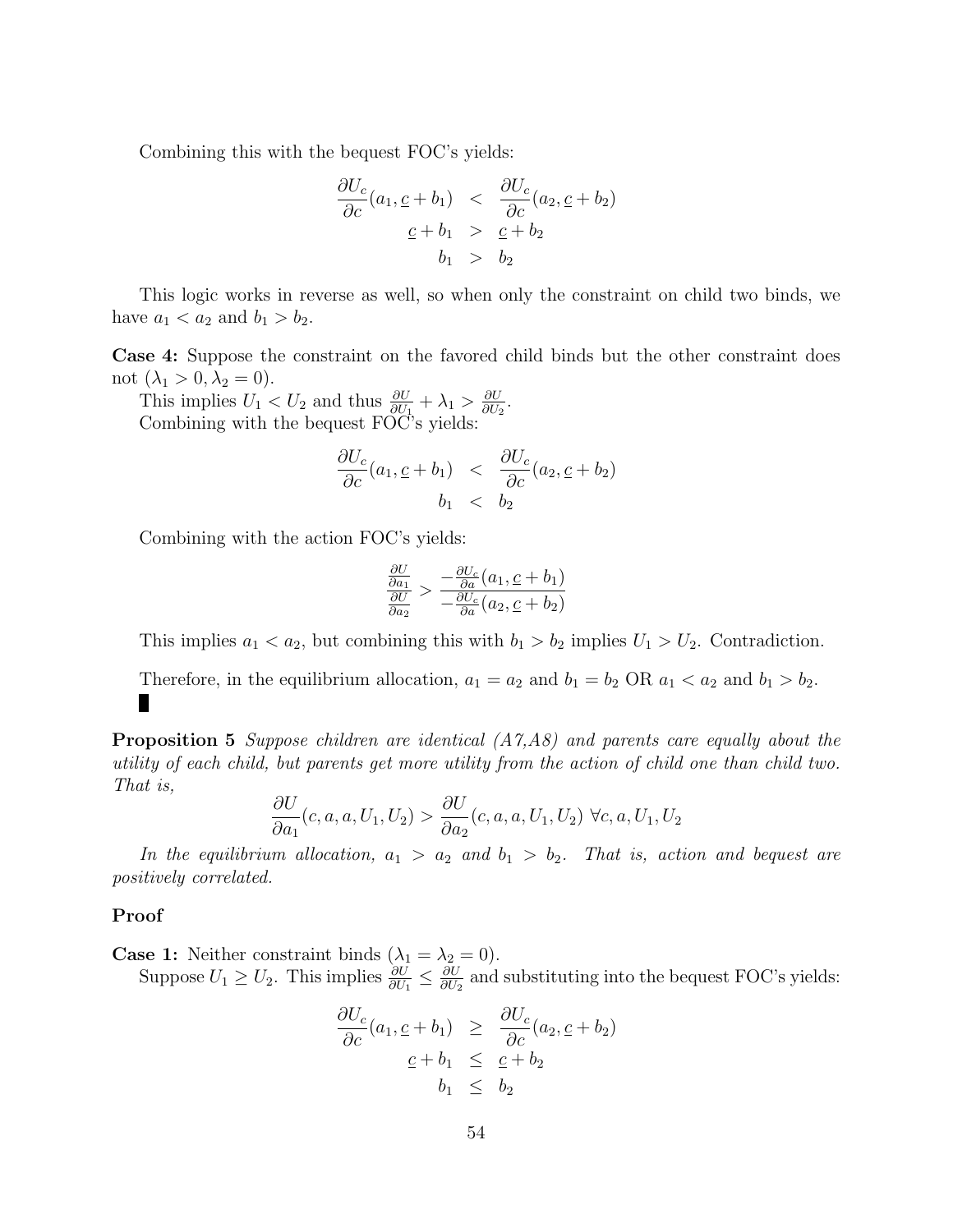Combining this with the bequest FOC's yields:

$$
\frac{\partial U_c}{\partial c}(a_1, \underline{c} + b_1) < \frac{\partial U_c}{\partial c}(a_2, \underline{c} + b_2) \\
\underline{c} + b_1 > \underline{c} + b_2 \\
b_1 > b_2
$$

This logic works in reverse as well, so when only the constraint on child two binds, we have  $a_1 < a_2$  and  $b_1 > b_2$ .

Case 4: Suppose the constraint on the favored child binds but the other constraint does not  $(\lambda_1 > 0, \lambda_2 = 0)$ .

This implies  $U_1 < U_2$  and thus  $\frac{\partial U}{\partial U_1} + \lambda_1 > \frac{\partial U}{\partial U_2}$  $\frac{\partial U}{\partial U_2}$ . Combining with the bequest FOC's yields:

$$
\frac{\partial U_c}{\partial c}(a_1, \underline{c} + b_1) < \frac{\partial U_c}{\partial c}(a_2, \underline{c} + b_2) \\
 b_1 < b_2
$$

Combining with the action FOC's yields:

$$
\frac{\frac{\partial U}{\partial a_1}}{\frac{\partial U}{\partial a_2}} > \frac{-\frac{\partial U_c}{\partial a}(a_1, \underline{c} + b_1)}{-\frac{\partial U_c}{\partial a}(a_2, \underline{c} + b_2)}
$$

This implies  $a_1 < a_2$ , but combining this with  $b_1 > b_2$  implies  $U_1 > U_2$ . Contradiction.

Therefore, in the equilibrium allocation,  $a_1 = a_2$  and  $b_1 = b_2$  OR  $a_1 < a_2$  and  $b_1 > b_2$ . П

Proposition 5 Suppose children are identical (A7,A8) and parents care equally about the utility of each child, but parents get more utility from the action of child one than child two. That is,

$$
\frac{\partial U}{\partial a_1}(c, a, a, U_1, U_2) > \frac{\partial U}{\partial a_2}(c, a, a, U_1, U_2) \ \forall c, a, U_1, U_2
$$

In the equilibrium allocation,  $a_1 > a_2$  and  $b_1 > b_2$ . That is, action and bequest are positively correlated.

#### Proof

**Case 1:** Neither constraint binds  $(\lambda_1 = \lambda_2 = 0)$ . Suppose  $U_1 \geq U_2$ . This implies  $\frac{\partial U}{\partial U_1} \leq \frac{\partial U}{\partial U_2}$  $\frac{\partial U}{\partial U_2}$  and substituting into the bequest FOC's yields:

$$
\frac{\partial U_c}{\partial c}(a_1, \underline{c} + b_1) \geq \frac{\partial U_c}{\partial c}(a_2, \underline{c} + b_2)
$$
  

$$
\underline{c} + b_1 \leq \underline{c} + b_2
$$
  

$$
b_1 \leq b_2
$$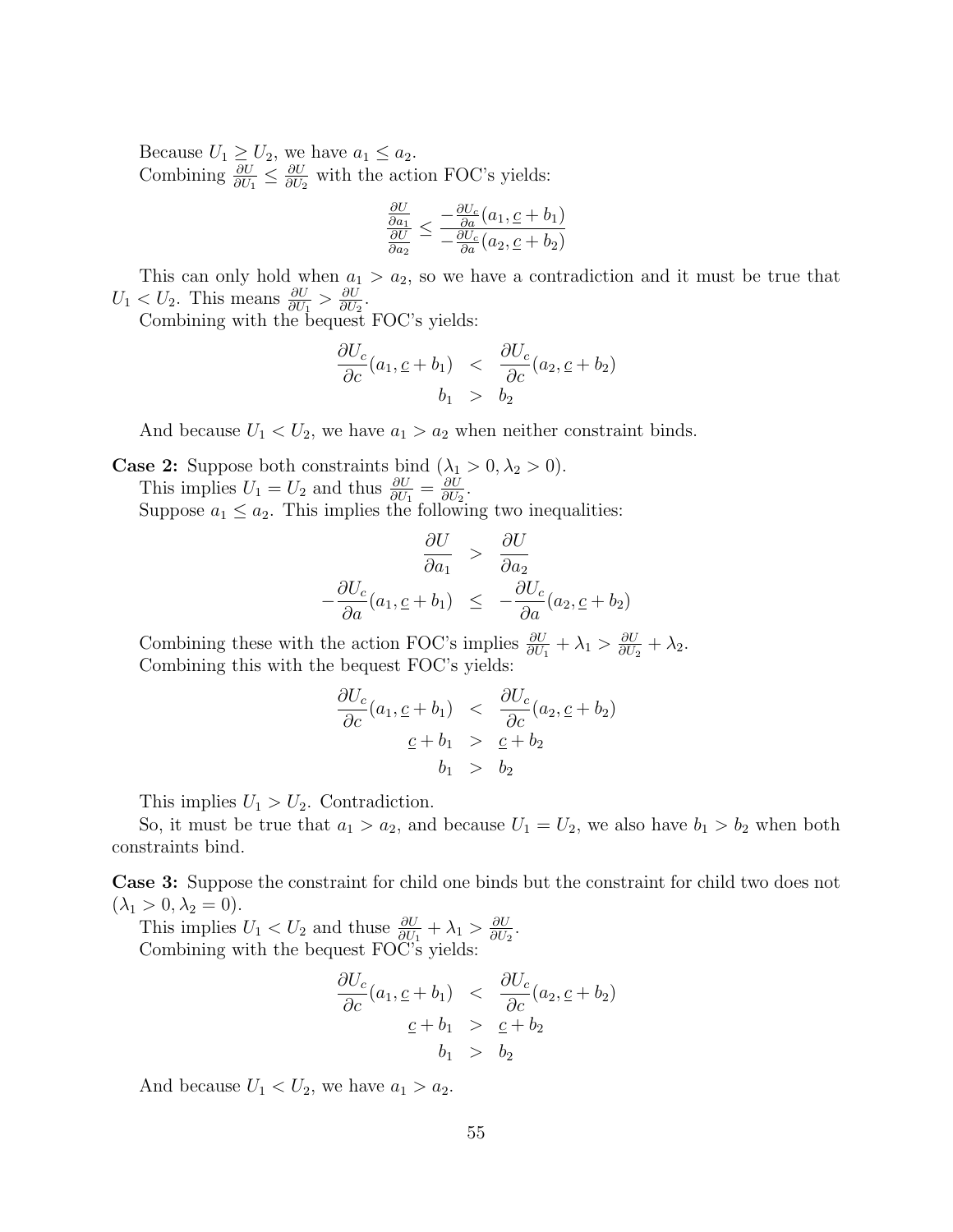Because  $U_1 \geq U_2$ , we have  $a_1 \leq a_2$ . Combining  $\frac{\partial U}{\partial U_1} \leq \frac{\partial U}{\partial U_2}$  $\frac{\partial U}{\partial U_2}$  with the action FOC's yields:

$$
\frac{\frac{\partial U}{\partial a_1}}{\frac{\partial U}{\partial a_2}} \le \frac{-\frac{\partial U_c}{\partial a}(a_1, \underline{c} + b_1)}{-\frac{\partial U_c}{\partial a}(a_2, \underline{c} + b_2)}
$$

This can only hold when  $a_1 > a_2$ , so we have a contradiction and it must be true that  $U_1 < U_2$ . This means  $\frac{\partial U}{\partial U_1} > \frac{\partial U}{\partial U_2}$  $\frac{\partial U}{\partial U_2}$ .

Combining with the bequest FOC's yields:

$$
\frac{\partial U_c}{\partial c}(a_1, \underline{c} + b_1) < \frac{\partial U_c}{\partial c}(a_2, \underline{c} + b_2) \\
 b_1 > b_2
$$

And because  $U_1 < U_2$ , we have  $a_1 > a_2$  when neither constraint binds.

**Case 2:** Suppose both constraints bind  $(\lambda_1 > 0, \lambda_2 > 0)$ . This implies  $U_1 = U_2$  and thus  $\frac{\partial U}{\partial U_1} = \frac{\partial U}{\partial U_2}$  $\frac{\partial U}{\partial U_2}.$ Suppose  $a_1 \leq a_2$ . This implies the following two inequalities:

$$
\frac{\partial U}{\partial a_1} > \frac{\partial U}{\partial a_2}
$$

$$
-\frac{\partial U_c}{\partial a}(a_1, \underline{c} + b_1) \leq -\frac{\partial U_c}{\partial a}(a_2, \underline{c} + b_2)
$$

Combining these with the action FOC's implies  $\frac{\partial U}{\partial U_1} + \lambda_1 > \frac{\partial U}{\partial U_2}$  $\frac{\partial U}{\partial U_2} + \lambda_2.$ Combining this with the bequest FOC's yields:

$$
\frac{\partial U_c}{\partial c}(a_1, \underline{c} + b_1) < \frac{\partial U_c}{\partial c}(a_2, \underline{c} + b_2) \\
\underline{c} + b_1 > \underline{c} + b_2 \\
b_1 > b_2
$$

This implies  $U_1 > U_2$ . Contradiction.

So, it must be true that  $a_1 > a_2$ , and because  $U_1 = U_2$ , we also have  $b_1 > b_2$  when both constraints bind.

Case 3: Suppose the constraint for child one binds but the constraint for child two does not  $(\lambda_1 > 0, \lambda_2 = 0).$ 

This implies  $U_1 < U_2$  and thuse  $\frac{\partial U}{\partial U_1} + \lambda_1 > \frac{\partial U}{\partial U_2}$  $\frac{\partial U}{\partial U_2}$ . Combining with the bequest FOC's yields:

$$
\frac{\partial U_c}{\partial c}(a_1, \underline{c} + b_1) < \frac{\partial U_c}{\partial c}(a_2, \underline{c} + b_2) \\
\underline{c} + b_1 > \underline{c} + b_2 \\
b_1 > b_2
$$

And because  $U_1 < U_2$ , we have  $a_1 > a_2$ .